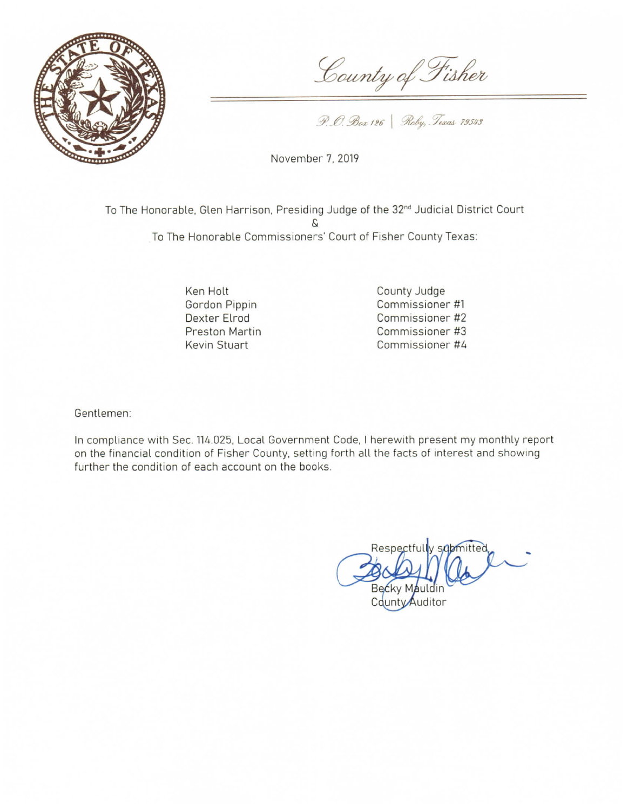

County of Fisher

P. O. Box 126 | Roby, Texas 79543

November 7, 2019

To The Honorable, Glen Harrison, Presiding Judge of the 32<sup>nd</sup> Judicial District Court  $\mathcal{L}$ To The Honorable Commissioners' Court of Fisher County Texas:

> Ken Holt Gordon Pippin Dexter Elrod Preston Martin Kevin Stuart

County Judge Commissioner #1 Commissioner #2 Commissioner #3 Commissioner #4

Gentlemen:

In compliance with Sec. 114.025, Local Government Code, I herewith present my monthly report on the financial condition of Fisher County, setting forth all the facts of interest and showing further the condition of each account on the books.

Respectfully submitted. Becky Mauldin County Auditor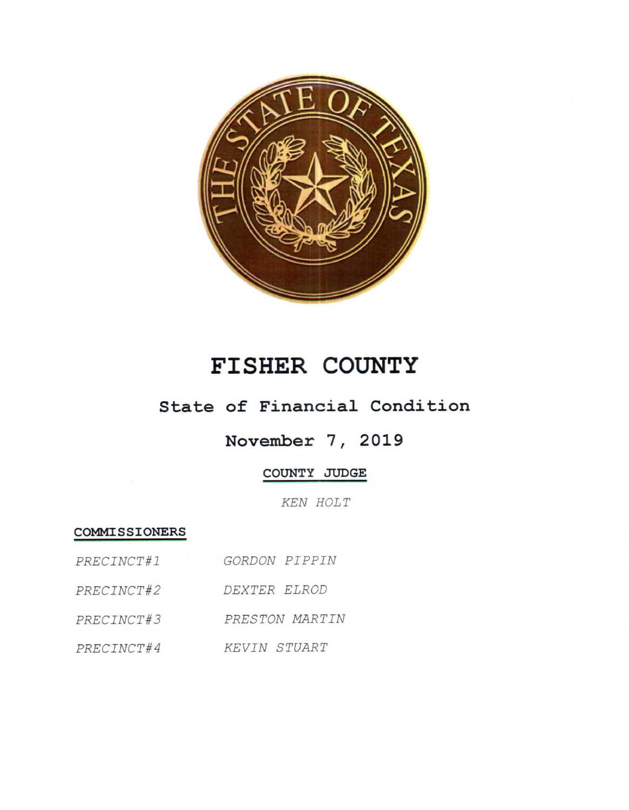

# FISHER COUNTY

## State of Financial Condition

# November 7, 2019

### COUNTY JUDGE

KEN HOLT

#### COMMISSIONERS

| PRECINCT#1 | GORDON PIPPIN  |
|------------|----------------|
| PRECINCT#2 | DEXTER ELROD   |
| PRECINCT#3 | PRESTON MARTIN |
| PRECINCT#4 | KEVIN STUART   |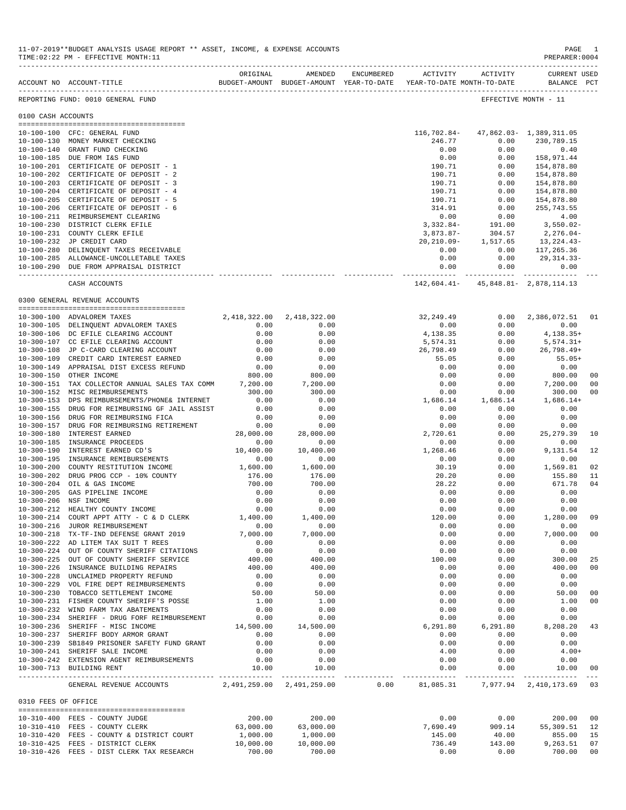|                     | ACCOUNT NO ACCOUNT-TITLE THE BUDGET-AMOUNT BUDGET-AMOUNT YEAR-TO-DATE YEAR-TO-DATE MONTH-TO-DATE | ORIGINAL     | AMENDED                   | ENCUMBERED | ACTIVITY       | ACTIVITY   | CURRENT USED<br>BALANCE PCT               |                       |
|---------------------|--------------------------------------------------------------------------------------------------|--------------|---------------------------|------------|----------------|------------|-------------------------------------------|-----------------------|
|                     | REPORTING FUND: 0010 GENERAL FUND                                                                |              |                           |            |                |            | EFFECTIVE MONTH - 11                      |                       |
| 0100 CASH ACCOUNTS  |                                                                                                  |              |                           |            |                |            |                                           |                       |
|                     |                                                                                                  |              |                           |            |                |            |                                           |                       |
|                     | 10-100-100 CFC: GENERAL FUND                                                                     |              |                           |            |                |            | 116, 702.84 - 47, 862.03 - 1, 389, 311.05 |                       |
|                     | 10-100-130 MONEY MARKET CHECKING                                                                 |              |                           |            | 246.77         | 0.00       | 230,789.15                                |                       |
|                     | 10-100-140 GRANT FUND CHECKING                                                                   |              |                           |            | 0.00           | 0.00       | 0.40                                      |                       |
|                     | 10-100-185 DUE FROM I&S FUND                                                                     |              |                           |            | 0.00           | 0.00       | 158,971.44                                |                       |
|                     | 10-100-201 CERTIFICATE OF DEPOSIT - 1                                                            |              |                           |            | 190.71         | 0.00       | 154,878.80                                |                       |
|                     | 10-100-202 CERTIFICATE OF DEPOSIT - 2                                                            |              |                           |            | 190.71         | 0.00       | 154,878.80                                |                       |
|                     | 10-100-203 CERTIFICATE OF DEPOSIT - 3                                                            |              |                           |            | 190.71         | 0.00       | 154,878.80                                |                       |
|                     | 10-100-204 CERTIFICATE OF DEPOSIT - 4                                                            |              |                           |            | 190.71         | 0.00       | 154,878.80                                |                       |
|                     | 10-100-205 CERTIFICATE OF DEPOSIT - 5                                                            |              |                           |            | 190.71         | 0.00       | 154,878.80                                |                       |
|                     | 10-100-206 CERTIFICATE OF DEPOSIT - 6                                                            |              |                           |            | 314.91         | 0.00       | 255,743.55                                |                       |
|                     | 10-100-211 REIMBURSEMENT CLEARING                                                                |              |                           |            | 0.00           | 0.00       | 4.00                                      |                       |
|                     | 10-100-230 DISTRICT CLERK EFILE                                                                  |              |                           |            | $3,332.84-$    | 191.00     | 3,550.02-                                 |                       |
|                     | 10-100-231 COUNTY CLERK EFILE                                                                    |              |                           |            | 3,873.87-      | 304.57     | 2,276.04-                                 |                       |
|                     | 10-100-232 JP CREDIT CARD                                                                        |              |                           |            | $20, 210.09 -$ | 1,517.65   | 13,224.43-                                |                       |
|                     | 10-100-280 DELINQUENT TAXES RECEIVABLE                                                           |              |                           |            | 0.00           | 0.00       | 117,265.36                                |                       |
|                     | 10-100-285 ALLOWANCE-UNCOLLETABLE TAXES                                                          |              |                           |            | 0.00           | 0.00       | 29,314.33-                                |                       |
|                     | 10-100-290 DUE FROM APPRAISAL DISTRICT                                                           |              |                           |            | 0.00           | 0.00       | 0.00                                      |                       |
|                     |                                                                                                  |              |                           |            |                |            | -------------                             |                       |
|                     | CASH ACCOUNTS                                                                                    |              |                           |            |                |            | 142,604.41- 45,848.81- 2,878,114.13       |                       |
|                     | 0300 GENERAL REVENUE ACCOUNTS                                                                    |              |                           |            |                |            |                                           |                       |
|                     | 10-300-100 ADVALOREM TAXES                                                                       |              | 2,418,322.00 2,418,322.00 |            | 32,249.49      | 0.00       | 2,386,072.51 01                           |                       |
|                     | 10-300-105 DELINQUENT ADVALOREM TAXES                                                            | 0.00         | 0.00                      |            | 0.00           | 0.00       | 0.00                                      |                       |
|                     | 10-300-106 DC EFILE CLEARING ACCOUNT                                                             | 0.00         | 0.00                      |            | 4,138.35       | 0.00       | $4, 138.35+$                              |                       |
|                     | 10-300-107 CC EFILE CLEARING ACCOUNT                                                             | 0.00         | 0.00                      |            | 5,574.31       | 0.00       | 5,574.31+                                 |                       |
|                     | 10-300-108 JP C-CARD CLEARING ACCOUNT                                                            | 0.00         | 0.00                      |            | 26,798.49      | 0.00       | 26,798.49+                                |                       |
| $10 - 300 - 109$    | CREDIT CARD INTEREST EARNED                                                                      | 0.00         | 0.00                      |            | 55.05          | 0.00       | $55.05+$                                  |                       |
|                     | 10-300-149 APPRAISAL DIST EXCESS REFUND                                                          | 0.00         | 0.00                      |            | 0.00           | 0.00       | 0.00                                      |                       |
|                     | 10-300-150 OTHER INCOME                                                                          | 800.00       | 800.00                    |            | 0.00           | 0.00       | 800.00                                    | 00                    |
|                     | 10-300-151 TAX COLLECTOR ANNUAL SALES TAX COMM 7,200.00                                          |              | 7,200.00                  |            | 0.00           | 0.00       | 7,200.00                                  | 00                    |
|                     | 10-300-152 MISC REIMBURSEMENTS                                                                   | 300.00       | 300.00                    |            | 0.00           | 0.00       | 300.00                                    | 00                    |
| $10 - 300 - 153$    | DPS REIMBURSEMENTS/PHONE& INTERNET                                                               | 0.00         | 0.00                      |            | 1,686.14       | 1,686.14   | $1,686.14+$                               |                       |
| $10 - 300 - 155$    | DRUG FOR REIMBURSING GF JAIL ASSIST                                                              | 0.00         | 0.00                      |            | 0.00           | 0.00       | 0.00                                      |                       |
| $10 - 300 - 156$    | DRUG FOR REIMBURSING FICA                                                                        |              |                           |            | 0.00           |            |                                           |                       |
|                     |                                                                                                  | 0.00<br>0.00 | 0.00                      |            |                | 0.00       | 0.00                                      |                       |
| $10 - 300 - 157$    | DRUG FOR REIMBURSING RETIREMENT                                                                  |              | 0.00                      |            | 0.00           | 0.00       | 0.00                                      |                       |
| $10 - 300 - 180$    | INTEREST EARNED                                                                                  | 28,000.00    | 28,000.00                 |            | 2,720.61       | 0.00       | 25, 279.39                                | 10                    |
| $10 - 300 - 185$    | INSURANCE PROCEEDS                                                                               | 0.00         | 0.00                      |            | 0.00           | 0.00       | 0.00                                      |                       |
| 10-300-190          | INTEREST EARNED CD'S                                                                             | 10,400.00    | 10,400.00                 |            | 1,268.46       | 0.00       | 9,131.54                                  | 12                    |
| $10 - 300 - 195$    | INSURANCE REMIBURSEMENTS                                                                         | 0.00         | 0.00                      |            | 0.00           | 0.00       | 0.00                                      |                       |
| $10 - 300 - 200$    | COUNTY RESTITUTION INCOME                                                                        | 1,600.00     | 1,600.00                  |            | 30.19          | 0.00       | 1,569.81                                  | 02                    |
| $10 - 300 - 202$    | DRUG PROG CCP - 10% COUNTY                                                                       | 176.00       | 176.00                    |            | 20.20          | 0.00       | 155.80                                    | 11                    |
| $10 - 300 - 204$    | OIL & GAS INCOME                                                                                 | 700.00       | 700.00                    |            | 28.22          | 0.00       | 671.78                                    | 04                    |
| $10 - 300 - 205$    | GAS PIPELINE INCOME                                                                              | 0.00         | 0.00                      |            | 0.00           | 0.00       | 0.00                                      |                       |
| $10 - 300 - 206$    | NSF INCOME                                                                                       | 0.00         | 0.00                      |            | 0.00           | 0.00       | 0.00                                      |                       |
| 10-300-212          | HEALTHY COUNTY INCOME                                                                            |              | 0.00                      |            | 0.00           | 0.00       | 0.00                                      |                       |
|                     | 10-300-214 COURT APPT ATTY - C & D CLERK                                                         | 1,400.00     | 1,400.00                  |            | 120.00         | 0.00       | 1,280.00                                  | 09                    |
| $10 - 300 - 216$    | JUROR REIMBURSEMENT                                                                              | 0.00         | 0.00                      |            | 0.00           | 0.00       | 0.00                                      |                       |
|                     | 10-300-218 TX-TF-IND DEFENSE GRANT 2019                                                          | 7,000.00     | 7,000.00                  |            | 0.00           | 0.00       | 7,000.00                                  | 00                    |
|                     | 10-300-222 AD LITEM TAX SUIT T REES                                                              | 0.00         | 0.00                      |            | 0.00           | 0.00       | 0.00                                      |                       |
|                     | 10-300-224 OUT OF COUNTY SHERIFF CITATIONS                                                       | 0.00         | 0.00                      |            | 0.00           | 0.00       | 0.00                                      |                       |
|                     | 10-300-225 OUT OF COUNTY SHERIFF SERVICE                                                         | 400.00       | 400.00                    |            | 100.00         | 0.00       | 300.00                                    | 25                    |
| $10 - 300 - 226$    | INSURANCE BUILDING REPAIRS                                                                       | 400.00       | 400.00                    |            | 0.00           | 0.00       | 400.00                                    | 00                    |
|                     | 10-300-228 UNCLAIMED PROPERTY REFUND                                                             | 0.00         | 0.00                      |            | 0.00           | 0.00       | 0.00                                      |                       |
|                     | 10-300-229 VOL FIRE DEPT REIMBURSEMENTS                                                          | 0.00         | 0.00                      |            | 0.00           | 0.00       | 0.00                                      |                       |
|                     | 10-300-230 TOBACCO SETTLEMENT INCOME                                                             | 50.00        | 50.00                     |            | 0.00           | 0.00       | 50.00                                     | 00                    |
|                     | 10-300-231 FISHER COUNTY SHERIFF'S POSSE                                                         | 1.00         | 1.00                      |            | 0.00           | 0.00       | 1.00                                      | 00                    |
|                     | 10-300-232 WIND FARM TAX ABATEMENTS                                                              | 0.00         | 0.00                      |            | 0.00           | 0.00       | 0.00                                      |                       |
|                     | 10-300-234 SHERIFF - DRUG FORF REIMBURSEMENT                                                     | 0.00         | 0.00                      |            | 0.00           | 0.00       | 0.00                                      |                       |
|                     | 10-300-236 SHERIFF - MISC INCOME                                                                 | 14,500.00    | 14,500.00                 |            | 6,291.80       | 6,291.80   | 8,208.20                                  | 43                    |
|                     | 10-300-237 SHERIFF BODY ARMOR GRANT                                                              | 0.00         | 0.00                      |            | 0.00           | 0.00       | 0.00                                      |                       |
|                     | 10-300-239 SB1849 PRISONER SAFETY FUND GRANT                                                     | 0.00         | 0.00                      |            | 0.00           | 0.00       | 0.00                                      |                       |
|                     | 10-300-241 SHERIFF SALE INCOME                                                                   | 0.00         | 0.00                      |            | 4.00           | 0.00       | $4.00+$                                   |                       |
|                     | 10-300-242 EXTENSION AGENT REIMBURSEMENTS                                                        | 0.00         | 0.00                      |            | 0.00           | 0.00       | 0.00                                      |                       |
|                     | 10-300-713 BUILDING RENT                                                                         | 10.00        | 10.00                     |            | 0.00           | 0.00       | 10.00                                     | 00                    |
|                     | GENERAL REVENUE ACCOUNTS 2,491,259.00 2,491,259.00 0.00                                          |              |                           |            | 81,085.31      | ---------- | -------------<br>7,977.94 2,410,173.69 03 | $\qquad \qquad - - -$ |
| 0310 FEES OF OFFICE |                                                                                                  |              |                           |            |                |            |                                           |                       |
|                     |                                                                                                  |              |                           |            |                |            |                                           |                       |
|                     | 10-310-400 FEES - COUNTY JUDGE                                                                   | 200.00       | 200.00                    |            | 0.00           | 0.00       | 200.00                                    | 00                    |
|                     | 10-310-410 FEES - COUNTY CLERK                                                                   | 63,000.00    | 63,000.00                 |            | 7,690.49       | 909.14     | 55,309.51                                 | 12                    |
|                     | 10-310-420 FEES - COUNTY & DISTRICT COURT                                                        | 1,000.00     | 1,000.00                  |            | 145.00         | 40.00      | 855.00                                    | 15                    |
|                     | 10-310-425 FEES - DISTRICT CLERK                                                                 | 10,000.00    | 10,000.00                 |            | 736.49         | 143.00     | 9,263.51                                  | 07                    |
|                     | 10-310-426 FEES - DIST CLERK TAX RESEARCH                                                        | 700.00       | 700.00                    |            | 0.00           | 0.00       | 700.00                                    | 00                    |

11-07-2019\*\*BUDGET ANALYSIS USAGE REPORT \*\* ASSET, INCOME, & EXPENSE ACCOUNTS PAGE 1

TIME:02:22 PM - EFFECTIVE MONTH:11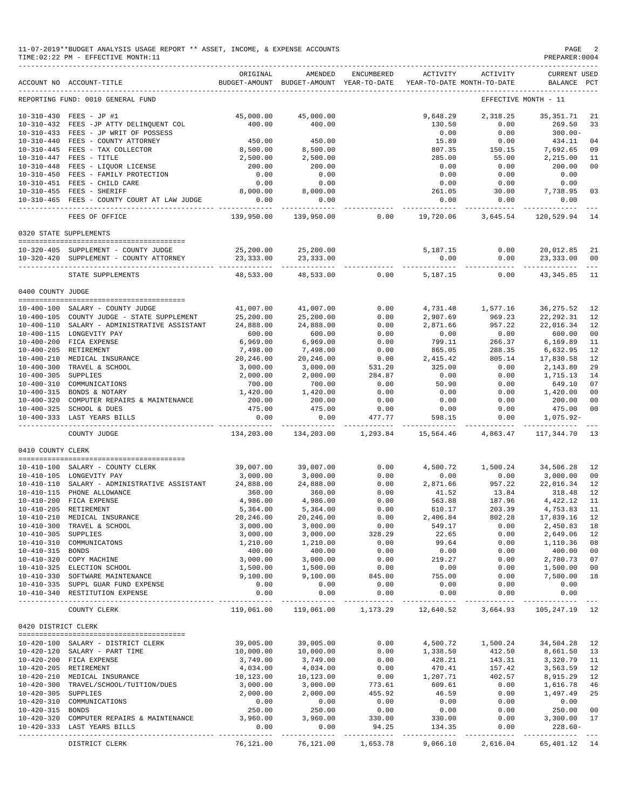|                     | 11-07-2019**BUDGET ANALYSIS USAGE REPORT ** ASSET, INCOME, & EXPENSE ACCOUNTS<br>TIME: 02:22 PM - EFFECTIVE MONTH: 11<br>_______________________________ |                          |                           |              |                                                                                 |                        | PAGE 2<br>PREPARER: 0004           |                |
|---------------------|----------------------------------------------------------------------------------------------------------------------------------------------------------|--------------------------|---------------------------|--------------|---------------------------------------------------------------------------------|------------------------|------------------------------------|----------------|
|                     | ACCOUNT NO ACCOUNT-TITLE                                                                                                                                 | ORIGINAL                 | AMENDED                   | ENCUMBERED   | ACTIVITY<br>BUDGET-AMOUNT BUDGET-AMOUNT YEAR-TO-DATE YEAR-TO-DATE MONTH-TO-DATE | ACTIVITY               | <b>CURRENT USED</b><br>BALANCE PCT |                |
|                     | REPORTING FUND: 0010 GENERAL FUND                                                                                                                        |                          |                           |              |                                                                                 |                        | EFFECTIVE MONTH - 11               |                |
|                     | 10-310-430 FEES - JP #1                                                                                                                                  | 45,000.00                | 45,000.00                 |              | 9,648.29                                                                        | 2,318.25               | 35,351.71                          | 21             |
|                     | 10-310-432 FEES -JP ATTY DELINQUENT COL                                                                                                                  | 400.00                   | 400.00                    |              | 130.50                                                                          | 0.00                   | 269.50                             | 33             |
|                     | 10-310-433 FEES - JP WRIT OF POSSESS                                                                                                                     |                          |                           |              | 0.00                                                                            | 0.00                   | $300.00 -$                         |                |
|                     | 10-310-440 FEES - COUNTY ATTORNEY                                                                                                                        | 450.00                   | 450.00                    |              | 15.89                                                                           | 0.00                   | 434.11                             | 04             |
|                     | 10-310-445 FEES - TAX COLLECTOR<br>10-310-447 FEES - TITLE                                                                                               | 8,500.00<br>2,500.00     | 8,500.00<br>2,500.00      |              | 807.35<br>285.00                                                                | 150.15<br>55.00        | 7,692.65<br>2,215.00               | 09<br>11       |
|                     | 10-310-448 FEES - LIQUOR LICENSE                                                                                                                         | 200.00                   | 200.00                    |              | 0.00                                                                            | 0.00                   | 200.00                             | 00             |
|                     | 10-310-450 FEES - FAMILY PROTECTION                                                                                                                      | 0.00                     | 0.00                      |              | 0.00                                                                            | 0.00                   | 0.00                               |                |
|                     | 10-310-451 FEES - CHILD CARE                                                                                                                             | 0.00                     | 0.00                      |              | 0.00                                                                            | 0.00                   | 0.00                               |                |
|                     | 10-310-455 FEES - SHERIFF<br>10-310-465 FEES - COUNTY COURT AT LAW JUDGE                                                                                 | 8,000.00<br>0.00         | 8,000.00<br>0.00          |              | 261.05<br>0.00                                                                  | 30.00<br>0.00          | 7,738.95<br>0.00                   | 03             |
|                     | FEES OF OFFICE                                                                                                                                           | ----------<br>139,950.00 | ----------<br>139,950.00  | 0.00         | ------------<br>19,720.06                                                       | ----------<br>3,645.54 | -----------<br>120,529.94 14       |                |
|                     | 0320 STATE SUPPLEMENTS                                                                                                                                   |                          |                           |              |                                                                                 |                        |                                    |                |
|                     | 10-320-405 SUPPLEMENT - COUNTY JUDGE                                                                                                                     | 25,200.00                | 25,200.00                 |              | 5,187.15                                                                        | 0.00                   | 20,012.85                          | 21             |
|                     | 10-320-420 SUPPLEMENT - COUNTY ATTORNEY                                                                                                                  | 23,333.00<br>__________  | 23,333.00<br>------------ |              | 0.00                                                                            | 0.00<br>----------     | 23,333.00                          | 00             |
|                     | STATE SUPPLEMENTS                                                                                                                                        | 48,533.00                | 48,533.00                 | 0.00         | 5,187.15                                                                        | 0.00                   | 43,345.85                          | - 11           |
| 0400 COUNTY JUDGE   |                                                                                                                                                          |                          |                           |              |                                                                                 |                        |                                    |                |
|                     | 10-400-100 SALARY - COUNTY JUDGE                                                                                                                         | 41,007.00                | 41,007.00                 | 0.00         | 4,731.48                                                                        | 1,577.16               | 36, 275.52                         | 12             |
|                     | 10-400-105 COUNTY JUDGE - STATE SUPPLEMENT                                                                                                               | 25,200.00                | 25,200.00                 | 0.00         | 2,907.69                                                                        | 969.23                 | 22,292.31                          | 12             |
|                     | 10-400-110 SALARY - ADMINISTRATIVE ASSISTANT                                                                                                             | 24,888.00                | 24,888.00                 | 0.00         | 2,871.66                                                                        | 957.22                 | 22,016.34                          | 12             |
|                     | 10-400-115 LONGEVITY PAY                                                                                                                                 | 600.00                   | 600.00                    | 0.00         | 0.00                                                                            | 0.00                   | 600.00                             | 00             |
|                     | 10-400-200 FICA EXPENSE<br>10-400-205 RETIREMENT                                                                                                         | 6,969.00<br>7,498.00     | 6,969.00<br>7,498.00      | 0.00<br>0.00 | 799.11<br>865.05                                                                | 266.37<br>288.35       | 6,169.89<br>6,632.95               | 11<br>12       |
|                     | 10-400-210 MEDICAL INSURANCE                                                                                                                             | 20,246.00                | 20,246.00                 | 0.00         | 2,415.42                                                                        | 805.14                 | 17,830.58                          | 12             |
|                     | 10-400-300 TRAVEL & SCHOOL                                                                                                                               | 3,000.00                 | 3,000.00                  | 531.20       | 325.00                                                                          | 0.00                   | 2,143.80                           | 29             |
| 10-400-305 SUPPLIES |                                                                                                                                                          | 2,000.00                 | 2,000.00                  | 284.87       | 0.00                                                                            | 0.00                   | 1,715.13                           | 14             |
|                     | 10-400-310 COMMUNICATIONS                                                                                                                                | 700.00                   | 700.00                    | 0.00         | 50.90                                                                           | 0.00                   | 649.10                             | 07             |
|                     | 10-400-315 BONDS & NOTARY                                                                                                                                | 1,420.00                 | 1,420.00<br>200.00        | 0.00         | 0.00                                                                            | 0.00                   | 1,420.00<br>200.00                 | 00<br>00       |
|                     | 10-400-320 COMPUTER REPAIRS & MAINTENANCE<br>10-400-325 SCHOOL & DUES                                                                                    | 200.00<br>475.00         | 475.00                    | 0.00<br>0.00 | 0.00<br>0.00                                                                    | 0.00<br>0.00           | 475.00                             | 0 <sup>0</sup> |
|                     | 10-400-333 LAST YEARS BILLS                                                                                                                              | 0.00<br>------------     | 0.00                      | 477.77       | 598.15                                                                          | 0.00                   | 1,075.92-<br>-------------         |                |
|                     | COUNTY JUDGE                                                                                                                                             | 134,203.00               | 134,203.00                | 1,293.84     | 15,564.46                                                                       |                        | 4,863.47 117,344.70                | 13             |
| 0410 COUNTY CLERK   |                                                                                                                                                          |                          |                           |              |                                                                                 |                        |                                    |                |
|                     | 10-410-100 SALARY - COUNTY CLERK                                                                                                                         | 39,007.00                | 39,007.00                 | 0.00         | 4,500.72                                                                        | 1,500.24               | 34,506.28                          | 12             |
|                     | 10-410-105 LONGEVITY PAY                                                                                                                                 | 3,000.00                 | 3,000.00                  | 0.00         | 0.00                                                                            | 0.00                   | 3,000.00                           | 00             |
|                     | 10-410-110 SALARY - ADMINISTRATIVE ASSISTANT                                                                                                             | 24,888.00                | 24,888.00                 | 0.00         | 2,871.66                                                                        | 957.22                 | 22,016.34                          | 12             |
|                     | 10-410-115 PHONE ALLOWANCE                                                                                                                               | 360.00                   | 360.00                    | 0.00         | 41.52                                                                           | 13.84                  | 318.48                             | 12             |
|                     | 10-410-200 FICA EXPENSE                                                                                                                                  | 4,986.00                 | 4,986.00                  | 0.00         | 563.88                                                                          | 187.96                 | 4,422.12 11                        |                |
|                     | 10-410-205 RETIREMENT<br>10-410-210 MEDICAL INSURANCE                                                                                                    | 5,364.00<br>20,246.00    | 5,364.00<br>20,246.00     | 0.00<br>0.00 | 610.17<br>2,406.84                                                              | 203.39<br>802.28       | 4,753.83 11<br>17,839.16 12        |                |
|                     | 10-410-300 TRAVEL & SCHOOL                                                                                                                               | 3,000.00                 | 3,000.00                  | 0.00         | 549.17                                                                          | 0.00                   | 2,450.83 18                        |                |
| 10-410-305 SUPPLIES |                                                                                                                                                          | 3,000.00                 | 3,000.00                  | 328.29       | 22.65                                                                           | 0.00                   | 2,649.06                           | 12             |
|                     | 10-410-310 COMMUNICATONS                                                                                                                                 | 1,210.00                 | 1,210.00                  | 0.00         | 99.64                                                                           | 0.00                   | 1,110.36                           | 08             |
| 10-410-315 BONDS    |                                                                                                                                                          | 400.00                   | 400.00                    | 0.00         | 0.00                                                                            | 0.00                   | 400.00                             | 00             |
|                     | 10-410-320 COPY MACHINE<br>10-410-325 ELECTION SCHOOL                                                                                                    | 3,000.00<br>1,500.00     | 3,000.00<br>1,500.00      | 0.00<br>0.00 | 219.27<br>0.00                                                                  | 0.00<br>0.00           | 2,780.73 07<br>1,500.00            | 00             |
|                     | 10-410-330 SOFTWARE MAINTENANCE                                                                                                                          | 9,100.00                 | 9,100.00                  | 845.00       | 755.00                                                                          | 0.00                   | 7,500.00                           | 18             |
|                     | 10-410-335 SUPPL GUAR FUND EXPENSE                                                                                                                       | 0.00                     | 0.00                      | 0.00         | 0.00                                                                            | 0.00                   | 0.00                               |                |
|                     | 10-410-340 RESTITUTION EXPENSE                                                                                                                           | 0.00                     | 0.00                      | 0.00         | 0.00                                                                            | 0.00                   | 0.00<br>-------------              |                |
|                     | COUNTY CLERK                                                                                                                                             | 119,061.00               | 119,061.00                | 1,173.29     | 12,640.52                                                                       | 3,664.93               | 105, 247. 19 12                    |                |
| 0420 DISTRICT CLERK |                                                                                                                                                          |                          |                           |              |                                                                                 |                        |                                    |                |
|                     | 10-420-100 SALARY - DISTRICT CLERK                                                                                                                       | 39,005.00                | 39,005.00                 | 0.00         | 4,500.72                                                                        | 1,500.24               | 34,504.28 12                       |                |
|                     | 10-420-120 SALARY - PART TIME                                                                                                                            | 10,000.00                | 10,000.00                 | 0.00         | 1,338.50                                                                        | 412.50                 | 8,661.50 13                        |                |
|                     | 10-420-200 FICA EXPENSE                                                                                                                                  | 3,749.00                 | 3,749.00                  | 0.00         | 428.21                                                                          | 143.31                 | 3,320.79                           | 11             |
|                     | 10-420-205 RETIREMENT<br>10-420-210 MEDICAL INSURANCE                                                                                                    | 4,034.00<br>10,123.00    | 4,034.00<br>10,123.00     | 0.00<br>0.00 | 470.41<br>1,207.71                                                              | 157.42<br>402.57       | 3,563.59<br>8,915.29 12            | 12             |
|                     | 10-420-300 TRAVEL/SCHOOL/TUITION/DUES                                                                                                                    | 3,000.00                 | 3,000.00                  | 773.61       | 609.61                                                                          | 0.00                   | 1,616.78                           | 46             |
| 10-420-305 SUPPLIES |                                                                                                                                                          | 2,000.00                 | 2,000.00                  | 455.92       | 46.59                                                                           | 0.00                   | 1,497.49                           | 25             |
|                     | 10-420-310 COMMUNICATIONS                                                                                                                                | 0.00                     |                           | 0.00         | 0.00                                                                            | 0.00                   | 0.00                               |                |
| 10-420-315 BONDS    |                                                                                                                                                          | 250.00                   | $0.00$<br>$250.00$        | 0.00         | 0.00                                                                            | 0.00                   | 250.00                             | 00             |
|                     | 10-420-320 COMPUTER REPAIRS & MAINTENANCE                                                                                                                | 3,960.00                 | 3,960.00                  | 330.00       | 330.00                                                                          | 0.00                   | 3,300.00 17                        |                |
|                     | 10-420-333 LAST YEARS BILLS                                                                                                                              | 0.00                     | 0.00                      | 94.25        | 134.35                                                                          | 0.00                   | $228.60 -$                         |                |
|                     | DISTRICT CLERK                                                                                                                                           | 76,121.00                | 76,121.00                 | 1,653.78     | 9,066.10                                                                        |                        | 2,616.04 65,401.12 14              |                |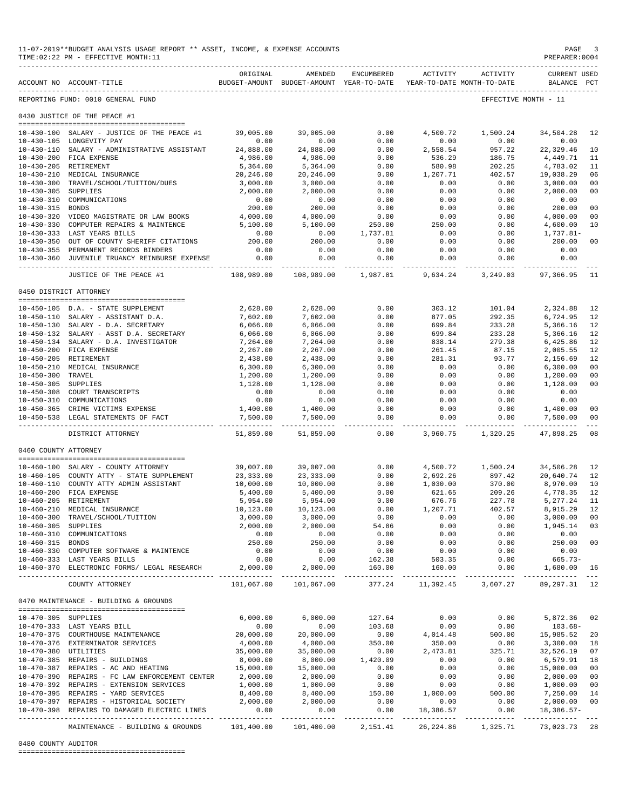|                       | 11-07-2019**BUDGET ANALYSIS USAGE REPORT ** ASSET, INCOME, & EXPENSE ACCOUNTS<br>TIME: 02:22 PM - EFFECTIVE MONTH: 11 |                            |                                                                                |                        |                           |                               | $\mathop{\mathtt{PAGE}}$<br>PREPARER:0004 | -3                               |
|-----------------------|-----------------------------------------------------------------------------------------------------------------------|----------------------------|--------------------------------------------------------------------------------|------------------------|---------------------------|-------------------------------|-------------------------------------------|----------------------------------|
|                       | ACCOUNT NO ACCOUNT-TITLE                                                                                              | ORIGINAL                   | AMENDED<br>BUDGET-AMOUNT BUDGET-AMOUNT YEAR-TO-DATE YEAR-TO-DATE MONTH-TO-DATE | ENCUMBERED             |                           | ACTIVITY ACTIVITY             | <b>CURRENT USED</b><br>BALANCE PCT        |                                  |
|                       | ------------------------------<br>REPORTING FUND: 0010 GENERAL FUND                                                   |                            |                                                                                |                        |                           |                               | EFFECTIVE MONTH - 11                      |                                  |
|                       | 0430 JUSTICE OF THE PEACE #1                                                                                          |                            |                                                                                |                        |                           |                               |                                           |                                  |
|                       | 10-430-100 SALARY - JUSTICE OF THE PEACE #1                                                                           | 39,005.00                  | 39,005.00                                                                      | 0.00                   | 4,500.72                  | 1,500.24                      | 34,504.28                                 | 12                               |
|                       | 10-430-105 LONGEVITY PAY                                                                                              | 0.00                       | 0.00                                                                           | 0.00                   | 0.00                      | 0.00                          | 0.00                                      |                                  |
|                       | 10-430-110 SALARY - ADMINISTRATIVE ASSISTANT                                                                          | 24,888.00                  | 24,888.00                                                                      | 0.00                   | 2,558.54                  | 957.22                        | 22,329.46                                 | 10                               |
|                       | 10-430-200 FICA EXPENSE                                                                                               | 4,986.00                   | 4,986.00                                                                       | 0.00                   | 536.29                    | 186.75                        | 4,449.71                                  | 11                               |
| 10-430-205 RETIREMENT |                                                                                                                       | 5,364.00                   | 5,364.00                                                                       | 0.00                   | 580.98                    | 202.25                        | 4,783.02                                  | 11<br>06                         |
|                       | 10-430-210 MEDICAL INSURANCE<br>10-430-300 TRAVEL/SCHOOL/TUITION/DUES                                                 | 20,246.00<br>3,000.00      | 20,246.00<br>3,000.00                                                          | 0.00<br>0.00           | 1,207.71<br>0.00          | 402.57<br>0.00                | 19,038.29<br>3,000.00                     | 0 <sub>0</sub>                   |
| 10-430-305 SUPPLIES   |                                                                                                                       | 2,000.00                   | 2,000.00                                                                       | 0.00                   | 0.00                      | 0.00                          | 2,000.00                                  | 0 <sub>0</sub>                   |
| $10 - 430 - 310$      | COMMUNICATIONS                                                                                                        | 0.00                       | 0.00                                                                           | 0.00                   | 0.00                      | 0.00                          | 0.00                                      |                                  |
| 10-430-315 BONDS      |                                                                                                                       | 200.00                     | 200.00                                                                         | 0.00                   | 0.00                      | 0.00                          | 200.00                                    | 0 <sub>0</sub>                   |
|                       | 10-430-320 VIDEO MAGISTRATE OR LAW BOOKS                                                                              | 4,000.00                   | 4,000.00<br>5,100.00                                                           | 0.00<br>250.00         | 0.00<br>250.00            | 0.00<br>0.00                  | 4,000.00                                  | 0 <sub>0</sub><br>10             |
|                       | 10-430-330 COMPUTER REPAIRS & MAINTENCE 5,100.00<br>10-430-333 LAST YEARS BILLS                                       | 0.00                       | 0.00                                                                           | 1,737.81               | 0.00                      | 0.00                          | 4,600.00<br>1,737.81-                     |                                  |
|                       | 10-430-350 OUT OF COUNTY SHERIFF CITATIONS                                                                            | 200.00                     | 200.00                                                                         | 0.00                   | 0.00                      | 0.00                          | 200.00                                    | 0 <sub>0</sub>                   |
|                       | 10-430-355 PERMANENT RECORDS BINDERS                                                                                  | 0.00                       | 0.00                                                                           | 0.00                   | 0.00                      | 0.00                          | 0.00                                      |                                  |
|                       | 10-430-360 JUVENILE TRUANCY REINBURSE EXPENSE<br>_________________________________                                    | 0.00                       | 0.00                                                                           | 0.00                   | 0.00                      | 0.00                          | 0.00                                      |                                  |
|                       | JUSTICE OF THE PEACE #1                                                                                               | 108,989.00                 | 108,989.00                                                                     | 1,987.81               | 9,634.24                  | 3,249.03                      | 97,366.95                                 | 11                               |
|                       | 0450 DISTRICT ATTORNEY                                                                                                |                            |                                                                                |                        |                           |                               |                                           |                                  |
|                       | 10-450-105 D.A. - STATE SUPPLEMENT                                                                                    | 2,628.00                   | 2,628.00                                                                       | 0.00                   | 303.12                    | 101.04                        | 2,324.88                                  | 12                               |
|                       | 10-450-110 SALARY - ASSISTANT D.A.                                                                                    | 7,602.00                   | 7,602.00                                                                       | 0.00                   | 877.05                    | 292.35                        | 6,724.95                                  | 12                               |
|                       | 10-450-130 SALARY - D.A. SECRETARY                                                                                    | 6,066.00                   | 6,066.00                                                                       | 0.00                   | 699.84                    | 233.28                        | 5,366.16                                  | 12                               |
|                       | 10-450-132 SALARY - ASST D.A. SECRETARY                                                                               | 6,066.00                   | 6,066.00                                                                       | 0.00                   | 699.84                    | 233.28                        | 5,366.16                                  | 12                               |
|                       | 10-450-134 SALARY - D.A. INVESTIGATOR                                                                                 | 7,264.00                   | 7,264.00                                                                       | 0.00                   | 838.14                    | 279.38                        | 6,425.86                                  | 12                               |
|                       | 10-450-200 FICA EXPENSE                                                                                               | 2,267.00                   | 2,267.00                                                                       | 0.00                   | 261.45                    | 87.15                         | 2,005.55                                  | 12                               |
|                       | 10-450-205 RETIREMENT<br>10-450-210 MEDICAL INSURANCE                                                                 | 2,438.00<br>6,300.00       | 2,438.00<br>6,300.00                                                           | 0.00<br>0.00           | 281.31<br>0.00            | 93.77<br>0.00                 | 2,156.69<br>6,300.00                      | 12<br>0 <sub>0</sub>             |
| 10-450-300 TRAVEL     |                                                                                                                       | 1,200.00                   | 1,200.00                                                                       | 0.00                   | 0.00                      | 0.00                          | 1,200.00                                  | 0 <sub>0</sub>                   |
| 10-450-305 SUPPLIES   |                                                                                                                       | 1,128.00                   | 1,128.00                                                                       | 0.00                   | 0.00                      | 0.00                          | 1,128.00                                  | 0 <sub>0</sub>                   |
|                       | 10-450-308 COURT TRANSCRIPTS                                                                                          | 0.00                       | 0.00                                                                           | 0.00                   | 0.00                      | 0.00                          | 0.00                                      |                                  |
|                       | 10-450-310 COMMUNICATIONS                                                                                             | 0.00                       | 0.00                                                                           | 0.00                   | 0.00                      | 0.00                          | 0.00                                      |                                  |
|                       | 10-450-365 CRIME VICTIMS EXPENSE<br>10-450-538 LEGAL STATEMENTS OF FACT                                               | 1,400.00<br>7,500.00       | 1,400.00<br>7,500.00                                                           | 0.00<br>0.00           | 0.00<br>0.00              | 0.00<br>0.00                  | 1,400.00<br>7,500.00                      | 0 <sup>0</sup><br>0 <sub>0</sub> |
|                       | DISTRICT ATTORNEY                                                                                                     | -------------<br>51,859.00 | 51,859.00                                                                      | 0.00                   | .<br>3,960.75             | 1,320.25                      | ------------- --------------<br>47,898.25 | $- - -$<br>08                    |
| 0460 COUNTY ATTORNEY  |                                                                                                                       |                            |                                                                                |                        |                           |                               |                                           |                                  |
|                       |                                                                                                                       |                            |                                                                                |                        |                           |                               |                                           |                                  |
|                       | 10-460-100 SALARY - COUNTY ATTORNEY                                                                                   | 39,007.00                  | 39,007.00                                                                      | 0.00                   |                           | 4,500.72 1,500.24             | 34,506.28                                 | 12                               |
|                       | 10-460-105 COUNTY ATTY - STATE SUPPLEMENT                                                                             | 23,333.00                  | 23, 333.00                                                                     | 0.00                   | 2,692.26                  | 897.42                        | 20,640.74                                 | 12                               |
|                       | 10-460-110 COUNTY ATTY ADMIN ASSISTANT<br>10-460-200 FICA EXPENSE                                                     | 10,000.00                  | 10,000.00<br>5,400.00                                                          | 0.00<br>0.00           | 1,030.00<br>621.65        | 370.00                        | 8,970.00                                  | 10<br>12                         |
| 10-460-205 RETIREMENT |                                                                                                                       | 5,400.00<br>5,954.00       | 5,954.00                                                                       | 0.00                   | 676.76                    | 209.26<br>227.78              | 4,778.35<br>5,277.24                      | 11                               |
|                       | 10-460-210 MEDICAL INSURANCE                                                                                          | 10,123.00                  | 10,123.00                                                                      | 0.00                   | 1,207.71                  | 402.57                        | 8,915.29                                  | 12                               |
|                       | 10-460-300 TRAVEL/SCHOOL/TUITION                                                                                      | 3,000.00                   | 3,000.00                                                                       | 0.00                   | 0.00                      | 0.00                          | 3,000.00                                  | 0 <sub>0</sub>                   |
| 10-460-305 SUPPLIES   |                                                                                                                       | 2,000.00                   | 2,000.00                                                                       | 54.86                  | 0.00                      | 0.00                          | 1,945.14                                  | 03                               |
|                       | 10-460-310 COMMUNICATIONS                                                                                             | 0.00                       | 0.00                                                                           | 0.00                   | 0.00                      | 0.00                          | 0.00                                      |                                  |
| 10-460-315 BONDS      | 10-460-330 COMPUTER SOFTWARE & MAINTENCE                                                                              | 250.00<br>0.00             | 250.00<br>0.00                                                                 | 0.00<br>0.00           | 0.00<br>0.00              | 0.00<br>0.00                  | 250.00<br>0.00                            | 0 <sub>0</sub>                   |
|                       | 10-460-333 LAST YEARS BILLS                                                                                           | 0.00                       | 0.00                                                                           | 162.38                 | 503.35                    | 0.00                          | 665.73-                                   |                                  |
|                       | 10-460-370 ELECTRONIC FORMS/ LEGAL RESEARCH                                                                           | 2,000.00                   | 2,000.00                                                                       | 160.00                 | 160.00                    | 0.00<br>. _ _ _ _ _ _ _ _ _ _ | 1,680.00<br>--------------                | 16                               |
|                       | COUNTY ATTORNEY                                                                                                       | 101,067.00                 | -------------<br>101,067.00                                                    | ------------<br>377.24 | 11,392.45                 | 3,607.27                      | 89, 297. 31 12                            |                                  |
|                       | 0470 MAINTENANCE - BUILDING & GROUNDS                                                                                 |                            |                                                                                |                        |                           |                               |                                           |                                  |
|                       |                                                                                                                       | 6,000.00                   | 6.000.00                                                                       |                        |                           | 0.00                          | 5,872.36                                  |                                  |
| 10-470-305 SUPPLIES   | 10-470-333 LAST YEARS BILL                                                                                            | 0.00                       | 0.00                                                                           | 127.64<br>103.68       | 0.00<br>0.00              | 0.00                          | $103.68 -$                                | 02                               |
|                       | 10-470-375 COURTHOUSE MAINTENANCE                                                                                     | 20,000.00                  | 20,000.00                                                                      | 0.00                   | 4,014.48                  | 500.00                        | 15,985.52                                 | 20                               |
|                       | 10-470-376 EXTERMINATOR SERVICES                                                                                      | 4,000.00                   | 4,000.00                                                                       | 350.00                 | 350.00                    | 0.00                          | 3,300.00                                  | 18                               |
| 10-470-380 UTILITIES  |                                                                                                                       | 35,000.00                  | 35,000.00                                                                      | 0.00                   | 2,473.81                  | 325.71                        | 32,526.19                                 | 07                               |
|                       | 10-470-385 REPAIRS - BUILDINGS                                                                                        | 8,000.00                   | 8,000.00                                                                       | 1,420.09               | 0.00                      | 0.00                          | 6,579.91                                  | 18                               |
|                       | 10-470-387 REPAIRS - AC AND HEATING<br>10-470-390 REPAIRS - FC LAW ENFORCEMENT CENTER                                 | 15,000.00<br>2,000.00      | 15,000.00<br>2,000.00                                                          | 0.00<br>0.00           | 0.00<br>0.00              | 0.00<br>0.00                  | 15,000.00<br>2,000.00                     | 0 <sub>0</sub><br>0 <sub>0</sub> |
|                       | 10-470-392 REPAIRS - EXTENSION SERVICES                                                                               | 1,000.00                   | 1,000.00                                                                       | 0.00                   | 0.00                      | 0.00                          | 1,000.00                                  | 0 <sub>0</sub>                   |
|                       | 10-470-395 REPAIRS - YARD SERVICES                                                                                    | 8,400.00                   | 8,400.00                                                                       | 150.00                 | 1,000.00                  | 500.00                        | 7,250.00                                  | 14                               |
|                       | 10-470-397 REPAIRS - HISTORICAL SOCIETY                                                                               | 2,000.00                   | 2,000.00                                                                       | 0.00                   | 0.00                      | 0.00                          | 2,000.00                                  | 0 <sub>0</sub>                   |
|                       | 10-470-398 REPAIRS TO DAMAGED ELECTRIC LINES<br>--------------------------------                                      | 0.00<br>-----------        | 0.00<br>-----------                                                            | 0.00<br>-----------    | 18,386.57<br>------------ | 0.00<br>-----------           | $18,386.57-$<br>-------------             |                                  |
|                       | MAINTENANCE - BUILDING & GROUNDS                                                                                      | 101,400.00                 | 101,400.00                                                                     | 2,151.41               | 26, 224.86                | 1,325.71                      | 73,023.73                                 | 28                               |

#### 0480 COUNTY AUDITOR

========================================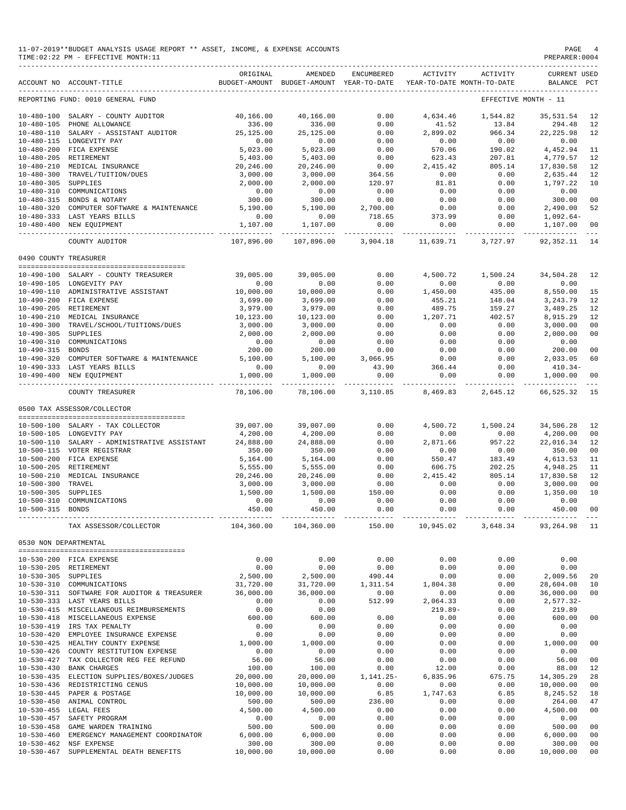|                       | 11-07-2019**BUDGET ANALYSIS USAGE REPORT ** ASSET, INCOME, & EXPENSE ACCOUNTS<br>TIME: 02:22 PM - EFFECTIVE MONTH: 11 |                        |                                                     |                          |                    |                                        | PAGE<br>PREPARER: 0004         |                     |
|-----------------------|-----------------------------------------------------------------------------------------------------------------------|------------------------|-----------------------------------------------------|--------------------------|--------------------|----------------------------------------|--------------------------------|---------------------|
|                       | ACCOUNT NO ACCOUNT-TITLE                                                                                              | ORIGINAL               | AMENDED<br>BUDGET-AMOUNT BUDGET-AMOUNT YEAR-TO-DATE | ENCUMBERED               | ACTIVITY           | ACTIVITY<br>YEAR-TO-DATE MONTH-TO-DATE | <b>CURRENT USED</b><br>BALANCE | PCT                 |
|                       | REPORTING FUND: 0010 GENERAL FUND                                                                                     |                        |                                                     |                          |                    |                                        | EFFECTIVE MONTH - 11           |                     |
|                       | 10-480-100 SALARY - COUNTY AUDITOR                                                                                    | 40,166.00              | 40,166.00                                           | 0.00                     | 4,634.46           | 1,544.82                               | 35,531.54                      | 12                  |
|                       | 10-480-105 PHONE ALLOWANCE                                                                                            | 336.00                 | 336.00                                              | 0.00                     | 41.52              | 13.84                                  | 294.48                         | 12                  |
|                       | 10-480-110 SALARY - ASSISTANT AUDITOR                                                                                 | 25,125.00              | 25,125.00                                           | 0.00                     | 2,899.02           | 966.34                                 | 22, 225.98                     | 12                  |
|                       | 10-480-115 LONGEVITY PAY                                                                                              | 0.00                   | 0.00                                                | 0.00                     | 0.00               | 0.00                                   | 0.00                           |                     |
|                       | 10-480-200 FICA EXPENSE                                                                                               | 5,023.00               | 5,023.00                                            | 0.00                     | 570.06             | 190.02                                 | 4,452.94                       | 11                  |
|                       | 10-480-205 RETIREMENT                                                                                                 | 5,403.00               | 5,403.00                                            | 0.00                     | 623.43             | 207.81                                 | 4,779.57                       | 12                  |
|                       | 10-480-210 MEDICAL INSURANCE<br>10-480-300 TRAVEL/TUITION/DUES                                                        | 20,246.00              | 20,246.00                                           | 0.00<br>364.56           | 2,415.42<br>0.00   | 805.14<br>0.00                         | 17,830.58<br>2,635.44          | 12<br>12            |
| 10-480-305 SUPPLIES   |                                                                                                                       | 3,000.00<br>2,000.00   | 3,000.00<br>2,000.00                                | 120.97                   | 81.81              | 0.00                                   | 1,797.22                       | 10                  |
|                       | 10-480-310 COMMUNICATIONS                                                                                             | 0.00                   | 0.00                                                | 0.00                     | 0.00               | 0.00                                   | 0.00                           |                     |
|                       | 10-480-315 BONDS & NOTARY                                                                                             | 300.00                 | 300.00                                              | 0.00                     | 0.00               | 0.00                                   | 300.00                         | 00                  |
|                       | 10-480-320 COMPUTER SOFTWARE & MAINTENANCE                                                                            | 5,190.00               | 5,190.00                                            | 2,700.00                 | 0.00               | 0.00                                   | 2,490.00                       | 52                  |
|                       | 10-480-333 LAST YEARS BILLS                                                                                           | 0.00                   | 0.00                                                | 718.65                   | 373.99             | 0.00                                   | $1,092.64-$                    |                     |
|                       | 10-480-400 NEW EQUIPMENT                                                                                              | 1,107.00               | 1,107.00                                            | 0.00                     | 0.00               | 0.00                                   | 1,107.00                       | 00                  |
|                       | COUNTY AUDITOR                                                                                                        | 107,896.00             | ------------<br>107,896.00                          | ------------<br>3,904.18 | 11,639.71          | 3,727.97                               | 92, 352.11                     | $\frac{1}{2}$<br>14 |
| 0490 COUNTY TREASURER |                                                                                                                       |                        |                                                     |                          |                    |                                        |                                |                     |
|                       |                                                                                                                       |                        |                                                     |                          |                    |                                        |                                |                     |
|                       | 10-490-100 SALARY - COUNTY TREASURER                                                                                  | 39,005.00              | 39,005.00                                           | 0.00                     | 4,500.72           | 1,500.24                               | 34,504.28                      | 12                  |
|                       | 10-490-105 LONGEVITY PAY                                                                                              | 0.00                   | 0.00                                                | 0.00                     | 0.00               | 0.00                                   | 0.00                           |                     |
|                       | 10-490-110 ADMINISTRATIVE ASSISTANT                                                                                   | 10,000.00              | 10,000.00                                           | 0.00                     | 1,450.00           | 435.00                                 | 8,550.00                       | 15                  |
|                       | 10-490-200 FICA EXPENSE                                                                                               | 3,699.00               | 3,699.00                                            | 0.00                     | 455.21             | 148.04                                 | 3, 243.79                      | 12                  |
|                       | 10-490-205 RETIREMENT<br>10-490-210 MEDICAL INSURANCE                                                                 | 3,979.00<br>10,123.00  | 3,979.00<br>10,123.00                               | 0.00<br>0.00             | 489.75<br>1,207.71 | 159.27<br>402.57                       | 3,489.25<br>8,915.29           | 12<br>12            |
| $10 - 490 - 300$      | TRAVEL/SCHOOL/TUITIONS/DUES                                                                                           | 3,000.00               | 3,000.00                                            | 0.00                     | 0.00               | 0.00                                   | 3,000.00                       | 00                  |
| 10-490-305 SUPPLIES   |                                                                                                                       | 2,000.00               | 2,000.00                                            | 0.00                     | 0.00               | 0.00                                   | 2,000.00                       | 00                  |
| $10 - 490 - 310$      | COMMUNICATIONS                                                                                                        | 0.00                   | 0.00                                                | 0.00                     | 0.00               | 0.00                                   | 0.00                           |                     |
| 10-490-315 BONDS      |                                                                                                                       | 200.00                 | 200.00                                              | 0.00                     | 0.00               | 0.00                                   | 200.00                         | 00                  |
|                       | 10-490-320 COMPUTER SOFTWARE & MAINTENANCE                                                                            | 5,100.00               | 5,100.00                                            | 3,066.95                 | 0.00               | 0.00                                   | 2,033.05                       | 60                  |
|                       | 10-490-333 LAST YEARS BILLS                                                                                           | 0.00                   | 0.00                                                | 43.90                    | 366.44             | 0.00                                   | $410.34-$                      |                     |
|                       | 10-490-400 NEW EQUIPMENT                                                                                              | 1,000.00               | 1,000.00<br>__________                              | 0.00<br>-------------    | 0.00               | 0.00                                   | 1,000.00<br>______________     | 00                  |
|                       | COUNTY TREASURER                                                                                                      | 78,106.00              | 78,106.00                                           | 3,110.85                 | 8,469.83           | 2,645.12                               | 66,525.32                      | 15                  |
|                       | 0500 TAX ASSESSOR/COLLECTOR                                                                                           |                        |                                                     |                          |                    |                                        |                                |                     |
|                       |                                                                                                                       |                        |                                                     |                          |                    |                                        |                                |                     |
|                       | 10-500-100 SALARY - TAX COLLECTOR                                                                                     | 39,007.00              | 39,007.00                                           | 0.00                     | 4,500.72           | 1,500.24                               | 34,506.28                      | 12                  |
|                       | 10-500-105 LONGEVITY PAY                                                                                              | 4,200.00               | 4,200.00                                            | 0.00                     | 0.00               | 0.00                                   | 4,200.00                       | 00                  |
|                       | 10-500-110 SALARY - ADMINISTRATIVE ASSISTANT<br>10-500-115 VOTER REGISTRAR                                            | 24,888.00<br>350.00    | 24,888.00<br>350.00                                 | 0.00<br>0.00             | 2,871.66<br>0.00   | 957.22<br>0.00                         | 22,016.34<br>350.00            | 12<br>00            |
|                       | 10-500-200 FICA EXPENSE                                                                                               | 5,164.00               | 5,164.00                                            | 0.00                     | 550.47             | 183.49                                 | 4,613.53                       | 11                  |
|                       | 10-500-205 RETIREMENT                                                                                                 | 5,555.00               | 5,555.00                                            | 0.00                     | 606.75             | 202.25                                 | 4,948.25                       | 11                  |
|                       | 10-500-210 MEDICAL INSURANCE                                                                                          | 20,246.00              | 20,246.00                                           | 0.00                     | 2,415.42           | 805.14                                 | 17,830.58                      | 12                  |
| $10 - 500 - 300$      | TRAVEL                                                                                                                | 3,000.00               | 3,000.00                                            | 0.00                     | 0.00               | 0.00                                   | 3,000.00                       | 00                  |
| 10-500-305 SUPPLIES   |                                                                                                                       | 1,500.00               | 1,500.00                                            | 150.00                   | 0.00               | 0.00                                   | 1,350.00                       | 10                  |
| $10 - 500 - 310$      | COMMUNICATIONS                                                                                                        | 0.00                   | 0.00                                                | 0.00                     | 0.00               | 0.00                                   | 0.00                           |                     |
| 10-500-315 BONDS      |                                                                                                                       | 450.00                 | 450.00<br>______________                            | 0.00                     | 0.00               | 0.00                                   | 450.00 00                      |                     |
|                       | TAX ASSESSOR/COLLECTOR                                                                                                | 104,360.00             | 104,360.00                                          | 150.00                   | 10,945.02          | 3,648.34                               | 93,264.98 11                   |                     |
| 0530 NON DEPARTMENTAL |                                                                                                                       |                        |                                                     |                          |                    |                                        |                                |                     |
|                       |                                                                                                                       | 0.00                   | 0.00                                                | 0.00                     | 0.00               | 0.00                                   | 0.00                           |                     |
|                       | 10-530-200 FICA EXPENSE<br>10-530-205 RETIREMENT                                                                      | 0.00                   | 0.00                                                | 0.00                     | 0.00               | 0.00                                   | 0.00                           |                     |
| 10-530-305 SUPPLIES   |                                                                                                                       | 2,500.00               | 2,500.00                                            | 490.44                   | 0.00               | 0.00                                   | 2,009.56                       | 20                  |
|                       | 10-530-310 COMMUNICATIONS                                                                                             | 31,720.00              | 31,720.00                                           | 1,311.54                 | 1,804.38           | 0.00                                   | 28,604.08                      | 10                  |
|                       | 10-530-311 SOFTWARE FOR AUDITOR & TREASURER                                                                           | 36,000.00              | 36,000.00                                           | 0.00                     | 0.00               | 0.00                                   | 36,000.00                      | 00                  |
|                       | 10-530-333 LAST YEARS BILLS                                                                                           | 0.00                   | 0.00                                                | 512.99                   | 2,064.33           | 0.00                                   | $2,577.32-$                    |                     |
|                       | 10-530-415 MISCELLANEOUS REIMBURSEMENTS                                                                               | 0.00                   | 0.00                                                |                          | $219.89 -$         | 0.00                                   | 219.89                         |                     |
|                       | 10-530-418 MISCELLANEOUS EXPENSE                                                                                      | 600.00                 | 600.00                                              | 0.00                     | 0.00               | 0.00                                   | 600.00                         | 00                  |
|                       | 10-530-419 IRS TAX PENALTY                                                                                            | 0.00                   | 0.00                                                | 0.00                     | 0.00               | 0.00                                   | 0.00                           |                     |
| $10 - 530 - 420$      | EMPLOYEE INSURANCE EXPENSE                                                                                            | 0.00                   | 0.00                                                | 0.00                     | 0.00               | 0.00                                   | 0.00                           |                     |
|                       | 10-530-425 HEALTHY COUNTY EXPENSE                                                                                     | 1,000.00               | 1,000.00                                            | 0.00                     | 0.00               | 0.00                                   | 1,000.00                       | 00                  |
|                       | 10-530-426 COUNTY RESTITUTION EXPENSE                                                                                 | 0.00                   | 0.00                                                | 0.00                     | 0.00               | 0.00                                   | 0.00                           |                     |
| 10-530-427            | TAX COLLECTOR REG FEE REFUND                                                                                          | 56.00                  | 56.00                                               | 0.00                     | 0.00               | 0.00                                   | 56.00                          | 00                  |
|                       | 10-530-430 BANK CHARGES                                                                                               | 100.00                 | 100.00                                              | 0.00                     | 12.00              | 0.00                                   | 88.00                          | 12                  |
|                       | 10-530-435 ELECTION SUPPLIES/BOXES/JUDGES                                                                             | 20,000.00              | 20,000.00                                           | $1, 141.25 -$            | 6,835.96           | 675.75                                 | 14,305.29                      | 28                  |
|                       | 10-530-436 REDISTRICTING CENUS<br>10-530-445 PAPER & POSTAGE                                                          | 10,000.00<br>10,000.00 | 10,000.00<br>10,000.00                              | 0.00<br>6.85             | 0.00<br>1,747.63   | 0.00<br>6.85                           | 10,000.00<br>8,245.52          | 00<br>18            |
|                       | 10-530-450 ANIMAL CONTROL                                                                                             | 500.00                 | 500.00                                              | 236.00                   | 0.00               | 0.00                                   | 264.00                         | 47                  |
|                       | 10-530-455 LEGAL FEES                                                                                                 | 4,500.00               | 4,500.00                                            | 0.00                     | 0.00               | 0.00                                   | 4,500.00                       | 00                  |
| $10 - 530 - 457$      | SAFETY PROGRAM                                                                                                        | 0.00                   | 0.00                                                | 0.00                     | 0.00               | 0.00                                   | 0.00                           |                     |
| $10 - 530 - 458$      | GAME WARDEN TRAINING                                                                                                  | 500.00                 | 500.00                                              | 0.00                     | 0.00               | 0.00                                   | 500.00                         | 00                  |
| $10 - 530 - 460$      | EMERGENCY MANAGEMENT COORDINATOR                                                                                      | 6,000.00               | 6,000.00                                            | 0.00                     | 0.00               | 0.00                                   | 6,000.00                       | 00                  |
|                       | 10-530-462 NSF EXPENSE                                                                                                | 300.00                 | 300.00                                              | 0.00                     | 0.00               | 0.00                                   | 300.00                         | 00                  |
| $10 - 530 - 467$      | SUPPLEMENTAL DEATH BENEFITS                                                                                           | 10,000.00              | 10,000.00                                           | 0.00                     | 0.00               | 0.00                                   | 10,000.00                      | 00                  |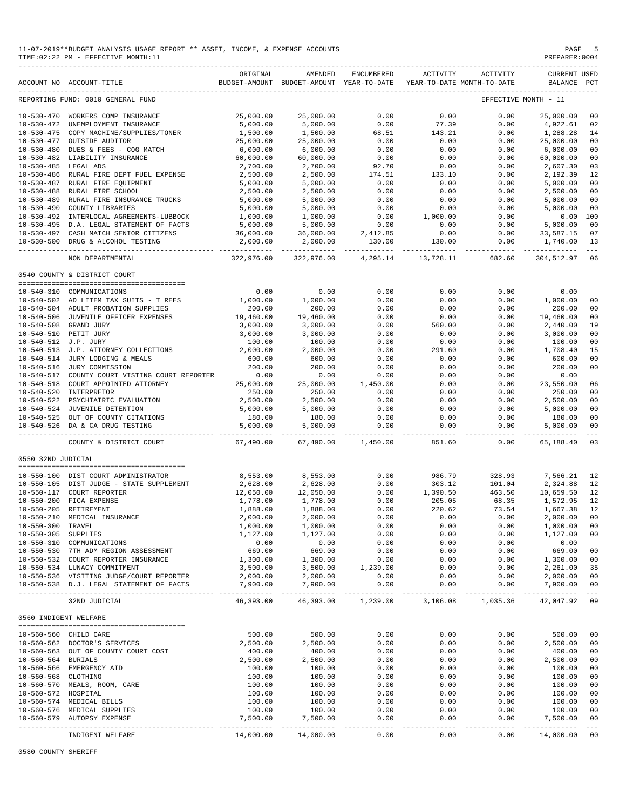|                                          | TIME:02:22 PM - EFFECTIVE MONTH:11                                                   |                        |                                                     |                    |                    |                                                 | PREPARER: 0004                     |                                  |
|------------------------------------------|--------------------------------------------------------------------------------------|------------------------|-----------------------------------------------------|--------------------|--------------------|-------------------------------------------------|------------------------------------|----------------------------------|
|                                          | ACCOUNT NO ACCOUNT-TITLE                                                             | ORIGINAL               | AMENDED<br>BUDGET-AMOUNT BUDGET-AMOUNT YEAR-TO-DATE | ENCUMBERED         |                    | ACTIVITY ACTIVITY<br>YEAR-TO-DATE MONTH-TO-DATE | <b>CURRENT USED</b><br>BALANCE PCT |                                  |
|                                          | REPORTING FUND: 0010 GENERAL FUND                                                    |                        |                                                     |                    |                    |                                                 | EFFECTIVE MONTH - 11               |                                  |
|                                          | 10-530-470 WORKERS COMP INSURANCE                                                    | 25,000.00              | 25,000.00                                           | 0.00               | 0.00               | 0.00                                            | 25,000.00                          | 00                               |
|                                          | 10-530-472 UNEMPLOYMENT INSURANCE                                                    | 5,000.00               | 5,000.00                                            | 0.00               | 77.39              | 0.00                                            | 4,922.61                           | 02                               |
|                                          | 10-530-475 COPY MACHINE/SUPPLIES/TONER                                               | 1,500.00               | 1,500.00                                            | 68.51              | 143.21             | 0.00                                            | 1,288.28                           | 14                               |
| $10 - 530 - 477$                         | OUTSIDE AUDITOR                                                                      | 25,000.00              | 25,000.00                                           | 0.00               | 0.00               | 0.00                                            | 25,000.00                          | 0 <sub>0</sub>                   |
|                                          | 10-530-480 DUES & FEES - COG MATCH                                                   | 6,000.00               | 6,000.00                                            | 0.00               | 0.00               | 0.00                                            | 6,000.00                           | 0 <sub>0</sub>                   |
|                                          | 10-530-482 LIABILITY INSURANCE<br>10-530-485 LEGAL ADS                               | 60,000.00<br>2,700.00  | 60,000.00<br>2,700.00                               | 0.00<br>92.70      | 0.00<br>0.00       | 0.00<br>0.00                                    | 60,000.00<br>2,607.30              | 0 <sub>0</sub><br>03             |
|                                          | 10-530-486 RURAL FIRE DEPT FUEL EXPENSE                                              | 2,500.00               | 2,500.00                                            | 174.51             | 133.10             | 0.00                                            | 2,192.39                           | 12                               |
|                                          | 10-530-487 RURAL FIRE EQUIPMENT                                                      | 5,000.00               | 5,000.00                                            | 0.00               | 0.00               | 0.00                                            | 5,000.00                           | 0 <sub>0</sub>                   |
|                                          | 10-530-488 RURAL FIRE SCHOOL                                                         | 2,500.00               | 2,500.00                                            | 0.00               | 0.00               | 0.00                                            | 2,500.00                           | 00                               |
|                                          | 10-530-489 RURAL FIRE INSURANCE TRUCKS                                               | 5,000.00               | 5,000.00                                            | 0.00               | 0.00               | 0.00                                            | 5,000.00                           | 0 <sub>0</sub>                   |
| $10 - 530 - 490$                         | COUNTY LIBRARIES                                                                     | 5,000.00               | 5,000.00                                            | 0.00               | 0.00               | 0.00                                            | 5,000.00                           | 00                               |
|                                          | 10-530-492 INTERLOCAL AGREEMENTS-LUBBOCK                                             | 1,000.00               | 1,000.00                                            | 0.00               | 1,000.00           | 0.00                                            | 0.00                               | 100                              |
|                                          | 10-530-495 D.A. LEGAL STATEMENT OF FACTS                                             | 5,000.00               | 5,000.00                                            | 0.00               | 0.00               | 0.00                                            | 5,000.00                           | 00                               |
| $10 - 530 - 497$                         | CASH MATCH SENIOR CITIZENS                                                           | 36,000.00<br>2,000.00  | 36,000.00<br>2,000.00                               | 2,412.85<br>130.00 | 0.00<br>130.00     | 0.00<br>0.00                                    | 33,587.15                          | 07<br>13                         |
| $10 - 530 - 500$                         | DRUG & ALCOHOL TESTING                                                               | -----------            | ______________                                      |                    |                    | ____________________________                    | 1,740.00<br>------------           | $\sim$ $  -$                     |
|                                          | NON DEPARTMENTAL                                                                     | 322,976.00             | 322,976.00                                          | 4,295.14           | 13,728.11          | 682.60                                          | 304,512.97                         | 06                               |
|                                          | 0540 COUNTY & DISTRICT COURT                                                         |                        |                                                     |                    |                    |                                                 |                                    |                                  |
|                                          | 10-540-310 COMMUNICATIONS                                                            | 0.00                   | 0.00                                                | 0.00               | 0.00               | 0.00                                            | 0.00                               |                                  |
|                                          | 10-540-502 AD LITEM TAX SUITS - T REES                                               | 1,000.00               | 1,000.00                                            | 0.00               | 0.00               | 0.00                                            | 1,000.00                           | 0 <sub>0</sub>                   |
|                                          | 10-540-504 ADULT PROBATION SUPPLIES                                                  | 200.00                 | 200.00                                              | 0.00               | 0.00               | 0.00                                            | 200.00                             | 0 <sub>0</sub>                   |
|                                          | 10-540-506 JUVENILE OFFICER EXPENSES                                                 | 19,460.00              | 19,460.00                                           | 0.00               | 0.00               | 0.00                                            | 19,460.00                          | 00                               |
|                                          | 10-540-508 GRAND JURY                                                                | 3,000.00               | 3,000.00                                            | 0.00               | 560.00             | 0.00                                            | 2,440.00                           | 19                               |
|                                          | 10-540-510 PETIT JURY                                                                | 3,000.00               | 3,000.00                                            | 0.00               | 0.00               | 0.00                                            | 3,000.00                           | 0 <sub>0</sub>                   |
|                                          | 10-540-512 J.P. JURY                                                                 | 100.00                 | 100.00                                              | 0.00               | 0.00               | 0.00                                            | 100.00                             | 0 <sub>0</sub>                   |
|                                          | 10-540-513 J.P. ATTORNEY COLLECTIONS<br>10-540-514 JURY LODGING & MEALS              | 2,000.00<br>600.00     | 2,000.00<br>600.00                                  | 0.00<br>0.00       | 291.60<br>0.00     | 0.00<br>0.00                                    | 1,708.40<br>600.00                 | 15<br>00                         |
|                                          | 10-540-516 JURY COMMISSION                                                           | 200.00                 | 200.00                                              | 0.00               | 0.00               | 0.00                                            | 200.00                             | 0 <sub>0</sub>                   |
|                                          | 10-540-517 COUNTY COURT VISTING COURT REPORTER                                       | 0.00                   | 0.00                                                | 0.00               | 0.00               | 0.00                                            | 0.00                               |                                  |
|                                          | 10-540-518 COURT APPOINTED ATTORNEY                                                  | 25,000.00              | 25,000.00                                           | 1,450.00           | 0.00               | 0.00                                            | 23,550.00                          | 06                               |
|                                          | 10-540-520 INTERPRETOR                                                               | 250.00                 | 250.00                                              | 0.00               | 0.00               | 0.00                                            | 250.00                             | 0 <sub>0</sub>                   |
|                                          | 10-540-522 PSYCHIATRIC EVALUATION                                                    | 2,500.00               | 2,500.00                                            | 0.00               | 0.00               | 0.00                                            | 2,500.00                           | 0 <sub>0</sub>                   |
|                                          | 10-540-524 JUVENILE DETENTION                                                        | 5,000.00               | 5,000.00                                            | 0.00               | 0.00               | 0.00                                            | 5,000.00                           | 00                               |
|                                          | 10-540-525 OUT OF COUNTY CITATIONS                                                   | 180.00                 | 180.00                                              | 0.00               | 0.00               | 0.00                                            | 180.00                             | 0 <sup>0</sup>                   |
|                                          | 10-540-526 DA & CA DRUG TESTING                                                      | 5,000.00<br>--------   | 5,000.00<br>-----------                             | 0.00               | 0.00<br>---------  | 0.00<br>-------                                 | 5,000.00<br>-------------          | 0 <sub>0</sub><br>$\frac{1}{2}$  |
|                                          | COUNTY & DISTRICT COURT                                                              | 67,490.00              | 67,490.00                                           | 1,450.00           | 851.60             | 0.00                                            | 65,188.40                          | 03                               |
| 0550 32ND JUDICIAL                       |                                                                                      |                        |                                                     |                    |                    |                                                 |                                    |                                  |
|                                          | 10-550-100 DIST COURT ADMINISTRATOR                                                  | 8,553.00               | 8,553.00                                            | 0.00               | 986.79             | 328.93                                          | 7,566.21                           | 12                               |
|                                          | 10-550-105 DIST JUDGE - STATE SUPPLEMENT                                             | 2,628.00               | 2,628.00                                            | 0.00               | 303.12             | 101.04                                          | 2,324.88                           | 12                               |
|                                          | 10-550-117 COURT REPORTER                                                            | 12,050.00              | 12,050.00                                           | 0.00               | 1,390.50           | 463.50                                          | 10,659.50                          | 12                               |
|                                          | 10-550-200 FICA EXPENSE                                                              | 1,778.00               | 1,778.00                                            | 0.00               | 205.05             | 68.35                                           | 1,572.95                           | 12                               |
|                                          | 10-550-205 RETIREMENT                                                                | 1,888.00               | 1,888.00                                            | 0.00               | 220.62             | 73.54                                           | 1,667.38                           | 12                               |
|                                          | 10-550-210 MEDICAL INSURANCE                                                         | 2,000.00               | 2,000.00                                            | 0.00               | 0.00               | 0.00                                            | 2,000.00                           | 00                               |
| 10-550-300 TRAVEL<br>10-550-305 SUPPLIES |                                                                                      | 1,000.00<br>1,127.00   | 1,000.00<br>1,127.00                                | 0.00<br>0.00       | 0.00<br>0.00       | 0.00<br>0.00                                    | 1,000.00<br>1,127.00               | 0 <sub>0</sub><br>0 <sub>0</sub> |
|                                          | 10-550-310 COMMUNICATIONS                                                            | 0.00                   | 0.00                                                | 0.00               | 0.00               | 0.00                                            | 0.00                               |                                  |
|                                          | 10-550-530 7TH ADM REGION ASSESSMENT                                                 | 669.00                 | 669.00                                              | 0.00               | 0.00               | 0.00                                            | 669.00                             | 0 <sub>0</sub>                   |
|                                          | 10-550-532 COURT REPORTER INSURANCE                                                  | 1,300.00               | 1,300.00                                            | 0.00               | 0.00               | 0.00                                            | 1,300.00                           | 0 <sub>0</sub>                   |
|                                          | 10-550-534 LUNACY COMMITMENT                                                         | 3,500.00               | 3,500.00                                            | 1,239.00           | 0.00               | 0.00                                            | 2,261.00                           | 35                               |
|                                          | 10-550-536 VISITING JUDGE/COURT REPORTER<br>10-550-538 D.J. LEGAL STATEMENT OF FACTS | 2,000.00               | 2,000.00<br>7,900.00                                | 0.00               | 0.00               | 0.00                                            | 2,000.00                           | 0 <sub>0</sub>                   |
|                                          | ---------------------------                                                          | 7,900.00<br>__________ | -----------                                         | 0.00<br>---------- | 0.00<br>---------- | 0.00                                            | 7,900.00                           | 0 <sub>0</sub><br>$  -$          |
|                                          | 32ND JUDICIAL                                                                        | 46,393.00              |                                                     | 46,393.00 1,239.00 | 3,106.08           | 1,035.36                                        | 42,047.92                          | 09                               |
|                                          | 0560 INDIGENT WELFARE                                                                |                        |                                                     |                    |                    |                                                 |                                    |                                  |
|                                          | 10-560-560 CHILD CARE                                                                | 500.00                 | 500.00                                              | 0.00               | 0.00               | 0.00                                            | 500.00                             | 0 <sub>0</sub>                   |
|                                          | 10-560-562 DOCTOR'S SERVICES                                                         | 2,500.00               | 2,500.00                                            | 0.00               | 0.00               | 0.00                                            | 2,500.00                           | 0 <sub>0</sub>                   |
|                                          | 10-560-563 OUT OF COUNTY COURT COST                                                  | 400.00                 | 400.00                                              | 0.00               | 0.00               | 0.00                                            | 400.00                             | 0 <sub>0</sub>                   |
| 10-560-564 BURIALS                       |                                                                                      | 2,500.00               | 2,500.00                                            | 0.00               | 0.00               | 0.00                                            | 2,500.00                           | 0 <sub>0</sub>                   |
|                                          | 10-560-566 EMERGENCY AID                                                             | 100.00                 | 100.00                                              | 0.00               | 0.00               | 0.00                                            | 100.00                             | 0 <sub>0</sub>                   |
| 10-560-568 CLOTHING                      |                                                                                      | 100.00                 | 100.00                                              | 0.00               | 0.00               | 0.00                                            | 100.00                             | 0 <sub>0</sub>                   |
| 10-560-572 HOSPITAL                      | 10-560-570 MEALS, ROOM, CARE                                                         | 100.00<br>100.00       | 100.00<br>100.00                                    | 0.00<br>0.00       | 0.00<br>0.00       | 0.00<br>0.00                                    | 100.00<br>100.00                   | 0 <sub>0</sub><br>0 <sub>0</sub> |
|                                          | 10-560-574 MEDICAL BILLS                                                             | 100.00                 | 100.00                                              | 0.00               | 0.00               | 0.00                                            | 100.00                             | 0 <sub>0</sub>                   |
|                                          | 10-560-576 MEDICAL SUPPLIES                                                          | 100.00                 | 100.00                                              | 0.00               | 0.00               | 0.00                                            | 100.00                             | 0 <sub>0</sub>                   |
|                                          | 10-560-579 AUTOPSY EXPENSE                                                           | 7,500.00               | 7,500.00                                            | 0.00               | 0.00               | 0.00                                            | 7,500.00                           | 0 <sub>0</sub>                   |
|                                          |                                                                                      |                        | -----------                                         | ------             |                    | $- - - - -$                                     | -------------                      |                                  |
|                                          | INDIGENT WELFARE                                                                     | 14,000.00              | 14,000.00                                           | 0.00               | 0.00               | 0.00                                            | 14,000.00                          | 0 <sub>0</sub>                   |

11-07-2019\*\*BUDGET ANALYSIS USAGE REPORT \*\* ASSET, INCOME, & EXPENSE ACCOUNTS PAGE 5

0580 COUNTY SHERIFF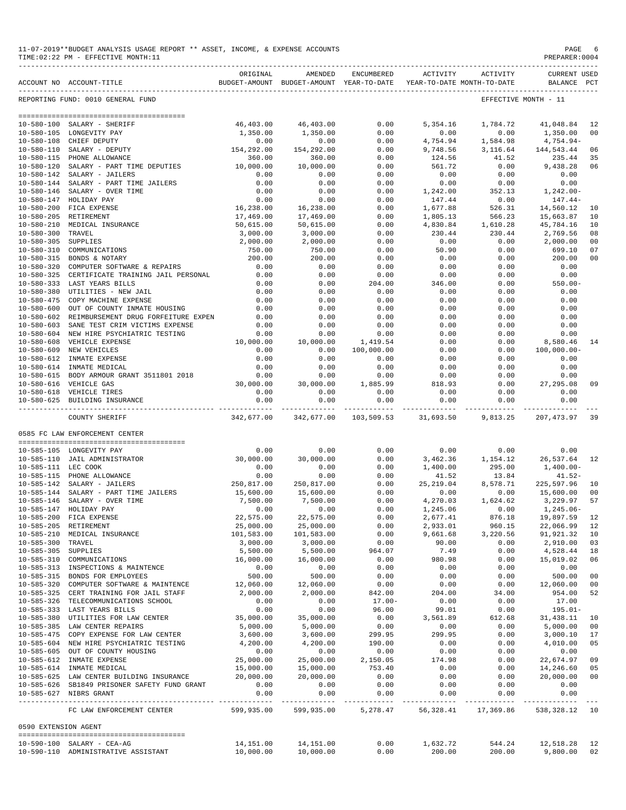|                                      | 11-07-2019**BUDGET ANALYSIS USAGE REPORT ** ASSET, INCOME, & EXPENSE ACCOUNTS<br>TIME: 02:22 PM - EFFECTIVE MONTH: 11 |                         |                                                                                |              |                      |                    | PAGE<br>PREPARER: 0004             | 6                    |
|--------------------------------------|-----------------------------------------------------------------------------------------------------------------------|-------------------------|--------------------------------------------------------------------------------|--------------|----------------------|--------------------|------------------------------------|----------------------|
|                                      | ACCOUNT NO ACCOUNT-TITLE                                                                                              | ORIGINAL                | AMENDED<br>BUDGET-AMOUNT BUDGET-AMOUNT YEAR-TO-DATE YEAR-TO-DATE MONTH-TO-DATE | ENCUMBERED   | <b>ACTIVITY</b>      | ACTIVITY           | <b>CURRENT USED</b><br>BALANCE PCT |                      |
|                                      | REPORTING FUND: 0010 GENERAL FUND                                                                                     |                         |                                                                                |              |                      |                    | EFFECTIVE MONTH - 11               |                      |
|                                      |                                                                                                                       |                         |                                                                                |              |                      |                    |                                    |                      |
|                                      | 10-580-100 SALARY - SHERIFF<br>10-580-105 LONGEVITY PAY                                                               | 46,403.00<br>1,350.00   | 46,403.00<br>1,350.00                                                          | 0.00<br>0.00 | 5,354.16<br>0.00     | 1,784.72<br>0.00   | 41,048.84<br>1,350.00              | 12<br>0 <sub>0</sub> |
| $10 - 580 - 108$                     | CHIEF DEPUTY                                                                                                          | 0.00                    | 0.00                                                                           | 0.00         | 4,754.94             | 1,584.98           | 4,754.94-                          |                      |
|                                      | $10-580-110$ SALARY - DEPUTY                                                                                          | 154,292.00              | 154,292.00                                                                     | 0.00         | 9,748.56             | 3,116.64           | 144,543.44                         | 06                   |
|                                      | 10-580-115 PHONE ALLOWANCE                                                                                            | 360.00                  | 360.00                                                                         | 0.00         | 124.56               | 41.52              | 235.44                             | 35                   |
| $10 - 580 - 120$                     | SALARY - PART TIME DEPUTIES                                                                                           | 10,000.00               | 10,000.00                                                                      | 0.00         | 561.72               | 0.00               | 9,438.28                           | 06                   |
|                                      | 10-580-142 SALARY - JAILERS                                                                                           | 0.00                    | 0.00                                                                           | 0.00         | 0.00                 | 0.00               | 0.00                               |                      |
|                                      | 10-580-144 SALARY - PART TIME JAILERS                                                                                 | 0.00                    | 0.00                                                                           | 0.00         | 0.00                 | 0.00               | 0.00                               |                      |
|                                      | 10-580-146 SALARY - OVER TIME                                                                                         | 0.00                    | 0.00                                                                           | 0.00         | 1,242.00             | 352.13             | $1,242.00-$                        |                      |
|                                      | 10-580-147 HOLIDAY PAY                                                                                                | 0.00                    | 0.00                                                                           | 0.00         | 147.44               | 0.00               | $147.44-$                          |                      |
|                                      | 10-580-200 FICA EXPENSE                                                                                               | 16,238.00               | 16,238.00                                                                      | 0.00         | 1,677.88             | 526.31             | 14,560.12                          | 10                   |
|                                      | 10-580-205 RETIREMENT                                                                                                 | 17,469.00               | 17,469.00                                                                      | 0.00         | 1,805.13             | 566.23             | 15,663.87                          | 10                   |
|                                      | 10-580-210 MEDICAL INSURANCE                                                                                          | 50,615.00               | 50,615.00                                                                      | 0.00         | 4,830.84             | 1,610.28           | 45,784.16                          | 10                   |
| $10 - 580 - 300$                     | TRAVEL                                                                                                                | 3,000.00                | 3,000.00                                                                       | 0.00         | 230.44               | 230.44             | 2,769.56                           | 08                   |
| 10-580-305 SUPPLIES                  |                                                                                                                       | 2,000.00                | 2,000.00                                                                       | 0.00         | 0.00                 | 0.00               | 2,000.00                           | 0 <sub>0</sub>       |
| $10 - 580 - 310$<br>$10 - 580 - 315$ | COMMUNICATIONS<br>BONDS & NOTARY                                                                                      | 750.00<br>200.00        | 750.00<br>200.00                                                               | 0.00<br>0.00 | 50.90<br>0.00        | 0.00<br>0.00       | 699.10<br>200.00                   | 07<br>0 <sub>0</sub> |
| $10 - 580 - 320$                     | COMPUTER SOFTWARE & REPAIRS                                                                                           | 0.00                    | 0.00                                                                           | 0.00         | 0.00                 | 0.00               | 0.00                               |                      |
| $10 - 580 - 325$                     | CERTIFICATE TRAINING JAIL PERSONAL                                                                                    | 0.00                    | 0.00                                                                           | 0.00         | 0.00                 | 0.00               | 0.00                               |                      |
|                                      | 10-580-333 LAST YEARS BILLS                                                                                           | 0.00                    | 0.00                                                                           | 204.00       | 346.00               | 0.00               | $550.00 -$                         |                      |
|                                      | 10-580-380 UTILITIES - NEW JAIL                                                                                       | 0.00                    | 0.00                                                                           | 0.00         | 0.00                 | 0.00               | 0.00                               |                      |
| $10 - 580 - 475$                     | COPY MACHINE EXPENSE                                                                                                  | 0.00                    | 0.00                                                                           | 0.00         | 0.00                 | 0.00               | 0.00                               |                      |
| $10 - 580 - 600$                     | OUT OF COUNTY INMATE HOUSING                                                                                          | 0.00                    | 0.00                                                                           | 0.00         | 0.00                 | 0.00               | 0.00                               |                      |
|                                      | 10-580-602 REIMBURSEMENT DRUG FORFEITURE EXPEN                                                                        | 0.00                    | 0.00                                                                           | 0.00         | 0.00                 | 0.00               | 0.00                               |                      |
| $10 - 580 - 603$                     | SANE TEST CRIM VICTIMS EXPENSE                                                                                        | 0.00                    | 0.00                                                                           | 0.00         | 0.00                 | 0.00               | 0.00                               |                      |
|                                      | 10-580-604 NEW HIRE PSYCHIATRIC TESTING                                                                               | 0.00                    | 0.00                                                                           | 0.00         | 0.00                 | 0.00               | 0.00                               |                      |
| $10 - 580 - 608$                     | VEHICLE EXPENSE                                                                                                       | 10,000.00               | 10,000.00                                                                      | 1,419.54     | 0.00                 | 0.00               | 8,580.46                           | 14                   |
|                                      | 10-580-609 NEW VEHICLES                                                                                               | 0.00                    | 0.00                                                                           | 100,000.00   | 0.00                 | 0.00               | $100,000.00 -$                     |                      |
|                                      | 10-580-612 INMATE EXPENSE                                                                                             | 0.00                    | 0.00                                                                           | 0.00         | 0.00                 | 0.00               | 0.00                               |                      |
|                                      | 10-580-614 INMATE MEDICAL                                                                                             | 0.00                    | 0.00                                                                           | 0.00         | 0.00                 | 0.00               | 0.00                               |                      |
|                                      | 10-580-615 BODY ARMOUR GRANT 3511801 2018                                                                             | 0.00                    | 0.00                                                                           | 0.00         | 0.00                 | 0.00               | 0.00                               |                      |
|                                      | 10-580-616 VEHICLE GAS                                                                                                | 30,000.00               | 30,000.00                                                                      | 1,885.99     | 818.93               | 0.00               | 27,295.08                          | 09                   |
|                                      | 10-580-618 VEHICLE TIRES<br>10-580-625 BUILDING INSURANCE                                                             | 0.00<br>0.00            | 0.00<br>0.00                                                                   | 0.00<br>0.00 | 0.00<br>0.00         | 0.00<br>0.00       | 0.00<br>0.00                       |                      |
|                                      |                                                                                                                       |                         | ------------                                                                   |              |                      |                    |                                    |                      |
|                                      | COUNTY SHERIFF                                                                                                        | 342,677.00              | 342,677.00                                                                     | 103,509.53   | 31,693.50            | 9,813.25           | 207,473.97                         | 39                   |
|                                      | 0585 FC LAW ENFORCEMENT CENTER                                                                                        |                         |                                                                                |              |                      |                    |                                    |                      |
|                                      | 10-585-105 LONGEVITY PAY                                                                                              | 0.00                    | 0.00                                                                           | 0.00         | 0.00                 | 0.00               | 0.00                               |                      |
|                                      | 10-585-110 JAIL ADMINISTRATOR                                                                                         | 30,000.00               | 30,000.00                                                                      | 0.00         | 3,462.36             | 1,154.12           | 26,537.64                          | 12                   |
| 10-585-111 LEC COOK                  |                                                                                                                       | 0.00                    | 0.00                                                                           | 0.00         | 1,400.00             | 295.00             | $1,400.00-$                        |                      |
|                                      | 10-585-115 PHONE ALLOWANCE                                                                                            | 0.00                    | 0.00                                                                           | 0.00         | 41.52                | 13.84              | $41.52-$                           |                      |
|                                      | 10-585-142 SALARY - JAILERS                                                                                           | 250,817.00              | 250,817.00                                                                     | 0.00         | 25, 219.04           | 8,578.71           | 225,597.96                         | 10                   |
|                                      | 10-585-144 SALARY - PART TIME JAILERS                                                                                 | 15,600.00               | 15,600.00                                                                      | 0.00         | 0.00                 | 0.00               | 15,600.00                          | 0 <sub>0</sub>       |
|                                      | 10-585-146 SALARY - OVER TIME                                                                                         | 7,500.00                | 7,500.00                                                                       | 0.00         | 4,270.03             | 1,624.62           | 3,229.97                           | 57                   |
|                                      | 10-585-147 HOLIDAY PAY                                                                                                | 0.00                    | 0.00                                                                           | 0.00         | 1,245.06             | 0.00               | 1,245.06-                          |                      |
|                                      | 10-585-200 FICA EXPENSE<br>10-585-205 RETIREMENT                                                                      | 22,575.00               | 22,575.00                                                                      | 0.00<br>0.00 | 2,677.41             | 876.18             | 19,897.59                          | 12<br>12             |
|                                      | 10-585-210 MEDICAL INSURANCE                                                                                          | 25,000.00<br>101,583.00 | 25,000.00<br>101,583.00                                                        | 0.00         | 2,933.01<br>9,661.68 | 960.15<br>3,220.56 | 22,066.99<br>91,921.32             | 10                   |
| 10-585-300 TRAVEL                    |                                                                                                                       | 3,000.00                | 3,000.00                                                                       | 0.00         | 90.00                | 0.00               | 2,910.00                           | 03                   |
| 10-585-305 SUPPLIES                  |                                                                                                                       | 5,500.00                | 5,500.00                                                                       | 964.07       | 7.49                 | 0.00               | 4,528.44                           | 18                   |
|                                      | 10-585-310 COMMUNICATIONS                                                                                             | 16,000.00               | 16,000.00                                                                      | 0.00         | 980.98               | 0.00               | 15,019.02                          | 06                   |
|                                      | 10-585-313 INSPECTIONS & MAINTENCE                                                                                    | 0.00                    | 0.00                                                                           | 0.00         | 0.00                 | 0.00               | 0.00                               |                      |
|                                      | 10-585-315 BONDS FOR EMPLOYEES                                                                                        | 500.00                  | 500.00                                                                         | 0.00         | 0.00                 | 0.00               | 500.00                             | 0 <sub>0</sub>       |
|                                      | 10-585-320 COMPUTER SOFTWARE & MAINTENCE                                                                              | 12,060.00               | 12,060.00                                                                      | 0.00         | 0.00                 | 0.00               | 12,060.00                          | 0 <sub>0</sub>       |
|                                      | 10-585-325 CERT TRAINING FOR JAIL STAFF<br>10-585-326 TELECOMMUNICATIONS SCHOOL                                       | 2,000.00                | 2,000.00                                                                       | 842.00       | 204.00               | 34.00              | 954.00                             | 52                   |
|                                      |                                                                                                                       | 0.00                    | 0.00                                                                           | $17.00 -$    | 0.00                 | 0.00               | 17.00                              |                      |
|                                      | 10-585-333 LAST YEARS BILLS                                                                                           | 0.00                    | 0.00                                                                           | 96.00        | 99.01                | 0.00               | 195.01-                            |                      |
|                                      | 10-585-380 UTILITIES FOR LAW CENTER                                                                                   | 35,000.00               | 35,000.00                                                                      | 0.00         | 3,561.89             | 612.68             | 31,438.11                          | 10                   |
|                                      | 10-585-385 LAW CENTER REPAIRS                                                                                         | 5,000.00                | 5,000.00                                                                       | 0.00         | 0.00                 | 0.00               | 5,000.00                           | 00                   |
|                                      | 10-585-475 COPY EXPENSE FOR LAW CENTER                                                                                | 3,600.00                | 3,600.00                                                                       | 299.95       | 299.95               | 0.00               | 3,000.10                           | 17                   |
|                                      | 10-585-604 NEW HIRE PSYCHIATRIC TESTING $4,200.00$                                                                    |                         | 4,200.00                                                                       | 190.00       | 0.00                 | 0.00               | 4,010.00                           | 05                   |
|                                      | 10-585-605 OUT OF COUNTY HOUSING                                                                                      | 0.00                    | 0.00                                                                           | 0.00         | 0.00                 | 0.00               | 0.00                               |                      |
|                                      | 10-585-612 INMATE EXPENSE                                                                                             | 25,000.00               | 25,000.00                                                                      | 2,150.05     | 174.98               | 0.00               | 22,674.97                          | 09                   |
|                                      | 10-585-614 INMATE MEDICAL<br>10-585-625 LAW CENTER BUILDING INSURANCE 20,000.00                                       | 15,000.00               | 15,000.00                                                                      | 753.40       | 0.00                 | 0.00               | 14,246.60                          | 05                   |
|                                      | 10-585-626 SB1849 PRISONER SAFETY FUND GRANT 0.00                                                                     |                         | 20,000.00                                                                      | 0.00         | 0.00                 | 0.00               | 20,000.00                          | 0 <sub>0</sub>       |
|                                      | 10-585-627 NIBRS GRANT                                                                                                | 0.00                    | 0.00<br>0.00                                                                   | 0.00<br>0.00 | 0.00<br>0.00         | 0.00<br>0.00       | 0.00<br>0.00                       |                      |
|                                      |                                                                                                                       |                         |                                                                                |              |                      |                    |                                    |                      |
|                                      | FC LAW ENFORCEMENT CENTER 599,935.00 599,935.00 5,278.47 56,328.41 17,369.86 538,328.12 10                            |                         |                                                                                |              |                      |                    |                                    |                      |
| 0590 EXTENSION AGENT                 |                                                                                                                       |                         |                                                                                |              |                      |                    |                                    |                      |
|                                      | 10-590-100 SALARY - CEA-AG                                                                                            |                         | $14.151.00$ $14.151.00$ $0.00$ $1.632.72$ $544.24$ $12.518.28$ $12$            |              |                      |                    |                                    |                      |

| --------------------                       |             |            |     |        |        |              |                |
|--------------------------------------------|-------------|------------|-----|--------|--------|--------------|----------------|
| $10 - 590 - 100$<br>SALARY - C<br>$CEA-AG$ | $-1.151.00$ | . വ        | .00 | 63277  | 544.24 | . 518        | 1 <sub>2</sub> |
| $10 - 590 - 1$<br>ADMINISTRATIVE ASSISTANT | 10,000.00   | . 000 . 00 | .00 | 200.00 | 200.00 | 9.800.<br>00 | 02             |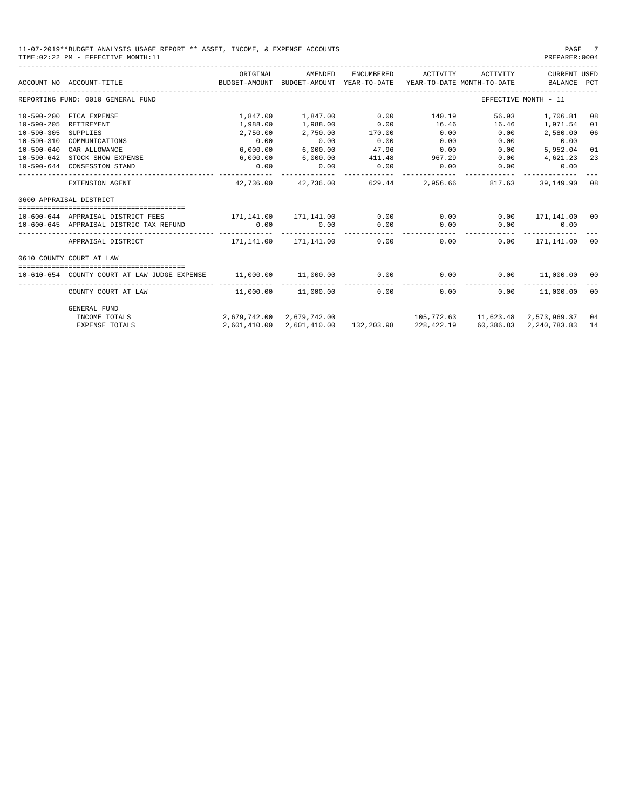| 11-07-2019**BUDGET ANALYSIS USAGE REPORT ** ASSET, INCOME, & EXPENSE ACCOUNTS | PAGE          |
|-------------------------------------------------------------------------------|---------------|
| TIME: 02:22 PM - EFFECTIVE MONTH: 11                                          | PREPARER:0004 |

|                  | ACCOUNT NO ACCOUNT-TITLE CONTROL BUDGET-AMOUNT BUDGET-AMOUNT YEAR-TO-DATE | ORIGINAL                       | AMENDED             | ENCUMBERED | ACTIVITY ACTIVITY                                              |                 | CURRENT USED<br>YEAR-TO-DATE MONTH-TO-DATE BALANCE PCT |    |
|------------------|---------------------------------------------------------------------------|--------------------------------|---------------------|------------|----------------------------------------------------------------|-----------------|--------------------------------------------------------|----|
|                  | REPORTING FUND: 0010 GENERAL FUND                                         |                                |                     |            |                                                                |                 | EFFECTIVE MONTH - 11                                   |    |
|                  | 10-590-200 FICA EXPENSE                                                   |                                | 1,847.00 1,847.00   | 0.00       | 140.19                                                         | 56.93           | 1,706.81                                               | 08 |
| $10 - 590 - 205$ | <b>RETIREMENT</b>                                                         | 1,988.00                       | 1,988.00            | 0.00       | 16.46                                                          | 16.46           | 1,971.54                                               | 01 |
| $10 - 590 - 305$ | SUPPLIES                                                                  | 2,750.00                       | 2,750.00            | 170.00     | 0.00                                                           | 0.00            | 2,580.00                                               | 06 |
|                  | 10-590-310 COMMUNICATIONS                                                 | 0.00                           | 0.00                | 0.00       | 0.00                                                           | 0.00            | 0.00                                                   |    |
| $10 - 590 - 640$ | CAR ALLOWANCE                                                             | 6,000.00                       | 6,000.00            | 47.96      | 0.00                                                           | 0.00            | 5,952.04                                               | 01 |
|                  | 10-590-642 STOCK SHOW EXPENSE                                             | 6,000.00                       | 6,000.00            |            | 411.48 967.29                                                  | 0.00            | 4,621.23                                               | 23 |
|                  | 10-590-644 CONSESSION STAND                                               | 0.00                           | 0.00                | 0.00       | 0.00                                                           | 0.00            | 0.00                                                   |    |
|                  | EXTENSION AGENT                                                           |                                | 42,736.00 42,736.00 | 629.44     |                                                                | 2,956.66 817.63 | 39,149,90 08                                           |    |
|                  | 0600 APPRAISAL DISTRICT                                                   |                                |                     |            |                                                                |                 |                                                        |    |
|                  |                                                                           |                                |                     |            |                                                                |                 |                                                        |    |
|                  | 10-600-644 APPRATSAL DISTRICT FEES                                        | 171,141.00 171,141.00          |                     | 0.00       | 0.00                                                           | 0.00            | 171,141.00 00                                          |    |
|                  | 10-600-645 APPRAISAL DISTRIC TAX REFUND                                   | 0.00                           | 0.00                | 0.00       | 0.00                                                           | 0.00            | 0.00<br>-----------                                    |    |
|                  | APPRAISAL DISTRICT                                                        | $171.141.00$ $171.141.00$      |                     | 0.00       | 0.00                                                           | 0.00            | 171,141.00                                             | 00 |
|                  | 0610 COUNTY COURT AT LAW                                                  |                                |                     |            |                                                                |                 |                                                        |    |
|                  |                                                                           |                                |                     |            |                                                                |                 |                                                        |    |
|                  | 10-610-654 COUNTY COURT AT LAW JUDGE EXPENSE                              | 11,000.00  11,000.00  0.00     |                     |            | $0.00$ 0.00<br>------------                                    |                 | 11,000.00 00                                           |    |
|                  | COUNTY COURT AT LAW                                                       | $11,000.00$ $11,000.00$ $0.00$ |                     |            | 0.00                                                           |                 | $0.00$ 11,000.00 00                                    |    |
|                  | <b>GENERAL FUND</b>                                                       |                                |                     |            |                                                                |                 |                                                        |    |
|                  | INCOME TOTALS                                                             |                                |                     |            | 2,679,742.00 2,679,742.00 105,772.63 11,623.48 2,573,969.37 04 |                 |                                                        |    |
|                  | <b>EXPENSE TOTALS</b>                                                     |                                |                     |            | 2,601,410.00 2,601,410.00 132,203.98 228,422.19                |                 | 60.386.83 2.240.783.83 14                              |    |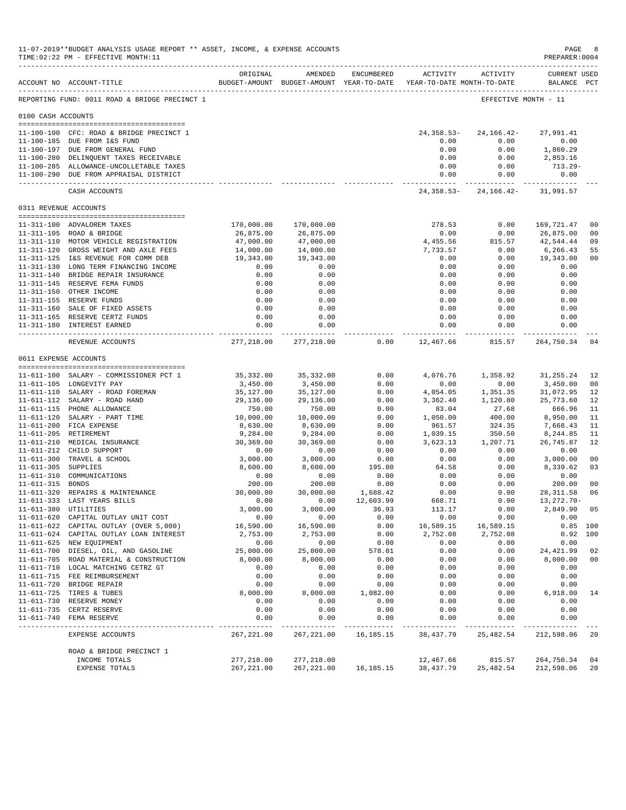|                       | 11-07-2019**BUDGET ANALYSIS USAGE REPORT ** ASSET, INCOME, & EXPENSE ACCOUNTS<br>TIME: 02:22 PM - EFFECTIVE MONTH: 11 |                                                                                 |                           |               |                         |                                                     | PAGE<br>PREPARER: 0004             | 8                      |
|-----------------------|-----------------------------------------------------------------------------------------------------------------------|---------------------------------------------------------------------------------|---------------------------|---------------|-------------------------|-----------------------------------------------------|------------------------------------|------------------------|
|                       | ACCOUNT NO ACCOUNT-TITLE                                                                                              | ORIGINAL<br>BUDGET-AMOUNT BUDGET-AMOUNT YEAR-TO-DATE YEAR-TO-DATE MONTH-TO-DATE | AMENDED                   | ENCUMBERED    |                         | ACTIVITY ACTIVITY                                   | <b>CURRENT USED</b><br>BALANCE PCT |                        |
|                       | REPORTING FUND: 0011 ROAD & BRIDGE PRECINCT 1                                                                         |                                                                                 |                           |               |                         | EFFECTIVE MONTH - 11                                |                                    |                        |
| 0100 CASH ACCOUNTS    |                                                                                                                       |                                                                                 |                           |               |                         |                                                     |                                    |                        |
|                       | 11-100-100 CFC: ROAD & BRIDGE PRECINCT 1                                                                              |                                                                                 |                           |               |                         | 24, 358. 53 - 24, 166. 42 -                         | 27,991.41                          |                        |
|                       | 11-100-185 DUE FROM I&S FUND                                                                                          |                                                                                 |                           |               | 0.00                    | 0.00                                                | 0.00                               |                        |
|                       | 11-100-197 DUE FROM GENERAL FUND                                                                                      |                                                                                 |                           |               | 0.00                    | 0.00                                                | 1,860.29                           |                        |
|                       | 11-100-280 DELINQUENT TAXES RECEIVABLE                                                                                |                                                                                 |                           |               | 0.00                    | 0.00                                                | 2,853.16                           |                        |
|                       | 11-100-285 ALLOWANCE-UNCOLLETABLE TAXES<br>11-100-290 DUE FROM APPRAISAL DISTRICT                                     |                                                                                 |                           |               | 0.00<br>0.00            | 0.00<br>0.00                                        | 713.29-<br>0.00                    |                        |
|                       | CASH ACCOUNTS                                                                                                         |                                                                                 |                           |               | ________________        | -----------<br>24, 358.53 - 24, 166.42 - 31, 991.57 |                                    |                        |
| 0311 REVENUE ACCOUNTS |                                                                                                                       |                                                                                 |                           |               |                         |                                                     |                                    |                        |
|                       | 11-311-100 ADVALOREM TAXES                                                                                            | 170,000.00                                                                      | 170,000.00                |               | 278.53                  | 0.00                                                | 169,721.47                         | 00                     |
|                       | 11-311-105 ROAD & BRIDGE                                                                                              | 26,875.00                                                                       | 26,875.00                 |               | 0.00                    | 0.00                                                | 26,875.00                          | 0 <sub>0</sub>         |
|                       | 11-311-110 MOTOR VEHICLE REGISTRATION                                                                                 | 47,000.00                                                                       | 47,000.00                 |               | 4,455.56                | 815.57                                              | 42,544.44                          | 09                     |
|                       | 11-311-120 GROSS WEIGHT AND AXLE FEES                                                                                 | 14,000.00                                                                       | 14,000.00                 |               | 7,733.57                | 0.00                                                | 6,266.43                           | 55                     |
|                       | 11-311-125 I&S REVENUE FOR COMM DEB                                                                                   | 19,343.00                                                                       | 19,343.00                 |               | 0.00                    | 0.00                                                | 19,343.00                          | 0 <sub>0</sub>         |
|                       | 11-311-130 LONG TERM FINANCING INCOME                                                                                 | 0.00                                                                            | 0.00                      |               | 0.00                    | 0.00                                                | 0.00                               |                        |
|                       | 11-311-140 BRIDGE REPAIR INSURANCE                                                                                    | 0.00                                                                            | 0.00                      |               | 0.00                    | 0.00                                                | 0.00                               |                        |
|                       | 11-311-145 RESERVE FEMA FUNDS                                                                                         | 0.00                                                                            | 0.00                      |               | 0.00                    | 0.00                                                | 0.00                               |                        |
|                       | 11-311-150 OTHER INCOME                                                                                               | 0.00                                                                            | 0.00                      |               | 0.00                    | 0.00                                                | 0.00                               |                        |
|                       | 11-311-155 RESERVE FUNDS<br>11-311-160 SALE OF FIXED ASSETS                                                           | 0.00<br>0.00                                                                    | 0.00<br>0.00              |               | 0.00<br>0.00            | 0.00<br>0.00                                        | 0.00<br>0.00                       |                        |
|                       | 11-311-165 RESERVE CERTZ FUNDS                                                                                        | 0.00                                                                            | 0.00                      |               | 0.00                    | 0.00                                                | 0.00                               |                        |
|                       | 11-311-180 INTEREST EARNED                                                                                            | 0.00<br>----------                                                              | 0.00                      |               | 0.00                    | 0.00                                                | 0.00                               |                        |
|                       | REVENUE ACCOUNTS                                                                                                      | 277,218.00                                                                      | 277,218.00                | 0.00          | 12,467.66               | 815.57                                              | 264,750.34                         | 04                     |
| 0611 EXPENSE ACCOUNTS |                                                                                                                       |                                                                                 |                           |               |                         |                                                     |                                    |                        |
|                       |                                                                                                                       |                                                                                 |                           |               |                         |                                                     |                                    |                        |
|                       | 11-611-100 SALARY - COMMISSIONER PCT 1<br>11-611-105 LONGEVITY PAY                                                    | 35,332.00<br>3,450.00                                                           | 35,332.00<br>3,450.00     | 0.00<br>0.00  | 4,076.76<br>0.00        | 1,358.92<br>0.00                                    | 31,255.24<br>3,450.00              | 12<br>0 <sub>0</sub>   |
|                       | 11-611-110 SALARY - ROAD FOREMAN                                                                                      | 35,127.00                                                                       | 35,127.00                 | 0.00          | 4,054.05                | 1,351.35                                            | 31,072.95                          | 12                     |
|                       | 11-611-112 SALARY - ROAD HAND                                                                                         | 29,136.00                                                                       | 29,136.00                 | 0.00          | 3,362.40                | 1,120.80                                            | 25,773.60                          | 12                     |
|                       | 11-611-115 PHONE ALLOWANCE                                                                                            | 750.00                                                                          | 750.00                    | 0.00          | 83.04                   | 27.68                                               | 666.96                             | 11                     |
|                       | 11-611-120 SALARY - PART TIME                                                                                         | 10,000.00                                                                       | 10,000.00                 | 0.00          | 1,050.00                | 400.00                                              | 8,950.00                           | 11                     |
|                       | 11-611-200 FICA EXPENSE                                                                                               | 8,630.00                                                                        | 8,630.00                  | 0.00          | 961.57                  | 324.35                                              | 7,668.43                           | 11                     |
|                       | 11-611-205 RETIREMENT                                                                                                 | 9,284.00                                                                        | 9,284.00                  | 0.00          | 1,039.15                | 350.50                                              | 8,244.85                           | 11                     |
|                       | 11-611-210 MEDICAL INSURANCE                                                                                          | 30,369.00                                                                       | 30,369.00                 | 0.00          | 3,623.13                | 1,207.71                                            | 26,745.87                          | 12                     |
|                       | 11-611-212 CHILD SUPPORT<br>11-611-300 TRAVEL & SCHOOL                                                                | 0.00<br>3,000.00                                                                | 0.00<br>3,000.00          | 0.00<br>0.00  | 0.00<br>0.00            | 0.00<br>0.00                                        | 0.00<br>3,000.00                   | 00                     |
| 11-611-305 SUPPLIES   |                                                                                                                       | 8,600.00                                                                        | 8,600.00                  | 195.80        | 64.58                   | 0.00                                                | 8,339.62                           | 03                     |
|                       | 11-611-310 COMMUNICATIONS                                                                                             | 0.00                                                                            | 0.00                      | 0.00          | 0.00                    | 0.00                                                | 0.00                               |                        |
| 11-611-315 BONDS      |                                                                                                                       | 200.00                                                                          | 200.00                    | 0.00          | 0.00                    | 0.00                                                | 200.00                             | 0 <sup>0</sup>         |
|                       | 11-611-320 REPAIRS & MAINTENANCE                                                                                      | 30,000.00                                                                       | 30,000.00                 | 1,688.42      | 0.00                    | 0.00                                                | 28, 311.58                         | 06                     |
|                       | 11-611-333 LAST YEARS BILLS                                                                                           | 0.00                                                                            | 0.00                      | 12,603.99     | 668.71                  | 0.00                                                | 13,272.70-                         |                        |
| 11-611-380 UTILITIES  |                                                                                                                       | 3,000.00                                                                        | 3,000.00                  | 36.93         | 113.17                  | 0.00                                                | 2,849.90                           | 05                     |
|                       | 11-611-620 CAPITAL OUTLAY UNIT COST                                                                                   | 0.00                                                                            | 0.00                      | 0.00          | 0.00                    | 0.00                                                | 0.00                               |                        |
|                       | 11-611-622 CAPITAL OUTLAY (OVER 5,000)<br>11-611-624 CAPITAL OUTLAY LOAN INTEREST                                     | 16,590.00<br>2,753.00                                                           | 16,590.00<br>2,753.00     | 0.00<br>0.00  | 16,589.15<br>2,752.08   | 16,589.15<br>2,752.08                               |                                    | $0.85$ 100<br>0.92 100 |
|                       | 11-611-625 NEW EQUIPMENT                                                                                              | 0.00                                                                            | 0.00                      | 0.00          | 0.00                    | 0.00                                                | 0.00                               |                        |
|                       | 11-611-700 DIESEL, OIL, AND GASOLINE                                                                                  | 25,000.00                                                                       | 25,000.00                 | 578.01        | 0.00                    | 0.00                                                | 24, 421.99                         | 02                     |
|                       | 11-611-705 ROAD MATERIAL & CONSTRUCTION                                                                               | 8,000.00                                                                        | 8,000.00                  | 0.00          | 0.00                    | 0.00                                                | 8,000.00                           | 0 <sub>0</sub>         |
|                       | 11-611-710 LOCAL MATCHING CETRZ GT                                                                                    | 0.00                                                                            | 0.00                      | 0.00          | 0.00                    | 0.00                                                | 0.00                               |                        |
|                       | 11-611-715 FEE REIMBURSEMENT                                                                                          | 0.00                                                                            | 0.00                      | 0.00          | 0.00                    | 0.00                                                | 0.00                               |                        |
|                       | 11-611-720 BRIDGE REPAIR                                                                                              | 0.00                                                                            | 0.00                      | 0.00          | 0.00                    | 0.00                                                | 0.00                               |                        |
|                       | 11-611-725 TIRES & TUBES                                                                                              | 8,000.00                                                                        | 8,000.00                  | 1,082.00      | 0.00                    | 0.00                                                | 6,918.00                           | 14                     |
|                       | 11-611-730 RESERVE MONEY                                                                                              | 0.00                                                                            | 0.00                      | 0.00          | 0.00                    | 0.00                                                | 0.00                               |                        |
|                       | 11-611-735 CERTZ RESERVE<br>11-611-740 FEMA RESERVE                                                                   | 0.00<br>0.00                                                                    | 0.00<br>0.00              | 0.00<br>0.00  | 0.00<br>0.00            | 0.00<br>0.00                                        | 0.00<br>0.00                       |                        |
|                       |                                                                                                                       | ----------                                                                      | -------                   | $- - - - - -$ | $- - - - -$             | -----                                               | -------                            |                        |
|                       | EXPENSE ACCOUNTS                                                                                                      | 267, 221.00                                                                     | 267, 221.00               | 16, 185. 15   | 38,437.79               | 25, 482.54                                          | 212,598.06                         | 20                     |
|                       | ROAD & BRIDGE PRECINCT 1                                                                                              |                                                                                 |                           |               |                         |                                                     |                                    |                        |
|                       | INCOME TOTALS<br>EXPENSE TOTALS                                                                                       | 277,218.00<br>267, 221.00                                                       | 277,218.00<br>267, 221.00 | 16,185.15     | 12,467.66<br>38, 437.79 | 815.57<br>25,482.54                                 | 264,750.34<br>212,598.06           | 04<br>20               |
|                       |                                                                                                                       |                                                                                 |                           |               |                         |                                                     |                                    |                        |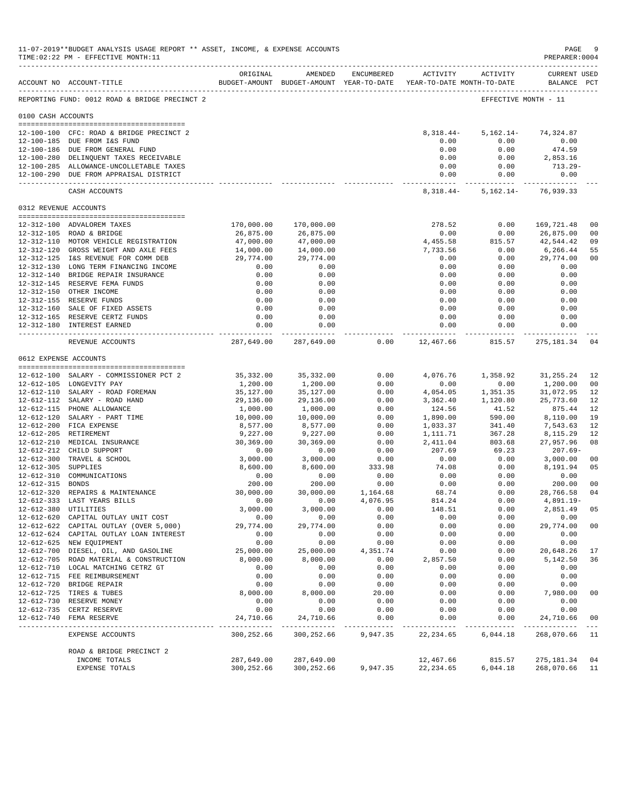|                     | 11-07-2019**BUDGET ANALYSIS USAGE REPORT ** ASSET, INCOME, & EXPENSE ACCOUNTS<br>TIME: 02:22 PM - EFFECTIVE MONTH: 11 |                                |                                                                                |                      |                              |                      | PAGE<br>PREPARER: 0004             | -9                               |
|---------------------|-----------------------------------------------------------------------------------------------------------------------|--------------------------------|--------------------------------------------------------------------------------|----------------------|------------------------------|----------------------|------------------------------------|----------------------------------|
|                     | ACCOUNT NO ACCOUNT-TITLE                                                                                              | ORIGINAL                       | AMENDED<br>BUDGET-AMOUNT BUDGET-AMOUNT YEAR-TO-DATE YEAR-TO-DATE MONTH-TO-DATE | ENCUMBERED           |                              | ACTIVITY ACTIVITY    | <b>CURRENT USED</b><br>BALANCE PCT |                                  |
|                     | REPORTING FUND: 0012 ROAD & BRIDGE PRECINCT 2                                                                         |                                |                                                                                |                      |                              | EFFECTIVE MONTH - 11 |                                    |                                  |
| 0100 CASH ACCOUNTS  |                                                                                                                       |                                |                                                                                |                      |                              |                      |                                    |                                  |
|                     | 12-100-100 CFC: ROAD & BRIDGE PRECINCT 2                                                                              |                                |                                                                                |                      | $8,318.44-$                  | $5,162.14-$          | 74,324.87                          |                                  |
|                     | 12-100-185 DUE FROM I&S FUND                                                                                          |                                |                                                                                |                      | 0.00                         | 0.00                 | 0.00                               |                                  |
|                     | 12-100-186 DUE FROM GENERAL FUND                                                                                      |                                |                                                                                |                      | 0.00                         | 0.00                 | 474.59                             |                                  |
|                     | 12-100-280 DELINQUENT TAXES RECEIVABLE                                                                                |                                |                                                                                |                      | 0.00                         | 0.00                 | 2,853.16                           |                                  |
|                     | 12-100-285 ALLOWANCE-UNCOLLETABLE TAXES<br>12-100-290 DUE FROM APPRAISAL DISTRICT                                     |                                |                                                                                |                      | 0.00<br>0.00                 | 0.00<br>0.00         | $713.29-$<br>0.00                  |                                  |
|                     | CASH ACCOUNTS                                                                                                         |                                |                                                                                |                      | ---------------<br>8,318.44- | 5,162.14-            | _____________<br>76,939.33         |                                  |
|                     | 0312 REVENUE ACCOUNTS                                                                                                 |                                |                                                                                |                      |                              |                      |                                    |                                  |
|                     |                                                                                                                       |                                |                                                                                |                      |                              |                      |                                    |                                  |
|                     | 12-312-100 ADVALOREM TAXES<br>12-312-105 ROAD & BRIDGE                                                                | 170,000.00<br>26,875.00        | 170,000.00<br>26,875.00                                                        |                      | 278.52<br>0.00               | 0.00<br>0.00         | 169,721.48<br>26,875.00            | 0 <sub>0</sub><br>0 <sub>0</sub> |
|                     | 12-312-110 MOTOR VEHICLE REGISTRATION                                                                                 | 47,000.00                      | 47,000.00                                                                      |                      | 4,455.58                     | 815.57               | 42,544.42                          | 09                               |
|                     | 12-312-120 GROSS WEIGHT AND AXLE FEES                                                                                 | 14,000.00                      | 14,000.00                                                                      |                      | 7,733.56                     | 0.00                 | 6,266.44                           | 55                               |
|                     | 12-312-125 I&S REVENUE FOR COMM DEB                                                                                   | 29,774.00                      | 29,774.00                                                                      |                      | 0.00                         | 0.00                 | 29,774.00                          | 0 <sub>0</sub>                   |
|                     | 12-312-130 LONG TERM FINANCING INCOME                                                                                 | 0.00                           | 0.00                                                                           |                      | 0.00                         | 0.00                 | 0.00                               |                                  |
|                     | 12-312-140 BRIDGE REPAIR INSURANCE                                                                                    | 0.00                           | 0.00                                                                           |                      | 0.00                         | 0.00                 | 0.00                               |                                  |
|                     | 12-312-145 RESERVE FEMA FUNDS                                                                                         | 0.00                           | 0.00                                                                           |                      | 0.00                         | 0.00                 | 0.00                               |                                  |
|                     | 12-312-150 OTHER INCOME<br>12-312-155 RESERVE FUNDS                                                                   | 0.00<br>0.00                   | 0.00<br>0.00                                                                   |                      | 0.00<br>0.00                 | 0.00<br>0.00         | 0.00<br>0.00                       |                                  |
|                     | 12-312-160 SALE OF FIXED ASSETS                                                                                       | 0.00                           | 0.00                                                                           |                      | 0.00                         | 0.00                 | 0.00                               |                                  |
|                     | 12-312-165 RESERVE CERTZ FUNDS                                                                                        | 0.00                           | 0.00                                                                           |                      | 0.00                         | 0.00                 | 0.00                               |                                  |
|                     | 12-312-180 INTEREST EARNED                                                                                            | 0.00                           | 0.00<br>------------                                                           |                      | 0.00<br>.                    | 0.00<br>----------   | 0.00<br>-----------                |                                  |
|                     | REVENUE ACCOUNTS                                                                                                      | 287,649.00                     | 287,649.00                                                                     | 0.00                 | 12,467.66                    | 815.57               | 275,181.34                         | 04                               |
|                     | 0612 EXPENSE ACCOUNTS                                                                                                 |                                |                                                                                |                      |                              |                      |                                    |                                  |
|                     |                                                                                                                       |                                |                                                                                |                      |                              |                      |                                    |                                  |
|                     | 12-612-100 SALARY - COMMISSIONER PCT 2<br>12-612-105 LONGEVITY PAY                                                    | 35,332.00<br>1,200.00          | 35, 332.00<br>1,200.00                                                         | 0.00<br>0.00         | 4,076.76<br>0.00             | 1,358.92<br>0.00     | 31, 255. 24<br>1,200.00            | 12<br>0 <sub>0</sub>             |
|                     | 12-612-110 SALARY - ROAD FOREMAN                                                                                      | 35,127.00                      | 35,127.00                                                                      | 0.00                 | 4,054.05                     | 1,351.35             | 31,072.95                          | 12                               |
|                     | 12-612-112 SALARY - ROAD HAND                                                                                         | 29,136.00                      | 29,136.00                                                                      | 0.00                 | 3,362.40                     | 1,120.80             | 25,773.60                          | 12                               |
|                     | 12-612-115 PHONE ALLOWANCE                                                                                            | 1,000.00                       | 1,000.00                                                                       | 0.00                 | 124.56                       | 41.52                | 875.44                             | 12                               |
|                     | 12-612-120 SALARY - PART TIME                                                                                         | 10,000.00                      | 10,000.00                                                                      | 0.00                 | 1,890.00                     | 590.00               | 8,110.00                           | 19                               |
|                     | 12-612-200 FICA EXPENSE                                                                                               | 8,577.00                       | 8,577.00                                                                       | 0.00                 | 1,033.37                     | 341.40               | 7,543.63                           | 12                               |
|                     | 12-612-205 RETIREMENT<br>12-612-210 MEDICAL INSURANCE                                                                 | 9,227.00<br>30,369.00          | 9,227.00<br>30,369.00                                                          | 0.00<br>0.00         | 1,111.71<br>2,411.04         | 367.28<br>803.68     | 8,115.29<br>27,957.96              | 12<br>08                         |
|                     | 12-612-212 CHILD SUPPORT                                                                                              | 0.00                           | 0.00                                                                           | 0.00                 | 207.69                       | 69.23                | $207.69-$                          |                                  |
|                     | 12-612-300 TRAVEL & SCHOOL                                                                                            | 3,000.00                       | 3,000.00                                                                       | 0.00                 | 0.00                         | 0.00                 | 3,000.00                           | 0 <sub>0</sub>                   |
| 12-612-305 SUPPLIES |                                                                                                                       | 8,600.00                       | 8,600.00                                                                       | 333.98               | 74.08                        | 0.00                 | 8,191.94                           | 05                               |
|                     | 12-612-310 COMMUNICATIONS                                                                                             | 0.00                           | 0.00                                                                           | 0.00                 | 0.00                         | 0.00                 | 0.00                               |                                  |
| 12-612-315 BONDS    |                                                                                                                       | 200.00                         | 200.00                                                                         | 0.00                 | 0.00                         | 0.00                 | 200.00                             | 0 <sub>0</sub>                   |
|                     | 12-612-320 REPAIRS & MAINTENANCE<br>12-612-333 LAST YEARS BILLS                                                       | 30,000.00<br>0.00              | 30,000.00<br>0.00                                                              | 1,164.68<br>4,076.95 | 68.74<br>814.24              | 0.00<br>0.00         | 28,766.58<br>$4,891.19-$           | 04                               |
|                     | 12-612-380 UTILITIES                                                                                                  | 3,000.00                       | 3,000.00                                                                       | 0.00                 | 148.51                       | 0.00                 | 2,851.49                           | 05                               |
|                     | 12-612-620 CAPITAL OUTLAY UNIT COST                                                                                   | 0.00                           | 0.00                                                                           | 0.00                 | 0.00                         | 0.00                 | 0.00                               |                                  |
|                     | 12-612-622 CAPITAL OUTLAY (OVER 5,000)                                                                                | 29,774.00                      | 29,774.00                                                                      | 0.00                 | 0.00                         | 0.00                 | 29,774.00                          | 0 <sub>0</sub>                   |
|                     | 12-612-624 CAPITAL OUTLAY LOAN INTEREST                                                                               | 0.00                           | 0.00                                                                           | 0.00                 | 0.00                         | 0.00                 | 0.00                               |                                  |
|                     | 12-612-625 NEW EQUIPMENT                                                                                              | 0.00                           | 0.00                                                                           | 0.00                 | 0.00                         | 0.00                 | 0.00                               |                                  |
|                     | 12-612-700 DIESEL, OIL, AND GASOLINE                                                                                  | 25,000.00                      | 25,000.00                                                                      | 4,351.74             | 0.00                         | 0.00                 | 20,648.26                          | 17                               |
|                     | 12-612-705 ROAD MATERIAL & CONSTRUCTION<br>12-612-710 LOCAL MATCHING CETRZ GT                                         | 8,000.00<br>0.00               | 8,000.00<br>0.00                                                               | 0.00<br>0.00         | 2,857.50<br>0.00             | 0.00<br>0.00         | 5,142.50<br>0.00                   | 36                               |
|                     | 12-612-715 FEE REIMBURSEMENT                                                                                          | 0.00                           | 0.00                                                                           | 0.00                 | 0.00                         | 0.00                 | 0.00                               |                                  |
|                     | 12-612-720 BRIDGE REPAIR                                                                                              | 0.00                           | 0.00                                                                           | 0.00                 | 0.00                         | 0.00                 | 0.00                               |                                  |
|                     | 12-612-725 TIRES & TUBES                                                                                              | 8,000.00                       | 8,000.00                                                                       | 20.00                | 0.00                         | 0.00                 | 7,980.00                           | 0 <sub>0</sub>                   |
|                     | 12-612-730 RESERVE MONEY                                                                                              | 0.00                           | 0.00                                                                           | 0.00                 | 0.00                         | 0.00                 | 0.00                               |                                  |
|                     | 12-612-735 CERTZ RESERVE                                                                                              | 0.00                           | 0.00                                                                           | 0.00                 | 0.00                         | 0.00                 | 0.00                               |                                  |
|                     | 12-612-740 FEMA RESERVE                                                                                               | 24,710.66<br><u>__________</u> | 24,710.66<br>______________                                                    | 0.00<br>---------    | 0.00                         | 0.00<br>--------     | 24,710.66<br>------------          | 0 <sub>0</sub>                   |
|                     | EXPENSE ACCOUNTS                                                                                                      | 300,252.66                     | 300,252.66                                                                     | 9,947.35             | 22, 234.65                   | 6,044.18             | 268,070.66                         | 11                               |
|                     | ROAD & BRIDGE PRECINCT 2<br>INCOME TOTALS                                                                             | 287,649.00                     | 287,649.00                                                                     |                      | 12,467.66                    | 815.57               | 275,181.34                         | 04                               |
|                     | EXPENSE TOTALS                                                                                                        | 300,252.66                     | 300,252.66                                                                     | 9,947.35             | 22, 234.65                   | 6,044.18             | 268,070.66                         | 11                               |
|                     |                                                                                                                       |                                |                                                                                |                      |                              |                      |                                    |                                  |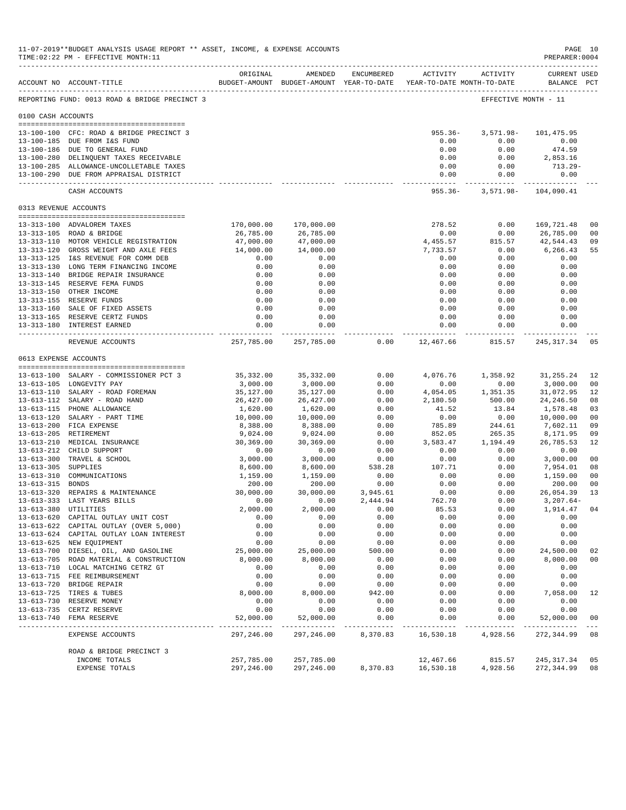|                       | 11-07-2019**BUDGET ANALYSIS USAGE REPORT ** ASSET, INCOME, & EXPENSE ACCOUNTS<br>TIME: 02:22 PM - EFFECTIVE MONTH: 11<br>----------------------------- |                         |                                                                                |                  |                        |                            | PAGE 10<br>PREPARER: 0004          |                      |
|-----------------------|--------------------------------------------------------------------------------------------------------------------------------------------------------|-------------------------|--------------------------------------------------------------------------------|------------------|------------------------|----------------------------|------------------------------------|----------------------|
|                       | ACCOUNT NO ACCOUNT-TITLE                                                                                                                               | ORIGINAL                | AMENDED<br>BUDGET-AMOUNT BUDGET-AMOUNT YEAR-TO-DATE YEAR-TO-DATE MONTH-TO-DATE | ENCUMBERED       |                        | ACTIVITY ACTIVITY          | <b>CURRENT USED</b><br>BALANCE PCT |                      |
|                       | REPORTING FUND: 0013 ROAD & BRIDGE PRECINCT 3                                                                                                          |                         |                                                                                |                  |                        | EFFECTIVE MONTH - 11       |                                    |                      |
| 0100 CASH ACCOUNTS    |                                                                                                                                                        |                         |                                                                                |                  |                        |                            |                                    |                      |
|                       |                                                                                                                                                        |                         |                                                                                |                  |                        |                            |                                    |                      |
|                       | 13-100-100 CFC: ROAD & BRIDGE PRECINCT 3                                                                                                               |                         |                                                                                |                  | $955.36 -$             | $3,571.98-$                | 101,475.95                         |                      |
|                       | 13-100-185 DUE FROM I&S FUND                                                                                                                           |                         |                                                                                |                  | 0.00                   | 0.00                       | 0.00                               |                      |
|                       | 13-100-186 DUE TO GENERAL FUND                                                                                                                         |                         |                                                                                |                  | 0.00                   | 0.00                       | 474.59                             |                      |
|                       | 13-100-280 DELINQUENT TAXES RECEIVABLE                                                                                                                 |                         |                                                                                |                  | 0.00                   | 0.00                       | 2,853.16                           |                      |
|                       | 13-100-285 ALLOWANCE-UNCOLLETABLE TAXES<br>13-100-290 DUE FROM APPRAISAL DISTRICT                                                                      |                         |                                                                                |                  | 0.00<br>0.00           | 0.00<br>0.00               | 713.29-<br>0.00                    |                      |
|                       | CASH ACCOUNTS                                                                                                                                          |                         |                                                                                |                  | $955.36 -$             | ------------- ------------ | 3,571.98- 104,090.41               |                      |
| 0313 REVENUE ACCOUNTS |                                                                                                                                                        |                         |                                                                                |                  |                        |                            |                                    |                      |
|                       |                                                                                                                                                        |                         |                                                                                |                  |                        |                            |                                    |                      |
|                       | 13-313-100 ADVALOREM TAXES<br>13-313-105 ROAD & BRIDGE                                                                                                 | 170,000.00<br>26,785.00 | 170,000.00<br>26,785.00                                                        |                  | 278.52<br>0.00         | 0.00<br>0.00               | 169,721.48<br>26,785.00            | 0 <sub>0</sub><br>00 |
|                       | 13-313-110 MOTOR VEHICLE REGISTRATION                                                                                                                  | 47,000.00               | 47,000.00                                                                      |                  | 4,455.57               | 815.57                     | 42,544.43                          | 09                   |
|                       | 13-313-120 GROSS WEIGHT AND AXLE FEES                                                                                                                  | 14,000.00               | 14,000.00                                                                      |                  | 7,733.57               | 0.00                       | 6,266.43                           | 55                   |
|                       | 13-313-125 I&S REVENUE FOR COMM DEB                                                                                                                    | 0.00                    | 0.00                                                                           |                  | 0.00                   | 0.00                       | 0.00                               |                      |
|                       | 13-313-130 LONG TERM FINANCING INCOME                                                                                                                  | 0.00                    | 0.00                                                                           |                  | 0.00                   | 0.00                       | 0.00                               |                      |
|                       | 13-313-140 BRIDGE REPAIR INSURANCE                                                                                                                     | 0.00                    | 0.00                                                                           |                  | 0.00                   | 0.00                       | 0.00                               |                      |
|                       | 13-313-145 RESERVE FEMA FUNDS                                                                                                                          | 0.00                    | 0.00                                                                           |                  | 0.00                   | 0.00                       | 0.00                               |                      |
|                       | 13-313-150 OTHER INCOME                                                                                                                                | 0.00                    | 0.00                                                                           |                  | 0.00                   | 0.00                       | 0.00                               |                      |
|                       | 13-313-155 RESERVE FUNDS                                                                                                                               | 0.00                    | 0.00                                                                           |                  | 0.00                   | 0.00                       | 0.00                               |                      |
|                       | 13-313-160 SALE OF FIXED ASSETS                                                                                                                        | 0.00                    | 0.00                                                                           |                  | 0.00                   | 0.00                       | 0.00                               |                      |
|                       | 13-313-165 RESERVE CERTZ FUNDS                                                                                                                         | 0.00                    | 0.00                                                                           |                  | 0.00                   | 0.00                       | 0.00                               |                      |
|                       | 13-313-180 INTEREST EARNED                                                                                                                             | 0.00                    | 0.00<br>. <u>.</u> .                                                           |                  | 0.00<br>------------ - | 0.00<br>-----------        | 0.00<br>.                          |                      |
|                       | REVENUE ACCOUNTS                                                                                                                                       | 257,785.00              | 257,785.00                                                                     | 0.00             | 12,467.66              | 815.57                     | 245, 317, 34 05                    |                      |
| 0613 EXPENSE ACCOUNTS |                                                                                                                                                        |                         |                                                                                |                  |                        |                            |                                    |                      |
|                       | 13-613-100 SALARY - COMMISSIONER PCT 3                                                                                                                 | 35,332.00               | 35,332.00                                                                      | 0.00             | 4,076.76               | 1,358.92                   | 31,255.24                          | 12                   |
|                       | 13-613-105 LONGEVITY PAY                                                                                                                               | 3,000.00                | 3,000.00                                                                       | 0.00             | 0.00                   | 0.00                       | 3,000.00                           | 00                   |
|                       | 13-613-110 SALARY - ROAD FOREMAN                                                                                                                       | 35,127.00               | 35,127.00                                                                      | 0.00             | 4,054.05               | 1,351.35                   | 31,072.95                          | 12                   |
|                       | 13-613-112 SALARY - ROAD HAND                                                                                                                          | 26,427.00               | 26,427.00                                                                      | 0.00             | 2,180.50               | 500.00                     | 24,246.50                          | 08                   |
|                       | 13-613-115 PHONE ALLOWANCE                                                                                                                             | 1,620.00                | 1,620.00                                                                       | 0.00             | 41.52                  | 13.84                      | 1,578.48                           | 03                   |
|                       | 13-613-120 SALARY - PART TIME                                                                                                                          | 10,000.00               | 10,000.00                                                                      | 0.00             | 0.00                   | 0.00                       | 10,000.00                          | 00                   |
|                       | 13-613-200 FICA EXPENSE                                                                                                                                | 8,388.00                | 8,388.00                                                                       | 0.00             | 785.89                 | 244.61                     | 7,602.11                           | 09                   |
|                       | 13-613-205 RETIREMENT                                                                                                                                  | 9,024.00                | 9,024.00                                                                       | 0.00             | 852.05                 | 265.35                     | 8,171.95                           | 09                   |
|                       | 13-613-210 MEDICAL INSURANCE                                                                                                                           | 30,369.00               | 30,369.00                                                                      | 0.00             | 3,583.47               | 1,194.49                   | 26,785.53                          | 12                   |
|                       | 13-613-212 CHILD SUPPORT                                                                                                                               | 0.00                    | 0.00                                                                           | 0.00             | 0.00                   | 0.00                       | 0.00                               |                      |
|                       | 13-613-300 TRAVEL & SCHOOL                                                                                                                             | 3,000.00                | 3,000.00                                                                       | 0.00             | 0.00                   | 0.00                       | 3,000.00                           | 0 <sub>0</sub>       |
| 13-613-305 SUPPLIES   |                                                                                                                                                        | 8,600.00                | 8,600.00                                                                       | 538.28           | 107.71                 | 0.00                       | 7,954.01                           | 08                   |
| 13-613-310            | COMMUNICATIONS                                                                                                                                         | 1,159.00                | 1,159.00                                                                       | 0.00             | 0.00                   | 0.00                       | 1,159.00                           | 00                   |
| 13-613-315 BONDS      |                                                                                                                                                        | 200.00                  | 200.00                                                                         | 0.00             | 0.00                   | 0.00                       | 200.00                             | 00                   |
|                       | 13-613-320 REPAIRS & MAINTENANCE                                                                                                                       | 30,000.00<br>0.00       | 30,000.00                                                                      | 3,945.61         | 0.00<br>762.70         | 0.00<br>0.00               | 26,054.39                          | 13                   |
|                       | 13-613-333 LAST YEARS BILLS<br>13-613-380 UTILITIES                                                                                                    | 2,000.00                | 0.00<br>2,000.00                                                               | 2,444.94<br>0.00 | 85.53                  |                            | $3,207.64-$<br>1,914.47            |                      |
|                       | 13-613-620 CAPITAL OUTLAY UNIT COST                                                                                                                    | 0.00                    | 0.00                                                                           | 0.00             | 0.00                   | 0.00<br>0.00               | 0.00                               | 04                   |
|                       | 13-613-622 CAPITAL OUTLAY (OVER 5,000)                                                                                                                 | 0.00                    | 0.00                                                                           | 0.00             | 0.00                   | 0.00                       | 0.00                               |                      |
|                       | 13-613-624 CAPITAL OUTLAY LOAN INTEREST                                                                                                                | 0.00                    | 0.00                                                                           | 0.00             | 0.00                   | 0.00                       | 0.00                               |                      |
|                       | 13-613-625 NEW EQUIPMENT                                                                                                                               | 0.00                    | 0.00                                                                           | 0.00             | 0.00                   | 0.00                       | 0.00                               |                      |
|                       | 13-613-700 DIESEL, OIL, AND GASOLINE                                                                                                                   | 25,000.00               | 25,000.00                                                                      | 500.00           | 0.00                   | 0.00                       | 24,500.00                          | 02                   |
|                       | 13-613-705 ROAD MATERIAL & CONSTRUCTION                                                                                                                | 8,000.00                | 8,000.00                                                                       | 0.00             | 0.00                   | 0.00                       | 8,000.00                           | 00                   |
|                       | 13-613-710 LOCAL MATCHING CETRZ GT                                                                                                                     | 0.00                    | 0.00                                                                           | 0.00             | 0.00                   | 0.00                       | 0.00                               |                      |
|                       | 13-613-715 FEE REIMBURSEMENT                                                                                                                           | 0.00                    | 0.00                                                                           | 0.00             | 0.00                   | 0.00                       | 0.00                               |                      |
|                       | 13-613-720 BRIDGE REPAIR                                                                                                                               | 0.00                    | 0.00                                                                           | 0.00             | 0.00                   | 0.00                       | 0.00                               |                      |
|                       | 13-613-725 TIRES & TUBES                                                                                                                               | 8,000.00                | 8,000.00                                                                       | 942.00           | 0.00                   | 0.00                       | 7,058.00                           | 12                   |
|                       | 13-613-730 RESERVE MONEY                                                                                                                               | 0.00                    | 0.00                                                                           | 0.00             | 0.00                   | 0.00                       | 0.00                               |                      |
|                       | 13-613-735 CERTZ RESERVE                                                                                                                               | 0.00                    | 0.00                                                                           | 0.00             | 0.00                   | 0.00                       | 0.00                               |                      |
| $13 - 613 - 740$      | FEMA RESERVE                                                                                                                                           | 52,000.00               | 52,000.00                                                                      | 0.00             | 0.00                   | 0.00                       | 52,000.00                          | 00                   |
|                       | EXPENSE ACCOUNTS                                                                                                                                       | 297,246.00              | 297,246.00                                                                     | 8,370.83         | 16,530.18              | 4,928.56                   | 272,344.99                         | 08                   |
|                       | ROAD & BRIDGE PRECINCT 3                                                                                                                               |                         |                                                                                |                  |                        |                            |                                    |                      |
|                       | INCOME TOTALS                                                                                                                                          | 257,785.00              | 257,785.00                                                                     |                  | 12,467.66              | 815.57                     | 245, 317.34                        | 05                   |
|                       | EXPENSE TOTALS                                                                                                                                         | 297,246.00              | 297,246.00                                                                     | 8,370.83         | 16,530.18              | 4,928.56                   | 272,344.99                         | 08                   |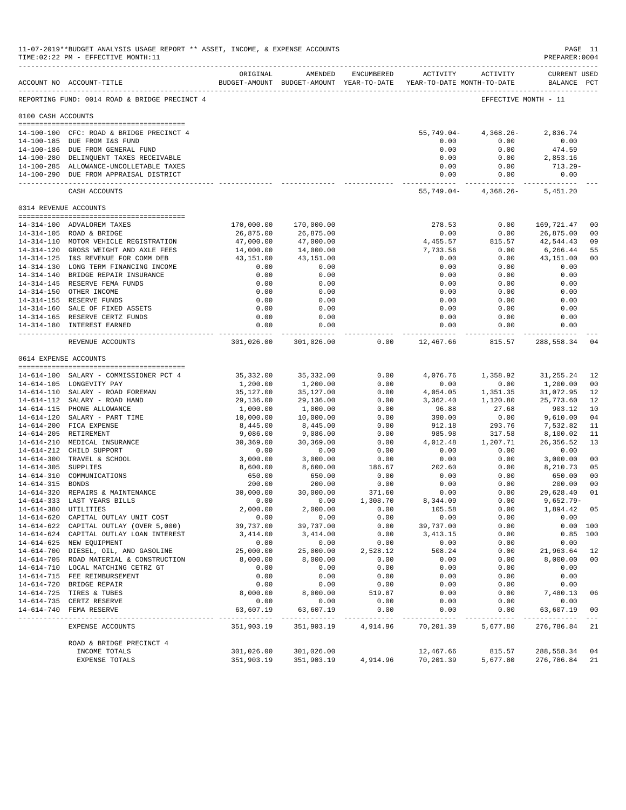|                       | 11-07-2019**BUDGET ANALYSIS USAGE REPORT ** ASSET, INCOME, & EXPENSE ACCOUNTS<br>TIME: 02:22 PM - EFFECTIVE MONTH: 11<br>------------------------------------ |                          |                               |                     |                                                                                          |                        | PAGE 11<br>PREPARER: 0004          |                      |
|-----------------------|---------------------------------------------------------------------------------------------------------------------------------------------------------------|--------------------------|-------------------------------|---------------------|------------------------------------------------------------------------------------------|------------------------|------------------------------------|----------------------|
|                       | ACCOUNT NO ACCOUNT-TITLE                                                                                                                                      | ORIGINAL                 | AMENDED                       | ENCUMBERED          | ACTIVITY ACTIVITY<br>BUDGET-AMOUNT BUDGET-AMOUNT YEAR-TO-DATE YEAR-TO-DATE MONTH-TO-DATE |                        | <b>CURRENT USED</b><br>BALANCE PCT |                      |
|                       | REPORTING FUND: 0014 ROAD & BRIDGE PRECINCT 4                                                                                                                 |                          |                               |                     |                                                                                          | EFFECTIVE MONTH - 11   |                                    |                      |
| 0100 CASH ACCOUNTS    |                                                                                                                                                               |                          |                               |                     |                                                                                          |                        |                                    |                      |
|                       | 14-100-100 CFC: ROAD & BRIDGE PRECINCT 4                                                                                                                      |                          |                               |                     | 55,749.04-                                                                               | $4,368.26-$            | 2,836.74                           |                      |
|                       | 14-100-185 DUE FROM I&S FUND                                                                                                                                  |                          |                               |                     | 0.00                                                                                     | 0.00                   | 0.00                               |                      |
|                       | 14-100-186 DUE FROM GENERAL FUND                                                                                                                              |                          |                               |                     | 0.00                                                                                     | 0.00                   | 474.59                             |                      |
|                       | 14-100-280 DELINQUENT TAXES RECEIVABLE                                                                                                                        |                          |                               |                     | 0.00                                                                                     | 0.00                   | 2,853.16                           |                      |
|                       | 14-100-285 ALLOWANCE-UNCOLLETABLE TAXES                                                                                                                       |                          |                               |                     | 0.00                                                                                     | 0.00                   | 713.29-                            |                      |
|                       | 14-100-290 DUE FROM APPRAISAL DISTRICT                                                                                                                        |                          |                               |                     | 0.00<br>------------ -                                                                   | 0.00<br>------------   | 0.00                               |                      |
|                       | CASH ACCOUNTS                                                                                                                                                 |                          |                               |                     | 55,749.04-                                                                               | 4,368.26-              | 5,451.20                           |                      |
| 0314 REVENUE ACCOUNTS |                                                                                                                                                               |                          |                               |                     |                                                                                          |                        |                                    |                      |
|                       | 14-314-100 ADVALOREM TAXES                                                                                                                                    | 170,000.00               | 170,000.00                    |                     | 278.53                                                                                   | 0.00                   | 169,721.47                         | 0 <sub>0</sub>       |
|                       | 14-314-105 ROAD & BRIDGE                                                                                                                                      | 26,875.00                | 26,875.00                     |                     | 0.00                                                                                     | 0.00                   | 26,875.00                          | 00                   |
|                       | 14-314-110 MOTOR VEHICLE REGISTRATION                                                                                                                         | 47,000.00                | 47,000.00                     |                     | 4,455.57                                                                                 | 815.57                 | 42,544.43                          | 09                   |
|                       | 14-314-120 GROSS WEIGHT AND AXLE FEES                                                                                                                         | 14,000.00                | 14,000.00                     |                     | 7,733.56                                                                                 | 0.00                   | 6,266.44                           | 55                   |
|                       | 14-314-125 I&S REVENUE FOR COMM DEB                                                                                                                           | 43,151.00                | 43,151.00                     |                     | 0.00                                                                                     | 0.00                   | 43,151.00                          | 0 <sub>0</sub>       |
|                       | 14-314-130 LONG TERM FINANCING INCOME                                                                                                                         | 0.00                     | 0.00                          |                     | 0.00                                                                                     | 0.00                   | 0.00                               |                      |
|                       | 14-314-140 BRIDGE REPAIR INSURANCE                                                                                                                            | 0.00                     | 0.00                          |                     | 0.00                                                                                     | 0.00                   | 0.00                               |                      |
|                       | 14-314-145 RESERVE FEMA FUNDS                                                                                                                                 | 0.00                     | 0.00                          |                     | 0.00                                                                                     | 0.00                   | 0.00                               |                      |
|                       | 14-314-150 OTHER INCOME<br>14-314-155 RESERVE FUNDS                                                                                                           | 0.00<br>0.00             | 0.00<br>0.00                  |                     | 0.00<br>0.00                                                                             | 0.00<br>0.00           | 0.00<br>0.00                       |                      |
|                       | 14-314-160 SALE OF FIXED ASSETS                                                                                                                               | 0.00                     | 0.00                          |                     | 0.00                                                                                     | 0.00                   | 0.00                               |                      |
|                       | 14-314-165 RESERVE CERTZ FUNDS                                                                                                                                | 0.00                     | 0.00                          |                     | 0.00                                                                                     | 0.00                   | 0.00                               |                      |
|                       | 14-314-180 INTEREST EARNED                                                                                                                                    | 0.00                     | 0.00                          |                     | 0.00                                                                                     | 0.00                   | 0.00                               |                      |
|                       | REVENUE ACCOUNTS                                                                                                                                              | 301,026.00               | _______________<br>301,026.00 | 0.00                | -------------<br>12,467.66                                                               | ------------<br>815.57 | ------------<br>288,558.34         | 04                   |
| 0614 EXPENSE ACCOUNTS |                                                                                                                                                               |                          |                               |                     |                                                                                          |                        |                                    |                      |
|                       |                                                                                                                                                               |                          |                               |                     |                                                                                          |                        |                                    |                      |
|                       | 14-614-100 SALARY - COMMISSIONER PCT 4<br>14-614-105 LONGEVITY PAY                                                                                            | 35,332.00<br>1,200.00    | 35, 332.00<br>1,200.00        | 0.00<br>0.00        | 4,076.76<br>0.00                                                                         | 1,358.92<br>0.00       | 31, 255. 24<br>1,200.00            | 12<br>0 <sub>0</sub> |
|                       | 14-614-110 SALARY - ROAD FOREMAN                                                                                                                              | 35,127.00                | 35,127.00                     | 0.00                | 4,054.05                                                                                 | 1,351.35               | 31,072.95                          | 12                   |
|                       | 14-614-112 SALARY - ROAD HAND                                                                                                                                 | 29,136.00                | 29,136.00                     | 0.00                | 3,362.40                                                                                 | 1,120.80               | 25,773.60                          | 12                   |
|                       | 14-614-115 PHONE ALLOWANCE                                                                                                                                    | 1,000.00                 | 1,000.00                      | 0.00                | 96.88                                                                                    | 27.68                  | 903.12                             | 10                   |
|                       | 14-614-120 SALARY - PART TIME                                                                                                                                 | 10,000.00                | 10,000.00                     | 0.00                | 390.00                                                                                   | 0.00                   | 9,610.00                           | 04                   |
|                       | 14-614-200 FICA EXPENSE                                                                                                                                       | 8,445.00                 | 8,445.00                      | 0.00                | 912.18                                                                                   | 293.76                 | 7,532.82                           | 11                   |
|                       | 14-614-205 RETIREMENT                                                                                                                                         | 9,086.00                 | 9,086.00                      | 0.00                | 985.98                                                                                   | 317.58                 | 8,100.02                           | 11                   |
|                       | 14-614-210 MEDICAL INSURANCE                                                                                                                                  | 30,369.00                | 30,369.00                     | 0.00                | 4,012.48                                                                                 | 1,207.71               | 26, 356.52                         | 13                   |
|                       | 14-614-212 CHILD SUPPORT                                                                                                                                      | 0.00                     | 0.00                          | 0.00                | 0.00                                                                                     | 0.00                   | 0.00                               |                      |
| 14-614-305 SUPPLIES   | 14-614-300 TRAVEL & SCHOOL                                                                                                                                    | 3,000.00<br>8,600.00     | 3,000.00<br>8,600.00          | 0.00<br>186.67      | 0.00<br>202.60                                                                           | 0.00<br>0.00           | 3,000.00<br>8,210.73               | 0 <sub>0</sub><br>05 |
|                       | 14-614-310 COMMUNICATIONS                                                                                                                                     | 650.00                   | 650.00                        | 0.00                | 0.00                                                                                     | 0.00                   | 650.00                             | 0 <sub>0</sub>       |
| 14-614-315 BONDS      |                                                                                                                                                               | 200.00                   | 200.00                        | 0.00                | 0.00                                                                                     | 0.00                   | 200.00                             | 0 <sub>0</sub>       |
|                       | 14-614-320 REPAIRS & MAINTENANCE                                                                                                                              | 30,000.00                | 30,000.00                     | 371.60              | 0.00                                                                                     | 0.00                   | 29,628.40                          | 01                   |
|                       | 14-614-333 LAST YEARS BILLS                                                                                                                                   | 0.00                     | 0.00                          | 1,308.70            | 8,344.09                                                                                 | 0.00                   | $9,652.79-$                        |                      |
|                       | 14-614-380 UTILITIES                                                                                                                                          | 2,000.00                 | 2,000.00                      | 0.00                | 105.58                                                                                   | 0.00                   | 1,894.42 05                        |                      |
|                       | 14-614-620 CAPITAL OUTLAY UNIT COST                                                                                                                           | 0.00                     | 0.00                          | 0.00                | 0.00                                                                                     | 0.00                   | 0.00                               |                      |
|                       | 14-614-622 CAPITAL OUTLAY (OVER 5,000)                                                                                                                        | 39,737.00                | 39,737.00                     | 0.00                | 39,737.00                                                                                | 0.00                   | 0.00 100                           |                      |
|                       | 14-614-624 CAPITAL OUTLAY LOAN INTEREST                                                                                                                       | 3,414.00                 | 3,414.00                      | 0.00                | 3,413.15                                                                                 | 0.00                   | $0.85$ 100                         |                      |
|                       | 14-614-625 NEW EQUIPMENT<br>14-614-700 DIESEL, OIL, AND GASOLINE                                                                                              | 0.00<br>25,000.00        | 0.00<br>25,000.00             | 0.00<br>2,528.12    | 0.00<br>508.24                                                                           | 0.00<br>0.00           | 0.00<br>21,963.64                  | 12                   |
|                       | 14-614-705 ROAD MATERIAL & CONSTRUCTION                                                                                                                       | 8,000.00                 | 8,000.00                      | 0.00                | 0.00                                                                                     | 0.00                   | 8,000.00                           | 0 <sub>0</sub>       |
|                       | 14-614-710 LOCAL MATCHING CETRZ GT                                                                                                                            | 0.00                     | 0.00                          | 0.00                | 0.00                                                                                     | 0.00                   | 0.00                               |                      |
|                       | 14-614-715 FEE REIMBURSEMENT                                                                                                                                  | 0.00                     | 0.00                          | 0.00                | 0.00                                                                                     | 0.00                   | 0.00                               |                      |
|                       | 14-614-720 BRIDGE REPAIR                                                                                                                                      | 0.00                     | 0.00                          | 0.00                | 0.00                                                                                     | 0.00                   | 0.00                               |                      |
|                       | 14-614-725 TIRES & TUBES                                                                                                                                      | 8,000.00                 | 8,000.00                      | 519.87              | 0.00                                                                                     | 0.00                   | 7,480.13                           | 06                   |
|                       | 14-614-735 CERTZ RESERVE                                                                                                                                      | 0.00                     | 0.00                          | 0.00                | 0.00                                                                                     | 0.00                   | 0.00                               |                      |
|                       | 14-614-740 FEMA RESERVE                                                                                                                                       | 63,607.19<br>----------- | 63,607.19<br>-------------    | 0.00<br>----------- | 0.00<br>------------                                                                     | 0.00<br>.              | 63,607.19<br>------------          | 0 <sub>0</sub>       |
|                       | EXPENSE ACCOUNTS                                                                                                                                              | 351,903.19               | 351,903.19                    | 4,914.96            | 70,201.39                                                                                | 5,677.80               | 276,786.84                         | 21                   |
|                       | ROAD & BRIDGE PRECINCT 4                                                                                                                                      |                          |                               |                     |                                                                                          |                        |                                    |                      |
|                       | INCOME TOTALS                                                                                                                                                 | 301,026.00               | 301,026.00                    |                     | 12,467.66                                                                                | 815.57                 | 288,558.34                         | 04                   |
|                       | EXPENSE TOTALS                                                                                                                                                | 351,903.19               | 351,903.19                    | 4,914.96            | 70,201.39                                                                                | 5,677.80               | 276,786.84                         | 21                   |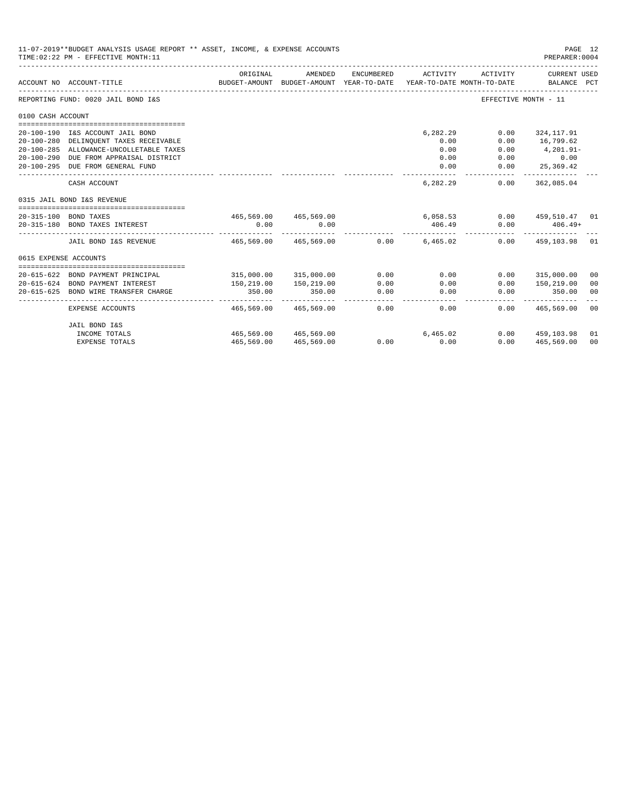|                       | 11-07-2019**BUDGET ANALYSIS USAGE REPORT ** ASSET, INCOME, & EXPENSE ACCOUNTS<br>TIME: 02:22 PM - EFFECTIVE MONTH: 11 |                                         |                                                     |            |              |                                        | PAGE 12<br>PREPARER: 0004   |                |
|-----------------------|-----------------------------------------------------------------------------------------------------------------------|-----------------------------------------|-----------------------------------------------------|------------|--------------|----------------------------------------|-----------------------------|----------------|
|                       | ACCOUNT NO ACCOUNT-TITLE                                                                                              | ORIGINAL                                | AMENDED<br>BUDGET-AMOUNT BUDGET-AMOUNT YEAR-TO-DATE | ENCUMBERED | ACTIVITY     | ACTIVITY<br>YEAR-TO-DATE MONTH-TO-DATE | CURRENT USED<br>BALANCE PCT |                |
|                       | REPORTING FUND: 0020 JAIL BOND I&S                                                                                    |                                         |                                                     |            |              |                                        | EFFECTIVE MONTH - 11        |                |
| 0100 CASH ACCOUNT     |                                                                                                                       |                                         |                                                     |            |              |                                        |                             |                |
|                       |                                                                                                                       |                                         |                                                     |            |              |                                        |                             |                |
|                       | 20-100-190 I&S ACCOUNT JAIL BOND                                                                                      |                                         |                                                     |            | 6,282.29     | 0.00                                   | 324,117.91                  |                |
|                       | 20-100-280 DELINQUENT TAXES RECEIVABLE<br>20-100-285 ALLOWANCE-UNCOLLETABLE TAXES                                     |                                         |                                                     |            | 0.00<br>0.00 | 0.00<br>0.00                           | 16,799.62<br>$4, 201.91 -$  |                |
|                       | 20-100-290 DUE FROM APPRAISAL DISTRICT                                                                                |                                         |                                                     |            | 0.00         |                                        | $0.00$ 0.00                 |                |
|                       | 20-100-295 DUE FROM GENERAL FUND                                                                                      |                                         |                                                     |            | 0.00         |                                        | $0.00$ 25,369.42            |                |
|                       |                                                                                                                       |                                         |                                                     |            |              |                                        | ------------                |                |
|                       | CASH ACCOUNT                                                                                                          |                                         |                                                     |            | 6,282,29     | 0.00                                   | 362,085.04                  |                |
|                       | 0315 JAIL BOND I&S REVENUE                                                                                            |                                         |                                                     |            |              |                                        |                             |                |
|                       | 20-315-100 BOND TAXES                                                                                                 |                                         | 465,569.00 465,569.00                               |            |              | 6,058.53                               | $0.00$ 459,510.47 01        |                |
|                       | 20-315-180 BOND TAXES INTEREST                                                                                        | 0.00                                    | 0.00                                                |            | 406.49       | 0.00                                   | $406.49+$                   |                |
|                       |                                                                                                                       |                                         |                                                     |            |              |                                        |                             |                |
|                       | JAIL BOND I&S REVENUE                                                                                                 | $465.569.00$ $465.569.00$ 0.00 6.465.02 |                                                     |            |              |                                        | $0.00$ 459,103.98 01        |                |
| 0615 EXPENSE ACCOUNTS |                                                                                                                       |                                         |                                                     |            |              |                                        |                             |                |
|                       |                                                                                                                       |                                         |                                                     |            |              |                                        |                             |                |
|                       | 20-615-622 BOND PAYMENT PRINCIPAL                                                                                     |                                         | 315,000.00 315,000.00                               | 0.00       | 0.00         | 0.00                                   | 315,000.00                  | 00             |
| $20 - 615 - 624$      | BOND PAYMENT INTEREST                                                                                                 | 150,219.00                              | 150,219.00                                          | 0.00       | 0.00         | 0.00                                   | 150,219.00                  | 00             |
| $20 - 615 - 625$      | BOND WIRE TRANSFER CHARGE                                                                                             | 350.00                                  | 350.00                                              | 0.00<br>.  | 0.00         | 0.00                                   | 350.00                      | 00             |
|                       | EXPENSE ACCOUNTS                                                                                                      | 465,569.00                              | 465,569.00                                          | 0.00       | 0.00         | 0.00                                   | 465,569.00                  | 00             |
|                       | JAIL BOND I&S                                                                                                         |                                         |                                                     |            |              |                                        |                             |                |
|                       | INCOME TOTALS                                                                                                         | 465,569.00 465,569.00                   |                                                     |            | 6,465.02     |                                        | $0.00$ 459,103.98           | 01             |
|                       | <b>EXPENSE TOTALS</b>                                                                                                 |                                         | 465,569.00 465,569.00                               |            | $0.00$ 0.00  | 0.00                                   | 465,569.00                  | 0 <sup>0</sup> |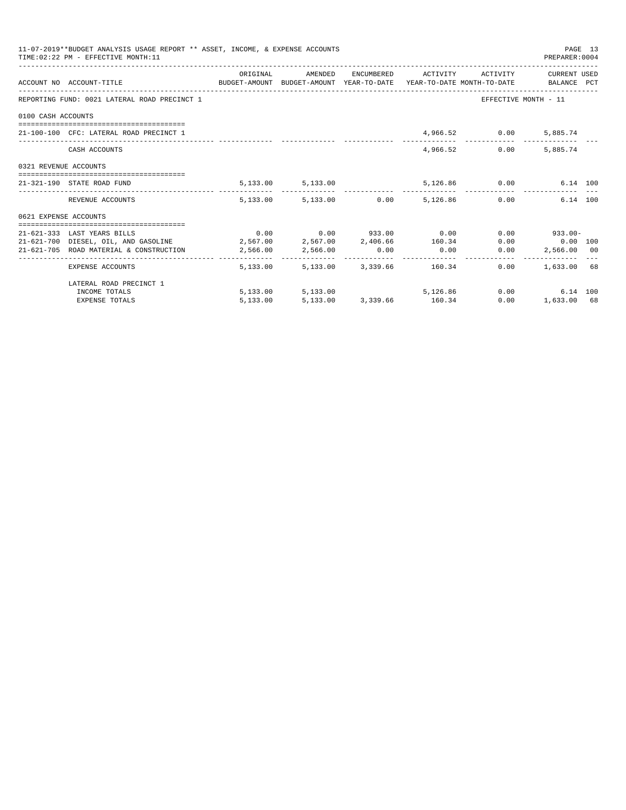|                       | 11-07-2019**BUDGET ANALYSIS USAGE REPORT ** ASSET, INCOME, & EXPENSE ACCOUNTS<br>TIME: 02:22 PM - EFFECTIVE MONTH: 11 |          |                                                           |                             |               | PREPARER:0004        | PAGE 13 |
|-----------------------|-----------------------------------------------------------------------------------------------------------------------|----------|-----------------------------------------------------------|-----------------------------|---------------|----------------------|---------|
|                       | ACCOUNT NO ACCOUNT-TITLE TO BUDGET-AMOUNT BUDGET-AMOUNT YEAR-TO-DATE YEAR-TO-DATE MONTH-TO-DATE BALANCE PCT           |          | ORIGINAL AMENDED ENCUMBERED ACTIVITY ACTIVITY CURRENTUSED |                             |               |                      |         |
|                       | REPORTING FUND: 0021 LATERAL ROAD PRECINCT 1                                                                          |          |                                                           |                             |               | EFFECTIVE MONTH - 11 |         |
| 0100 CASH ACCOUNTS    |                                                                                                                       |          |                                                           |                             |               |                      |         |
|                       | 21-100-100 CFC: LATERAL ROAD PRECINCT 1                                                                               |          |                                                           |                             | 4,966.52 0.00 | 5,885.74             |         |
|                       | CASH ACCOUNTS                                                                                                         |          |                                                           | 4,966.52                    | 0.00          | 5,885.74             |         |
| 0321 REVENUE ACCOUNTS |                                                                                                                       |          |                                                           |                             |               |                      |         |
|                       | 21-321-190 STATE ROAD FUND                                                                                            |          | 5, 133.00 5, 133.00                                       |                             | 5,126.86 0.00 | 6.14 100             |         |
|                       | REVENUE ACCOUNTS                                                                                                      |          | 5,133.00 5,133.00 0.00 5,126.86 0.00                      |                             |               | 6.14 100             |         |
| 0621 EXPENSE ACCOUNTS |                                                                                                                       |          |                                                           |                             |               |                      |         |
|                       | 21-621-333 LAST YEARS BILLS                                                                                           |          | $0.00$ $0.00$ $933.00$ $0.00$                             |                             |               | $0.00$ 933.00-       |         |
|                       |                                                                                                                       |          |                                                           |                             |               |                      |         |
|                       | 21-621-705 ROAD MATERIAL & CONSTRUCTION 2,566.00 2,566.00                                                             |          |                                                           | $0.00$ $0.00$ $0.00$ $0.00$ |               | 2,566.00 00          |         |
|                       | EXPENSE ACCOUNTS                                                                                                      |          | 5,133,00 5,133,00 3,339,66 160,34                         |                             | 0.00          | 1,633.00 68          |         |
|                       | LATERAL ROAD PRECINCT 1                                                                                               |          |                                                           |                             |               |                      |         |
|                       | INCOME TOTALS                                                                                                         |          | 5,133.00 5,133.00 5,126.86                                |                             |               | 0.00<br>6.14 100     |         |
|                       | <b>EXPENSE TOTALS</b>                                                                                                 | 5,133.00 | 5,133.00 3,339.66 160.34                                  |                             |               | 0.00<br>1,633.00 68  |         |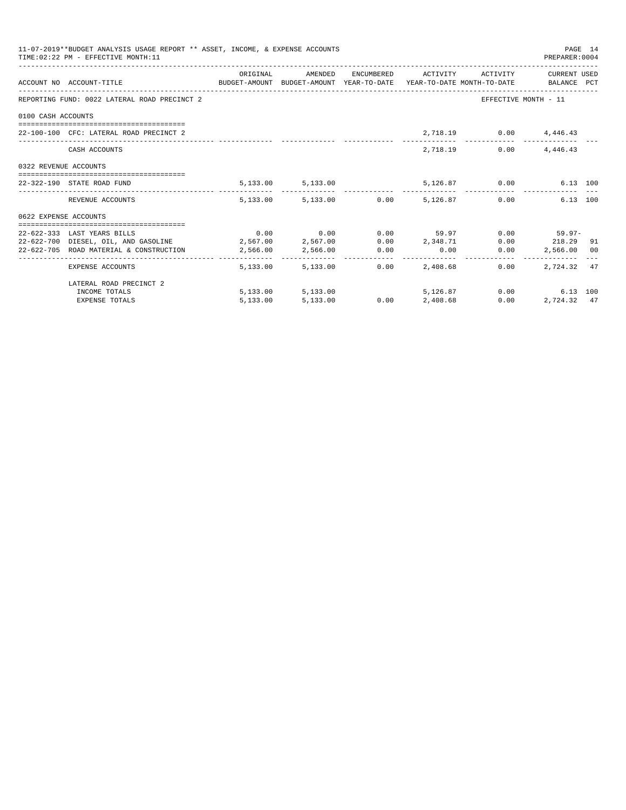|                       | 11-07-2019**BUDGET ANALYSIS USAGE REPORT ** ASSET, INCOME, & EXPENSE ACCOUNTS<br>TIME: 02:22 PM - EFFECTIVE MONTH: 11 |          |                        |      |                                                           |               | PREPARER: 0004         | PAGE 14 |
|-----------------------|-----------------------------------------------------------------------------------------------------------------------|----------|------------------------|------|-----------------------------------------------------------|---------------|------------------------|---------|
|                       | ACCOUNT NO ACCOUNT-TITLE CONTROL SUDGET-AMOUNT BUDGET-AMOUNT YEAR-TO-DATE YEAR-TO-DATE MONTH-TO-DATE BALANCE PCT      |          |                        |      | ORIGINAL AMENDED ENCUMBERED ACTIVITY ACTIVITY CURRENTUSED |               |                        |         |
|                       | REPORTING FUND: 0022 LATERAL ROAD PRECINCT 2                                                                          |          |                        |      |                                                           |               | EFFECTIVE MONTH - 11   |         |
| 0100 CASH ACCOUNTS    |                                                                                                                       |          |                        |      |                                                           |               |                        |         |
|                       | 22-100-100 CFC: LATERAL ROAD PRECINCT 2                                                                               |          |                        |      |                                                           |               | 2,718.19 0.00 4,446.43 |         |
|                       | CASH ACCOUNTS                                                                                                         |          |                        |      |                                                           | 2,718.19 0.00 | 4,446.43               |         |
| 0322 REVENUE ACCOUNTS |                                                                                                                       |          |                        |      |                                                           |               |                        |         |
|                       | 22-322-190 STATE ROAD FUND                                                                                            |          |                        |      | $5,133.00$ $5,133.00$ $5,126.87$ 0.00                     |               | 6.13 100               |         |
|                       | REVENUE ACCOUNTS                                                                                                      |          |                        |      | $5.133.00$ $5.133.00$ $0.00$ $5.126.87$ $0.00$            |               | 6.13 100               |         |
| 0622 EXPENSE ACCOUNTS |                                                                                                                       |          |                        |      |                                                           |               |                        |         |
|                       |                                                                                                                       |          |                        |      |                                                           |               |                        |         |
|                       | 22-622-333 LAST YEARS BILLS                                                                                           |          |                        |      | $0.00$ $0.00$ $0.00$ $0.00$ $59.97$ $0.00$ $59.97$ $0.00$ |               |                        |         |
|                       | 22-622-700 DIESEL, OIL, AND GASOLINE $2,567.00$ $2,567.00$ $0.00$ $2,348.71$ $0.00$ $218.29$ 91                       |          |                        |      |                                                           |               |                        |         |
|                       | 22-622-705 ROAD MATERIAL & CONSTRUCTION 2,566.00 2,566.00                                                             |          |                        | 0.00 | $0.00$ 0.00                                               |               | 2,566.00 00            |         |
|                       | EXPENSE ACCOUNTS                                                                                                      |          | 5,133.00 5,133.00 0.00 |      | 2,408.68                                                  | 0.00          | 2.724.32 47            |         |
|                       | LATERAL ROAD PRECINCT 2                                                                                               |          |                        |      |                                                           |               |                        |         |
|                       | INCOME TOTALS                                                                                                         |          | 5,133.00 5,133.00      |      | 5,126,87                                                  |               | 0.00<br>6.13 100       |         |
|                       | <b>EXPENSE TOTALS</b>                                                                                                 | 5,133.00 | 5,133.00               |      | $0.00$ 2,408.68                                           | 0.00          | 2,724.32 47            |         |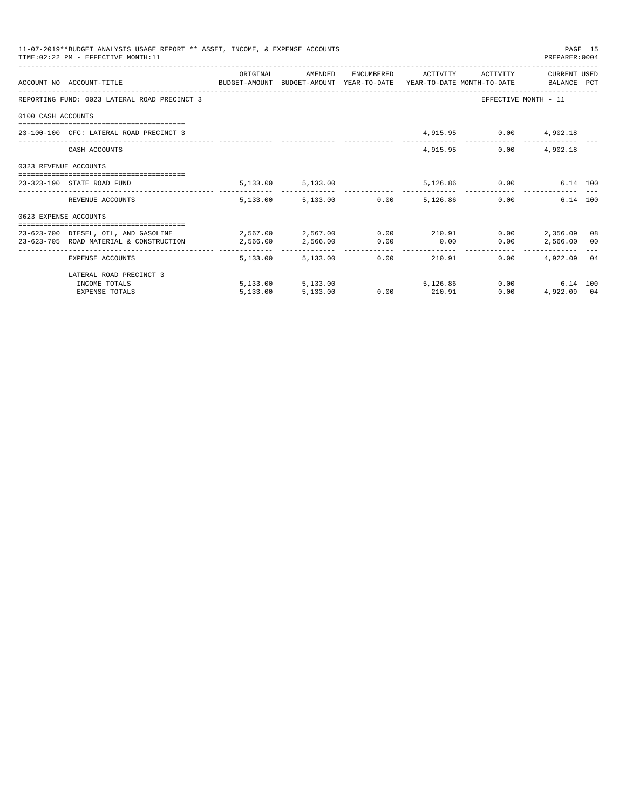|                       | 11-07-2019**BUDGET ANALYSIS USAGE REPORT ** ASSET, INCOME, & EXPENSE ACCOUNTS<br>TIME: 02:22 PM - EFFECTIVE MONTH: 11 |                                       |                                 |               |      |                              | PREPARER: 0004                                | PAGE 15 |
|-----------------------|-----------------------------------------------------------------------------------------------------------------------|---------------------------------------|---------------------------------|---------------|------|------------------------------|-----------------------------------------------|---------|
|                       | ACCOUNT NO ACCOUNT-TITLE COMPUTE BUDGET-AMOUNT BUDGET-AMOUNT YEAR-TO-DATE YEAR-TO-DATE MONTH-TO-DATE BALANCE PCT      | ORIGINAL                              | AMENDED                         |               |      | ENCUMBERED ACTIVITY ACTIVITY | CURRENT USED                                  |         |
|                       | REPORTING FUND: 0023 LATERAL ROAD PRECINCT 3                                                                          |                                       |                                 |               |      |                              | EFFECTIVE MONTH - 11                          |         |
| 0100 CASH ACCOUNTS    |                                                                                                                       |                                       |                                 |               |      |                              |                                               |         |
|                       | 23-100-100 CFC: LATERAL ROAD PRECINCT 3                                                                               |                                       |                                 |               |      | 4,915.95 0.00 4,902.18       |                                               |         |
|                       | CASH ACCOUNTS                                                                                                         |                                       |                                 |               |      | 4,915,95                     | $0.00$ 4,902.18                               |         |
| 0323 REVENUE ACCOUNTS |                                                                                                                       |                                       |                                 |               |      |                              |                                               |         |
|                       | 23-323-190 STATE ROAD FUND                                                                                            |                                       | 5, 133.00 5, 133.00             |               |      | 5,126.86 0.00                | 6.14 100                                      |         |
|                       | REVENUE ACCOUNTS                                                                                                      |                                       | 5,133.00 5,133.00 0.00 5,126.86 |               |      |                              | 6.14 100<br>0.00                              |         |
| 0623 EXPENSE ACCOUNTS |                                                                                                                       |                                       |                                 |               |      |                              |                                               |         |
|                       | 23-623-700 DIESEL, OIL, AND GASOLINE                                                                                  | $2,567.00$ $2,567.00$ $0.00$ $210.91$ |                                 |               |      |                              | $0.00$ 2,356.09 08                            |         |
|                       | 23-623-705 ROAD MATERIAL & CONSTRUCTION 2.566.00                                                                      |                                       | 2,566.00 0.00                   |               | 0.00 |                              | $0.00$ 2,566.00 00                            |         |
|                       | _____________________________________<br>EXPENSE ACCOUNTS                                                             |                                       | 5,133.00 5,133.00 0.00          |               |      | 210.91<br>0.00               | ------------------------------<br>4.922.09 04 |         |
|                       | LATERAL ROAD PRECINCT 3                                                                                               |                                       |                                 |               |      |                              |                                               |         |
|                       | INCOME TOTALS                                                                                                         |                                       | 5,133.00 5,133.00 5,126.86      |               |      |                              | $0.00$ and $0.00$<br>6.14 100                 |         |
|                       | <b>EXPENSE TOTALS</b>                                                                                                 | 5,133.00                              | 5,133.00                        | $0.00$ 210.91 |      | 0.00                         | 4.922.09 04                                   |         |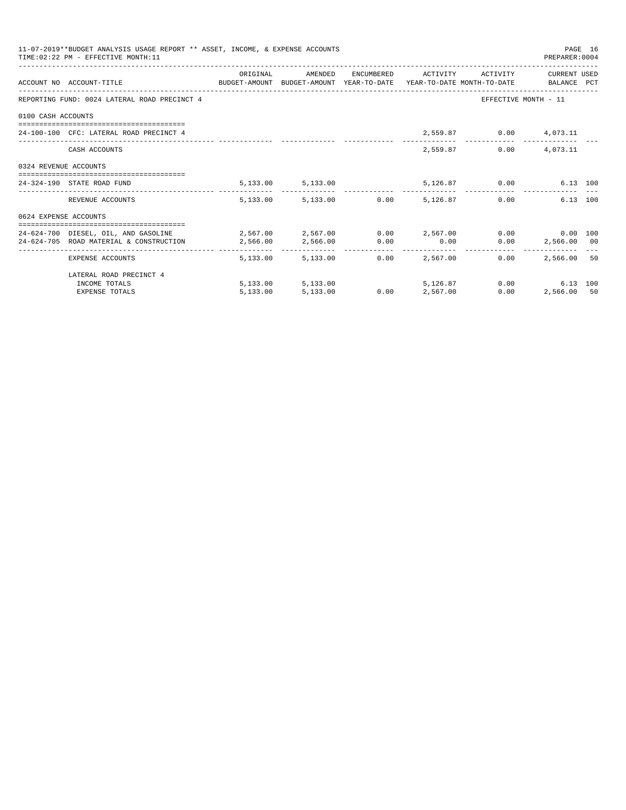|                       | 11-07-2019**BUDGET ANALYSIS USAGE REPORT ** ASSET, INCOME, & EXPENSE ACCOUNTS<br>TIME: 02:22 PM - EFFECTIVE MONTH: 11 |                                                                                           |                                 |                              |                        | PREPARER: 0004                               | PAGE 16 |
|-----------------------|-----------------------------------------------------------------------------------------------------------------------|-------------------------------------------------------------------------------------------|---------------------------------|------------------------------|------------------------|----------------------------------------------|---------|
|                       |                                                                                                                       | ORIGINAL                                                                                  | AMENDED                         | ENCUMBERED ACTIVITY ACTIVITY |                        | CURRENT USED                                 |         |
|                       | ACCOUNT NO ACCOUNT-TITLE COMPUTE BUDGET-AMOUNT BUDGET-AMOUNT YEAR-TO-DATE YEAR-TO-DATE MONTH-TO-DATE BALANCE PCT      |                                                                                           |                                 |                              |                        |                                              |         |
|                       | REPORTING FUND: 0024 LATERAL ROAD PRECINCT 4                                                                          |                                                                                           |                                 |                              |                        | EFFECTIVE MONTH - 11                         |         |
| 0100 CASH ACCOUNTS    |                                                                                                                       |                                                                                           |                                 |                              |                        |                                              |         |
|                       | 24-100-100 CEC: LATERAL ROAD PRECINCT 4                                                                               |                                                                                           |                                 |                              | 2,559.87 0.00 4,073.11 |                                              |         |
|                       | CASH ACCOUNTS                                                                                                         |                                                                                           |                                 | 2,559.87                     |                        | $0.00$ 4,073.11                              |         |
| 0324 REVENUE ACCOUNTS |                                                                                                                       |                                                                                           |                                 |                              |                        |                                              |         |
|                       | 24-324-190 STATE ROAD FUND                                                                                            |                                                                                           | 5, 133.00 5, 133.00             |                              | 5,126.87 0.00          | 6.13 100                                     |         |
|                       | REVENUE ACCOUNTS                                                                                                      |                                                                                           | 5,133.00 5,133.00 0.00 5,126.87 |                              |                        | 6.13 100<br>0.00                             |         |
| 0624 EXPENSE ACCOUNTS |                                                                                                                       |                                                                                           |                                 |                              |                        |                                              |         |
|                       | 24-624-700 DIESEL, OIL, AND GASOLINE                                                                                  | $2\, , 567\, .00$ $2\, , 567\, .00$ $0\, .00$ $2\, , 567\, .00$ $0\, .00$ $0\, .00$ $100$ |                                 |                              |                        |                                              |         |
|                       | 24-624-705 ROAD MATERIAL & CONSTRUCTION 2,566.00                                                                      |                                                                                           | 2,566.00 0.00                   | 0.00                         |                        | $0.00$ 2,566.00 00                           |         |
|                       | EXPENSE ACCOUNTS                                                                                                      | 5,133,00                                                                                  | 5,133,00                        | $0.00$ 2.567.00              | 0.00                   | -----------------------------<br>2,566,00 50 |         |
|                       | LATERAL ROAD PRECINCT 4                                                                                               |                                                                                           |                                 |                              |                        |                                              |         |
|                       | INCOME TOTALS                                                                                                         |                                                                                           | 5,133.00 5,133.00               | 5,126.87                     |                        | 0.00<br>6.13 100                             |         |
|                       | <b>EXPENSE TOTALS</b>                                                                                                 | 5,133.00                                                                                  | 5,133.00                        | $0.00$ 2,567.00              | 0.00                   | 2,566.00 50                                  |         |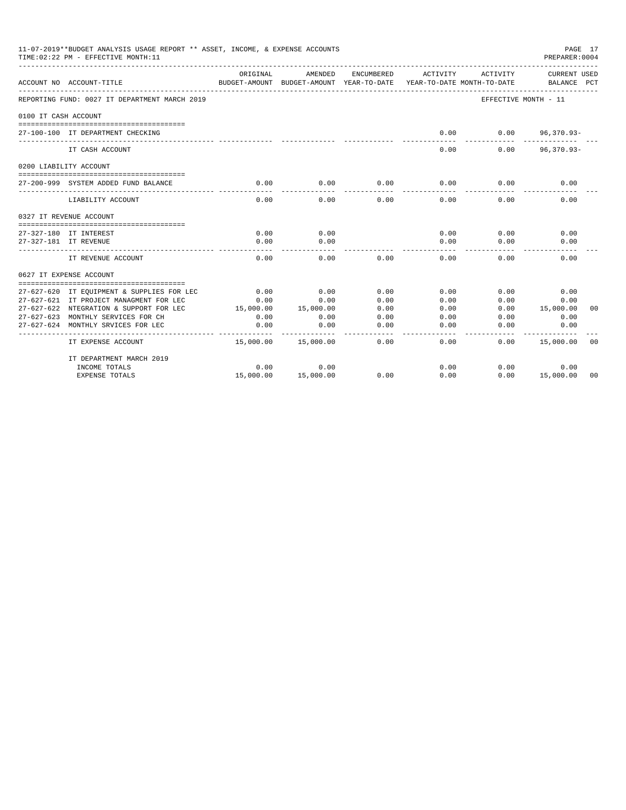|                      | 11-07-2019**BUDGET ANALYSIS USAGE REPORT ** ASSET, INCOME, & EXPENSE ACCOUNTS<br>TIME: 02:22 PM - EFFECTIVE MONTH: 11 |                           |                                       |            |          |                                        | PAGE 17<br>PREPARER: 0004   |
|----------------------|-----------------------------------------------------------------------------------------------------------------------|---------------------------|---------------------------------------|------------|----------|----------------------------------------|-----------------------------|
|                      | ACCOUNT NO ACCOUNT-TITLE                                                                                              | ORIGINAL<br>BUDGET-AMOUNT | AMENDED<br>BUDGET-AMOUNT YEAR-TO-DATE | ENCUMBERED | ACTIVITY | ACTIVITY<br>YEAR-TO-DATE MONTH-TO-DATE | CURRENT USED<br>BALANCE PCT |
|                      | REPORTING FUND: 0027 IT DEPARTMENT MARCH 2019                                                                         |                           |                                       |            |          | EFFECTIVE MONTH - 11                   |                             |
| 0100 IT CASH ACCOUNT |                                                                                                                       |                           |                                       |            |          |                                        |                             |
|                      | 27-100-100 IT DEPARTMENT CHECKING                                                                                     |                           |                                       |            | 0.00     | 0.00                                   | $96,370.93 -$               |
|                      | IT CASH ACCOUNT                                                                                                       |                           |                                       |            | 0.00     | 0.00                                   | $96,370.93 -$               |
|                      | 0200 LIABILITY ACCOUNT                                                                                                |                           |                                       |            |          |                                        |                             |
|                      | 27-200-999 SYSTEM ADDED FUND BALANCE                                                                                  | 0.00                      | 0.00                                  | 0.00       | 0.00     | 0.00                                   | 0.00                        |
|                      | LIABILITY ACCOUNT                                                                                                     | 0.00                      | 0.00                                  | 0.00       | 0.00     | 0.00                                   | 0.00                        |
|                      | 0327 IT REVENUE ACCOUNT<br>-------------------------------------                                                      |                           |                                       |            |          |                                        |                             |
|                      | 27-327-180 IT INTEREST                                                                                                | 0.00                      | 0.00                                  |            | 0.00     | 0.00                                   | 0.00                        |
|                      | 27-327-181 IT REVENUE                                                                                                 | 0.00                      | 0.00                                  |            | 0.00     | 0.00                                   | 0.00                        |
|                      | IT REVENUE ACCOUNT                                                                                                    | 0.00                      | 0.00                                  | 0.00       | 0.00     | 0.00                                   | 0.00                        |
|                      | 0627 IT EXPENSE ACCOUNT                                                                                               |                           |                                       |            |          |                                        |                             |
|                      | 27-627-620 IT EQUIPMENT & SUPPLIES FOR LEC                                                                            | 0.00                      | 0.00                                  | 0.00       | 0.00     | 0.00                                   | 0.00                        |
|                      | 27-627-621 IT PROJECT MANAGMENT FOR LEC                                                                               | 0.00                      | 0.00                                  | 0.00       | 0.00     | 0.00                                   | 0.00                        |
|                      | 27-627-622 NTEGRATION & SUPPORT FOR LEC                                                                               | 15,000.00                 | 15,000.00                             | 0.00       | 0.00     | 0.00                                   | 15,000.00<br>00             |
|                      | 27-627-623 MONTHLY SERVICES FOR CH                                                                                    | 0.00                      | 0.00                                  | 0.00       | 0.00     | 0.00                                   | 0.00                        |
|                      | 27-627-624 MONTHLY SRVICES FOR LEC                                                                                    | 0.00                      | 0.00                                  | 0.00       | 0.00     | 0.00                                   | 0.00                        |
|                      | IT EXPENSE ACCOUNT                                                                                                    | 15,000.00                 | 15,000.00                             | 0.00       | 0.00     | 0.00                                   | 15,000.00<br>00             |
|                      | IT DEPARTMENT MARCH 2019                                                                                              |                           |                                       |            |          |                                        |                             |
|                      | INCOME TOTALS                                                                                                         | 0.00                      | 0.00                                  |            | 0.00     | 0.00                                   | 0.00                        |
|                      | <b>EXPENSE TOTALS</b>                                                                                                 | 15,000.00                 | 15,000.00                             | 0.00       | 0.00     | 0.00                                   | 15,000.00<br>00             |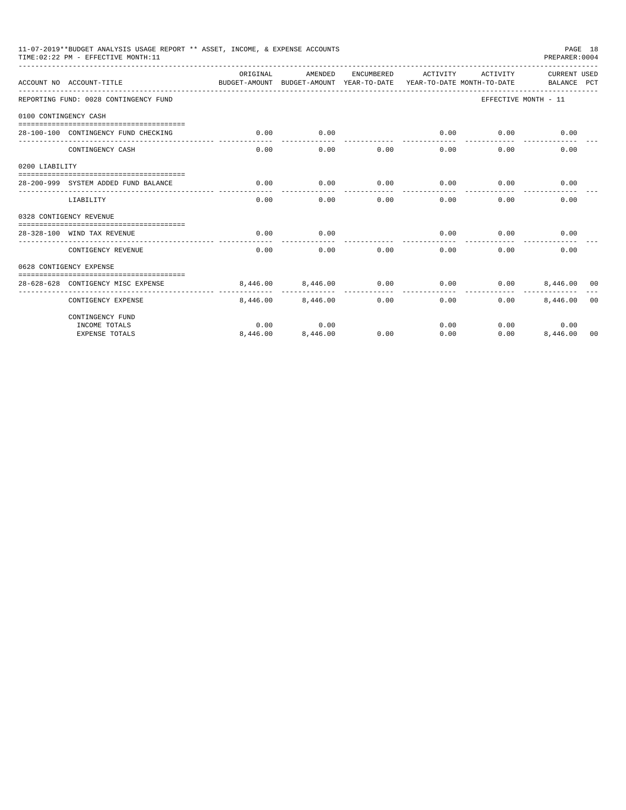|                       | 11-07-2019**BUDGET ANALYSIS USAGE REPORT ** ASSET, INCOME, & EXPENSE ACCOUNTS<br>TIME: 02:22 PM - EFFECTIVE MONTH: 11 |                                                                                  |                   |            |                     |          | PAGE 18<br>PREPARER: 0004   |                |
|-----------------------|-----------------------------------------------------------------------------------------------------------------------|----------------------------------------------------------------------------------|-------------------|------------|---------------------|----------|-----------------------------|----------------|
|                       | ACCOUNT NO ACCOUNT-TITLE                                                                                              | OR TGTNAL<br>BUDGET-AMOUNT BUDGET-AMOUNT YEAR-TO-DATE YEAR-TO-DATE MONTH-TO-DATE | AMENDED           | ENCUMBERED | ACTIVITY            | ACTIVITY | CURRENT USED<br>BALANCE PCT |                |
|                       | REPORTING FUND: 0028 CONTINGENCY FUND                                                                                 |                                                                                  |                   |            |                     |          | EFFECTIVE MONTH - 11        |                |
| 0100 CONTINGENCY CASH |                                                                                                                       |                                                                                  |                   |            |                     |          |                             |                |
|                       | 28-100-100 CONTINGENCY FUND CHECKING                                                                                  | 0.00                                                                             | 0.00              |            | 0.00<br>----------- | 0.00     | 0.00                        |                |
|                       | CONTINGENCY CASH                                                                                                      | 0.00                                                                             | 0.00              | 0.00       | 0.00                | 0.00     | 0.00                        |                |
| 0200 LIABILITY        |                                                                                                                       |                                                                                  |                   |            |                     |          |                             |                |
|                       | 28-200-999 SYSTEM ADDED FUND BALANCE                                                                                  | 0.00                                                                             | 0.00              | 0.00       | 0.00                | 0.00     | 0.00                        |                |
|                       | LIABILITY                                                                                                             | 0.00                                                                             | 0.00              | 0.00       | 0.00                | 0.00     | 0.00                        |                |
|                       | 0328 CONTIGENCY REVENUE                                                                                               |                                                                                  |                   |            |                     |          |                             |                |
|                       | 28-328-100 WIND TAX REVENUE                                                                                           | 0.00                                                                             | 0.00              |            | 0.00                | 0.00     | 0.00                        |                |
|                       | CONTIGENCY REVENUE                                                                                                    | 0.00                                                                             | 0.00              | 0.00       | 0.00                | 0.00     | 0.00                        |                |
|                       | 0628 CONTIGENCY EXPENSE                                                                                               |                                                                                  |                   |            |                     |          |                             |                |
|                       | 28-628-628 CONTIGENCY MISC EXPENSE                                                                                    |                                                                                  | 8,446,00 8,446,00 | 0.00       | 0.00                | 0.00     | 8,446,00 00                 |                |
|                       | CONTIGENCY EXPENSE                                                                                                    |                                                                                  | 8,446,00 8,446,00 | 0.00       | 0.00                | 0.00     | 8,446.00                    | 0 <sub>0</sub> |
|                       | CONTINGENCY FUND                                                                                                      |                                                                                  |                   |            |                     |          |                             |                |
|                       | INCOME TOTALS                                                                                                         | 0.00                                                                             | 0.00              |            | 0.00                |          | 0.00<br>0.00                |                |
|                       | <b>EXPENSE TOTALS</b>                                                                                                 | 8,446.00                                                                         | 8,446.00          | 0.00       | 0.00                | 0.00     | 8,446.00 00                 |                |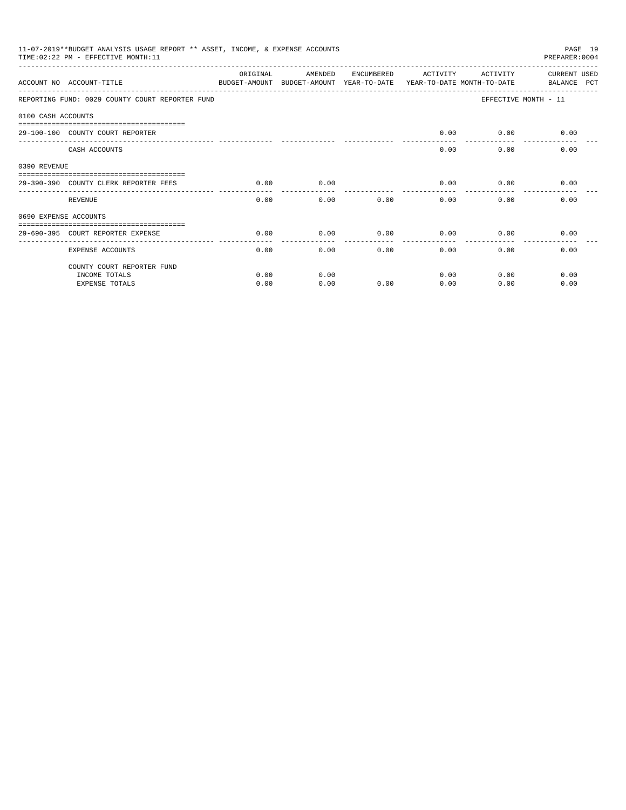|                       |                                                                   |          | 11-07-2019**BUDGET ANALYSIS USAGE REPORT ** ASSET, INCOME, & EXPENSE ACCOUNTS<br>PAGE 19<br>PREPARER: 0004<br>TIME: 02:22 PM - EFFECTIVE MONTH: 11<br>ACTIVITY |            |          |              |                             |  |  |  |  |
|-----------------------|-------------------------------------------------------------------|----------|----------------------------------------------------------------------------------------------------------------------------------------------------------------|------------|----------|--------------|-----------------------------|--|--|--|--|
|                       | ACCOUNT NO ACCOUNT-TITLE                                          | ORIGINAL | AMENDED<br>BUDGET-AMOUNT BUDGET-AMOUNT YEAR-TO-DATE YEAR-TO-DATE MONTH-TO-DATE                                                                                 | ENCUMBERED | ACTIVITY |              | CURRENT USED<br>BALANCE PCT |  |  |  |  |
|                       | REPORTING FUND: 0029 COUNTY COURT REPORTER FUND                   |          |                                                                                                                                                                |            |          |              | EFFECTIVE MONTH - 11        |  |  |  |  |
| 0100 CASH ACCOUNTS    |                                                                   |          |                                                                                                                                                                |            |          |              |                             |  |  |  |  |
|                       | -----------------------------<br>29-100-100 COUNTY COURT REPORTER |          |                                                                                                                                                                |            | 0.00     |              | $0.00$ 0.00                 |  |  |  |  |
|                       | CASH ACCOUNTS                                                     |          |                                                                                                                                                                |            | 0.00     | 0.00         | 0.00                        |  |  |  |  |
| 0390 REVENUE          |                                                                   |          |                                                                                                                                                                |            |          |              |                             |  |  |  |  |
|                       | 29-390-390 COUNTY CLERK REPORTER FEES                             | 0.00     | 0.00                                                                                                                                                           |            | 0.00     | 0.00         | 0.00                        |  |  |  |  |
|                       | REVENUE                                                           | 0.00     | 0.00                                                                                                                                                           | 0.00       | 0.00     | 0.00         | 0.00                        |  |  |  |  |
| 0690 EXPENSE ACCOUNTS |                                                                   |          |                                                                                                                                                                |            |          |              |                             |  |  |  |  |
|                       | 29-690-395 COURT REPORTER EXPENSE                                 | 0.00     | 0.00                                                                                                                                                           | 0.00       | 0.00     | 0.00         | 0.00                        |  |  |  |  |
|                       | <b>EXPENSE ACCOUNTS</b>                                           | 0.00     | 0.00                                                                                                                                                           | 0.00       |          | 0.00<br>0.00 | 0.00                        |  |  |  |  |
|                       | COUNTY COURT REPORTER FUND                                        |          |                                                                                                                                                                |            |          |              |                             |  |  |  |  |
|                       | INCOME TOTALS                                                     | 0.00     | 0.00                                                                                                                                                           |            | 0.00     | 0.00         | 0.00                        |  |  |  |  |
|                       | <b>EXPENSE TOTALS</b>                                             | 0.00     | 0.00                                                                                                                                                           | 0.00       | 0.00     | 0.00         | 0.00                        |  |  |  |  |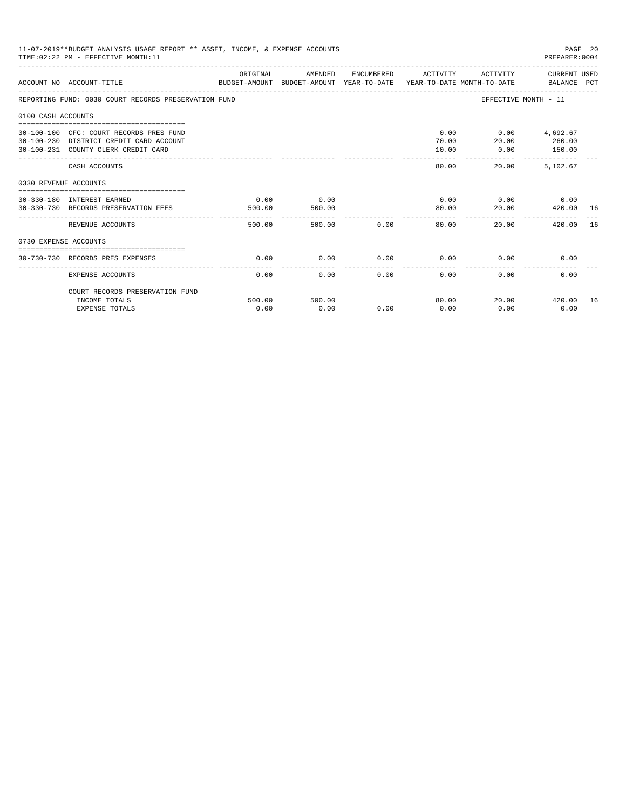|                       | 11-07-2019**BUDGET ANALYSIS USAGE REPORT ** ASSET, INCOME, & EXPENSE ACCOUNTS<br>TIME: 02:22 PM - EFFECTIVE MONTH: 11     |                |                |             |                     |                                            | PAGE 20<br>PREPARER:0004 |    |
|-----------------------|---------------------------------------------------------------------------------------------------------------------------|----------------|----------------|-------------|---------------------|--------------------------------------------|--------------------------|----|
|                       | ACCOUNT NO ACCOUNT-TITLE COMPUTE SUDGET-AMOUNT BUDGET-AMOUNT VEAR-TO-DATE VEAR-TO-DATE MONTH-TO-DATE BALANCE PCT          | ORIGINAL       | AMENDED        |             | ENCUMBERED ACTIVITY |                                            | ACTIVITY CURRENT USED    |    |
|                       | REPORTING FUND: 0030 COURT RECORDS PRESERVATION FUND                                                                      |                |                |             |                     | EFFECTIVE MONTH - 11                       |                          |    |
| 0100 CASH ACCOUNTS    |                                                                                                                           |                |                |             |                     |                                            |                          |    |
|                       | 30-100-100 CFC: COURT RECORDS PRES FUND<br>30-100-230 DISTRICT CREDIT CARD ACCOUNT<br>30-100-231 COUNTY CLERK CREDIT CARD |                |                |             | 70.00<br>10.00      | $0.00$ $0.00$ $4,692.67$<br>20.00<br>0.00  | 260.00<br>150.00         |    |
|                       | CASH ACCOUNTS                                                                                                             |                |                |             | -------<br>80.00    | _________________________________<br>20.00 | 5,102.67                 |    |
| 0330 REVENUE ACCOUNTS |                                                                                                                           |                |                |             |                     |                                            |                          |    |
|                       | 30-330-180 INTEREST EARNED<br>30-330-730 RECORDS PRESERVATION FEES                                                        | 0.00<br>500.00 | 0.00<br>500.00 |             | 80.00               | $0.00$ $0.00$ $0.00$<br>20.00              | 420.00 16                |    |
|                       | REVENUE ACCOUNTS                                                                                                          | 500.00         |                | 500.00 0.00 | ---------<br>80.00  | 20.00                                      | 420.00                   | 16 |
| 0730 EXPENSE ACCOUNTS |                                                                                                                           |                |                |             |                     |                                            |                          |    |
|                       | 30-730-730 RECORDS PRES EXPENSES                                                                                          | 0.00           | 0.00           | 0.00        | 0.00                | 0.00                                       | 0.00                     |    |
|                       | <b>EXPENSE ACCOUNTS</b>                                                                                                   | 0.00           | 0.00           | 0.00        | 0.00                | 0.00                                       | 0.00                     |    |
|                       | COURT RECORDS PRESERVATION FUND                                                                                           |                |                |             |                     |                                            |                          |    |
|                       | INCOME TOTALS<br><b>EXPENSE TOTALS</b>                                                                                    | 500.00<br>0.00 | 500.00<br>0.00 | 0.00        | 80.00<br>0.00       | 0.00                                       | 20.00 420.00<br>0.00     | 16 |
|                       |                                                                                                                           |                |                |             |                     |                                            |                          |    |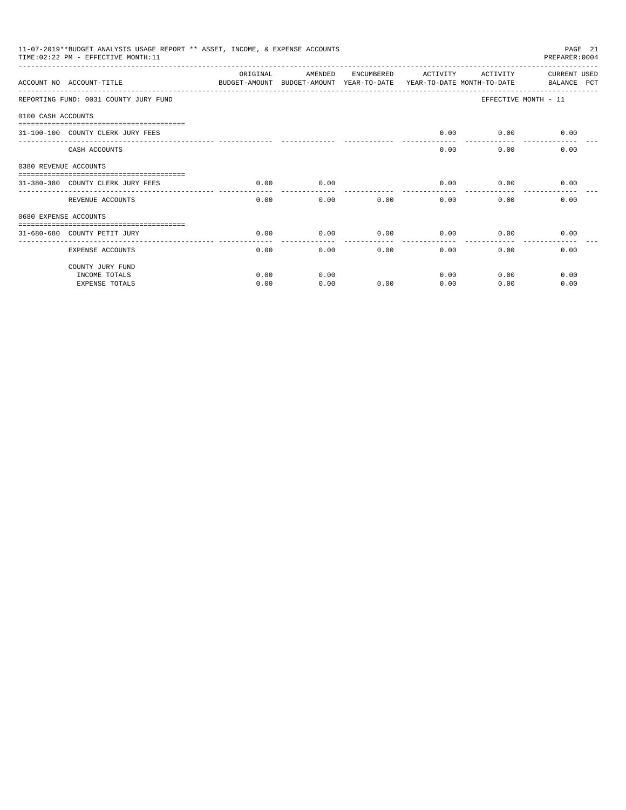|                       | 11-07-2019**BUDGET ANALYSIS USAGE REPORT ** ASSET, INCOME, & EXPENSE ACCOUNTS<br>TIME: 02:22 PM - EFFECTIVE MONTH: 11 |          |                                                                                |            |          |              | PAGE 21<br>PREPARER: 0004   |
|-----------------------|-----------------------------------------------------------------------------------------------------------------------|----------|--------------------------------------------------------------------------------|------------|----------|--------------|-----------------------------|
|                       | ACCOUNT NO ACCOUNT-TITLE                                                                                              | ORIGINAL | AMENDED<br>BUDGET-AMOUNT BUDGET-AMOUNT YEAR-TO-DATE YEAR-TO-DATE MONTH-TO-DATE | ENCUMBERED | ACTIVITY | ACTIVITY     | CURRENT USED<br>BALANCE PCT |
|                       | REPORTING FUND: 0031 COUNTY JURY FUND                                                                                 |          |                                                                                |            |          |              | EFFECTIVE MONTH - 11        |
| 0100 CASH ACCOUNTS    |                                                                                                                       |          |                                                                                |            |          |              |                             |
|                       | 31-100-100 COUNTY CLERK JURY FEES                                                                                     |          |                                                                                |            | 0.00     |              | $0.00$ 0.00                 |
|                       | CASH ACCOUNTS                                                                                                         |          |                                                                                |            | 0.00     | 0.00         | 0.00                        |
| 0380 REVENUE ACCOUNTS |                                                                                                                       |          |                                                                                |            |          |              |                             |
|                       | 31-380-380 COUNTY CLERK JURY FEES                                                                                     | 0.00     | 0.00                                                                           |            | 0.00     |              | 0.00<br>0.00                |
|                       | REVENUE ACCOUNTS                                                                                                      | 0.00     | 0.00                                                                           | 0.00       |          | 0.00<br>0.00 | 0.00                        |
| 0680 EXPENSE ACCOUNTS |                                                                                                                       |          |                                                                                |            |          |              |                             |
|                       | 31-680-680 COUNTY PETIT JURY                                                                                          | 0.00     | 0.00                                                                           | 0.00       | 0.00     | 0.00         | 0.00                        |
|                       | EXPENSE ACCOUNTS                                                                                                      | 0.00     | 0.00                                                                           |            | 0.00     | 0.00<br>0.00 | 0.00                        |
|                       | COUNTY JURY FUND                                                                                                      |          |                                                                                |            |          |              |                             |
|                       | INCOME TOTALS                                                                                                         | 0.00     | 0.00                                                                           |            | 0.00     | 0.00         | 0.00                        |
|                       | <b>EXPENSE TOTALS</b>                                                                                                 | 0.00     | 0.00                                                                           | 0.00       | 0.00     | 0.00         | 0.00                        |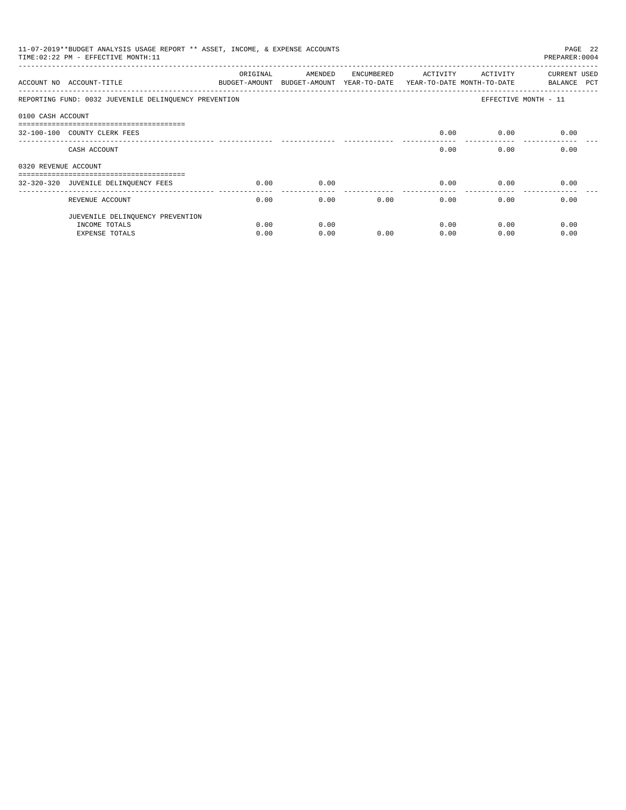|                      | 11-07-2019**BUDGET ANALYSIS USAGE REPORT ** ASSET, INCOME, & EXPENSE ACCOUNTS<br>TIME: 02:22 PM - EFFECTIVE MONTH: 11 |          |                                                                                |            |          |          | PAGE 22<br>PREPARER: 0004   |
|----------------------|-----------------------------------------------------------------------------------------------------------------------|----------|--------------------------------------------------------------------------------|------------|----------|----------|-----------------------------|
|                      | ACCOUNT NO ACCOUNT-TITLE                                                                                              | ORIGINAL | AMENDED<br>BUDGET-AMOUNT BUDGET-AMOUNT YEAR-TO-DATE YEAR-TO-DATE MONTH-TO-DATE | ENCUMBERED | ACTIVITY | ACTIVITY | CURRENT USED<br>BALANCE PCT |
|                      | REPORTING FUND: 0032 JUEVENILE DELINQUENCY PREVENTION                                                                 |          |                                                                                |            |          |          | EFFECTIVE MONTH - 11        |
| 0100 CASH ACCOUNT    |                                                                                                                       |          |                                                                                |            |          |          |                             |
|                      | -------------------------------------<br>32-100-100 COUNTY CLERK FEES                                                 |          |                                                                                |            | 0.00     | 0.00     | 0.00                        |
|                      | CASH ACCOUNT                                                                                                          |          |                                                                                |            | 0.00     | 0.00     | 0.00                        |
| 0320 REVENUE ACCOUNT |                                                                                                                       |          |                                                                                |            |          |          |                             |
|                      | -------------------------------------                                                                                 |          |                                                                                |            |          |          |                             |
|                      | 32-320-320 JUVENILE DELINQUENCY FEES                                                                                  | 0.00     | 0.00                                                                           |            | 0.00     | 0.00     | 0.00                        |
|                      | REVENUE ACCOUNT                                                                                                       | 0.00     | 0.00                                                                           | 0.00       | 0.00     | 0.00     | 0.00                        |
|                      | JUEVENILE DELINQUENCY PREVENTION                                                                                      |          |                                                                                |            |          |          |                             |
|                      | INCOME TOTALS                                                                                                         | 0.00     | 0.00                                                                           |            | 0.00     | 0.00     | 0.00                        |
|                      | EXPENSE TOTALS                                                                                                        | 0.00     | 0.00                                                                           | 0.00       | 0.00     | 0.00     | 0.00                        |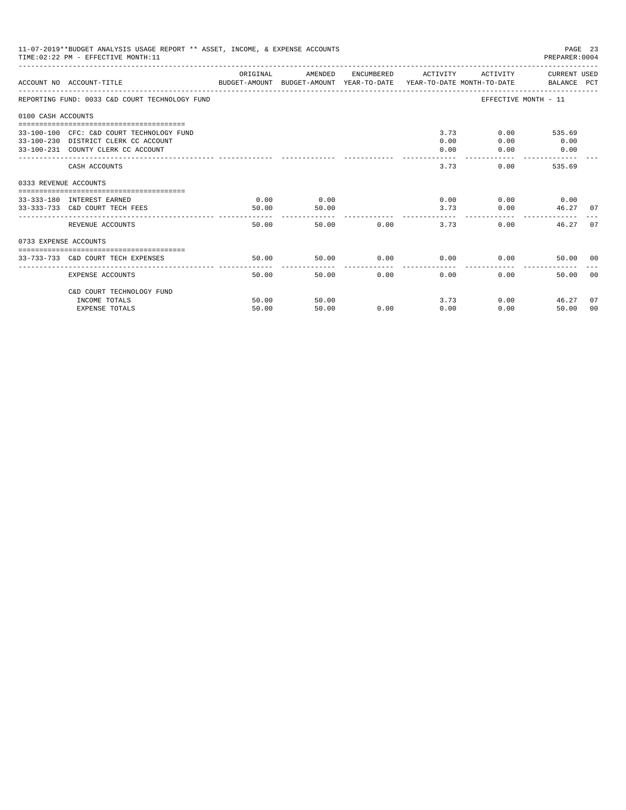| 11-07-2019**BUDGET ANALYSIS USAGE REPORT ** ASSET, INCOME, & EXPENSE ACCOUNTS<br>PAGE 23<br>TIME: 02:22 PM - EFFECTIVE MONTH: 11<br>PREPARER: 0004<br>ORIGINAL<br>ACTIVITY CURRENT USED<br>AMENDED<br>ENCUMBERED ACTIVITY<br>ACCOUNT NO ACCOUNT-TITLE COMPANY BUDGET-AMOUNT BUDGET-AMOUNT YEAR-TO-DATE YEAR-TO-DATE MONTH-TO-DATE BALANCE PCT<br>REPORTING FUND: 0033 C&D COURT TECHNOLOGY FUND<br>EFFECTIVE MONTH - 11<br>0100 CASH ACCOUNTS<br>3.73<br>$0.00$ 535.69<br>33-100-100 CFC: C&D COURT TECHNOLOGY FUND<br>0.00<br>0.00<br>33-100-230 DISTRICT CLERK CC ACCOUNT<br>0.00<br>33-100-231 COUNTY CLERK CC ACCOUNT<br>0.00<br>0.00<br>$\sim$ 0.00 |                                                              |               |                               |            |              |                               |                                 |       |
|----------------------------------------------------------------------------------------------------------------------------------------------------------------------------------------------------------------------------------------------------------------------------------------------------------------------------------------------------------------------------------------------------------------------------------------------------------------------------------------------------------------------------------------------------------------------------------------------------------------------------------------------------------|--------------------------------------------------------------|---------------|-------------------------------|------------|--------------|-------------------------------|---------------------------------|-------|
|                                                                                                                                                                                                                                                                                                                                                                                                                                                                                                                                                                                                                                                          |                                                              |               |                               |            |              |                               |                                 |       |
|                                                                                                                                                                                                                                                                                                                                                                                                                                                                                                                                                                                                                                                          |                                                              |               |                               |            |              |                               |                                 |       |
|                                                                                                                                                                                                                                                                                                                                                                                                                                                                                                                                                                                                                                                          |                                                              |               |                               |            |              |                               |                                 |       |
|                                                                                                                                                                                                                                                                                                                                                                                                                                                                                                                                                                                                                                                          |                                                              |               |                               |            | .            |                               |                                 |       |
|                                                                                                                                                                                                                                                                                                                                                                                                                                                                                                                                                                                                                                                          | CASH ACCOUNTS                                                |               |                               |            | 3.73         |                               | 0.00<br>535.69                  |       |
| 0333 REVENUE ACCOUNTS                                                                                                                                                                                                                                                                                                                                                                                                                                                                                                                                                                                                                                    |                                                              |               |                               |            |              |                               |                                 |       |
|                                                                                                                                                                                                                                                                                                                                                                                                                                                                                                                                                                                                                                                          | 33-333-180 INTEREST EARNED<br>33-333-733 C&D COURT TECH FEES | 0.00<br>50.00 | 0.00<br>50.00<br>------------ |            |              | 0.00<br>3.73<br>----------- - | $0.00$ 0.00<br>0.00<br>46.27 07 |       |
|                                                                                                                                                                                                                                                                                                                                                                                                                                                                                                                                                                                                                                                          | REVENUE ACCOUNTS                                             | 50.00         |                               | 50.00 0.00 |              | 3.73                          | 0.00<br>46.27                   | 07    |
| 0733 EXPENSE ACCOUNTS                                                                                                                                                                                                                                                                                                                                                                                                                                                                                                                                                                                                                                    |                                                              |               |                               |            |              |                               |                                 |       |
|                                                                                                                                                                                                                                                                                                                                                                                                                                                                                                                                                                                                                                                          | 33-733-733 C&D COURT TECH EXPENSES                           | 50.00         | 50.00                         |            | $0.00$ 0.00  |                               | 0.00<br>50.00 00                |       |
|                                                                                                                                                                                                                                                                                                                                                                                                                                                                                                                                                                                                                                                          | EXPENSE ACCOUNTS                                             | 50.00         |                               | 50.00      | 0.00<br>0.00 |                               | 0.00<br>50.00                   | - 0.0 |
|                                                                                                                                                                                                                                                                                                                                                                                                                                                                                                                                                                                                                                                          | C&D COURT TECHNOLOGY FUND                                    |               |                               |            |              |                               |                                 |       |
|                                                                                                                                                                                                                                                                                                                                                                                                                                                                                                                                                                                                                                                          | INCOME TOTALS                                                | 50.00         | 50.00                         |            |              | 3.73                          | 0.00<br>46.27                   | 07    |
|                                                                                                                                                                                                                                                                                                                                                                                                                                                                                                                                                                                                                                                          | <b>EXPENSE TOTALS</b>                                        | 50.00         | 50.00                         | 0.00       | 0.00         | 0.00                          | 50.00                           | 00    |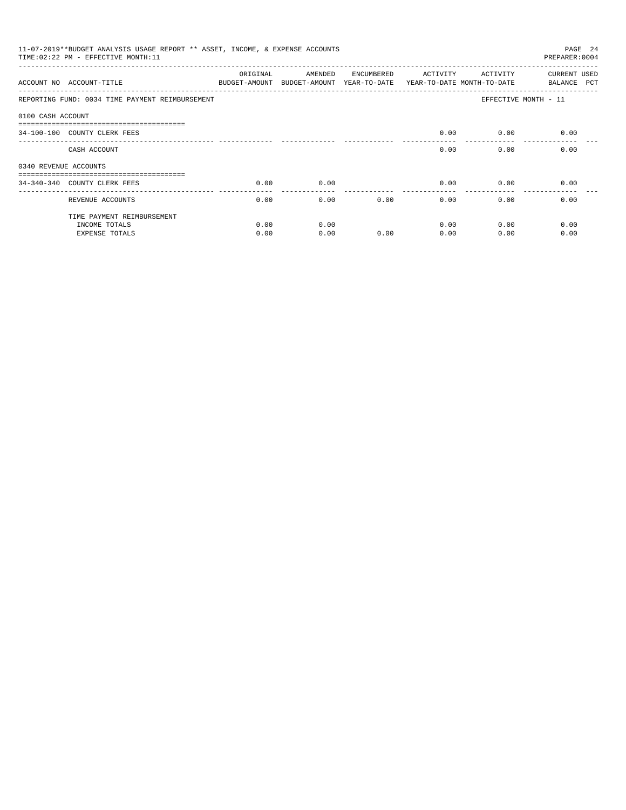|                       | 11-07-2019**BUDGET ANALYSIS USAGE REPORT ** ASSET, INCOME, & EXPENSE ACCOUNTS<br>PAGE 24<br>TIME: 02:22 PM - EFFECTIVE MONTH: 11<br>PREPARER: 0004 |          |                                                     |            |                                        |                      |                             |  |  |
|-----------------------|----------------------------------------------------------------------------------------------------------------------------------------------------|----------|-----------------------------------------------------|------------|----------------------------------------|----------------------|-----------------------------|--|--|
|                       | ACCOUNT NO ACCOUNT-TITLE                                                                                                                           | ORIGINAL | AMENDED<br>BUDGET-AMOUNT BUDGET-AMOUNT YEAR-TO-DATE | ENCUMBERED | ACTIVITY<br>YEAR-TO-DATE MONTH-TO-DATE | ACTIVITY             | CURRENT USED<br>BALANCE PCT |  |  |
|                       | REPORTING FUND: 0034 TIME PAYMENT REIMBURSEMENT                                                                                                    |          |                                                     |            |                                        | EFFECTIVE MONTH - 11 |                             |  |  |
| 0100 CASH ACCOUNT     |                                                                                                                                                    |          |                                                     |            |                                        |                      |                             |  |  |
|                       | --------------------------------<br>34-100-100 COUNTY CLERK FEES                                                                                   |          |                                                     |            | 0.00                                   | 0.00                 | 0.00                        |  |  |
|                       | CASH ACCOUNT                                                                                                                                       |          |                                                     |            | 0.00                                   | 0.00                 | 0.00                        |  |  |
| 0340 REVENUE ACCOUNTS |                                                                                                                                                    |          |                                                     |            |                                        |                      |                             |  |  |
|                       | 34-340-340 COUNTY CLERK FEES                                                                                                                       | 0.00     | 0.00                                                |            | 0.00                                   | 0.00                 | 0.00                        |  |  |
|                       | REVENUE ACCOUNTS                                                                                                                                   | 0.00     | 0.00                                                | 0.00       | 0.00                                   | 0.00                 | 0.00                        |  |  |
|                       | TIME PAYMENT REIMBURSEMENT                                                                                                                         |          |                                                     |            |                                        |                      |                             |  |  |
|                       | INCOME TOTALS                                                                                                                                      | 0.00     | 0.00                                                |            | 0.00                                   | 0.00                 | 0.00                        |  |  |
|                       | <b>EXPENSE TOTALS</b>                                                                                                                              | 0.00     | 0.00                                                | 0.00       | 0.00                                   | 0.00                 | 0.00                        |  |  |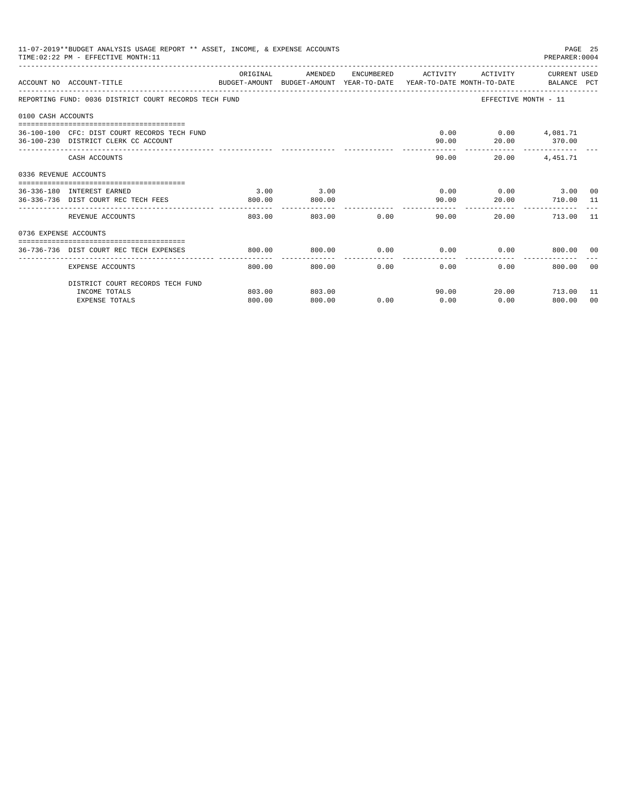|                       | 11-07-2019**BUDGET ANALYSIS USAGE REPORT ** ASSET, INCOME, & EXPENSE ACCOUNTS<br>PAGE 25<br>PREPARER: 0004<br>TIME: 02:22 PM - EFFECTIVE MONTH: 11 |                  |                  |      |                     |                           |                           |    |  |
|-----------------------|----------------------------------------------------------------------------------------------------------------------------------------------------|------------------|------------------|------|---------------------|---------------------------|---------------------------|----|--|
|                       | ACCOUNT NO ACCOUNT-TITLE<br>BUDGET-AMOUNT BUDGET-AMOUNT YEAR-TO-DATE YEAR-TO-DATE MONTH-TO-DATE BALANCE PCT                                        | ORIGINAL         | AMENDED          |      | ENCUMBERED ACTIVITY |                           | ACTIVITY CURRENT USED     |    |  |
|                       | REPORTING FUND: 0036 DISTRICT COURT RECORDS TECH FUND                                                                                              |                  |                  |      |                     |                           | EFFECTIVE MONTH - 11      |    |  |
| 0100 CASH ACCOUNTS    |                                                                                                                                                    |                  |                  |      |                     |                           |                           |    |  |
|                       | ==============================<br>36-100-100 CFC: DIST COURT RECORDS TECH FUND<br>36-100-230 DISTRICT CLERK CC ACCOUNT                             |                  |                  |      | 90.00               | $0.00$ $0.00$ $4,081.71$  | 20.00 370.00              |    |  |
|                       | CASH ACCOUNTS                                                                                                                                      |                  |                  |      |                     | 90.00<br>20.00            | 4,451.71                  |    |  |
| 0336 REVENUE ACCOUNTS |                                                                                                                                                    |                  |                  |      |                     |                           |                           |    |  |
|                       | 36-336-180 INTEREST EARNED<br>36-336-736 DIST COURT REC TECH FEES                                                                                  | 3.00<br>800.00   | 3.00<br>800.00   |      | 90.00               | $0.00$ $0.00$ $3.00$ $00$ | 20.00 710.00 11           |    |  |
|                       | REVENUE ACCOUNTS                                                                                                                                   | .<br>803.00      | 803.00           | 0.00 |                     | 90.00<br>20.00            | 713.00 11                 |    |  |
| 0736 EXPENSE ACCOUNTS |                                                                                                                                                    |                  |                  |      |                     |                           |                           |    |  |
|                       | 36-736-736 DIST COURT REC TECH EXPENSES                                                                                                            | 800.00           | 800.00           | 0.00 |                     | $0.00$ $0.00$ $800.00$ 00 |                           |    |  |
|                       | EXPENSE ACCOUNTS                                                                                                                                   | 800.00           | 800.00           | 0.00 | 0.00                | 0.00                      | 800.00                    | 00 |  |
|                       | DISTRICT COURT RECORDS TECH FUND                                                                                                                   |                  |                  |      |                     |                           |                           |    |  |
|                       | INCOME TOTALS<br><b>EXPENSE TOTALS</b>                                                                                                             | 803.00<br>800.00 | 803.00<br>800.00 | 0.00 | 0.00                | 90.00<br>0.00             | 20.00 713.00 11<br>800.00 | 00 |  |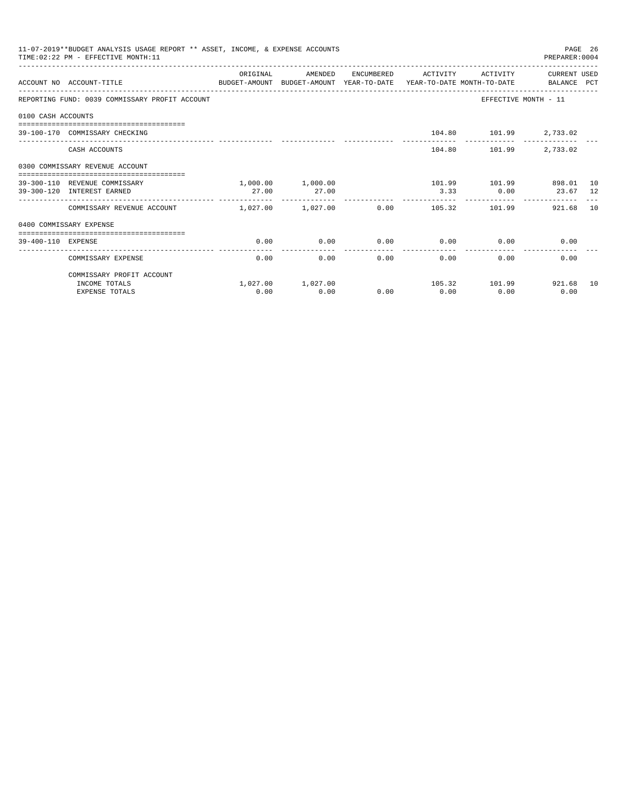|                    | 11-07-2019**BUDGET ANALYSIS USAGE REPORT ** ASSET, INCOME, & EXPENSE ACCOUNTS<br>TIME: 02:22 PM - EFFECTIVE MONTH: 11 |                       |                   |             |                     |                         | PREPARER: 0004        | PAGE 26 |
|--------------------|-----------------------------------------------------------------------------------------------------------------------|-----------------------|-------------------|-------------|---------------------|-------------------------|-----------------------|---------|
|                    |                                                                                                                       | ORIGINAL              | AMENDED           |             | ENCUMBERED ACTIVITY |                         | ACTIVITY CURRENT USED |         |
|                    | ACCOUNT NO ACCOUNT-TITLE<br>BUDGET-AMOUNT BUDGET-AMOUNT YEAR-TO-DATE YEAR-TO-DATE MONTH-TO-DATE BALANCE PCT           |                       |                   |             |                     |                         |                       |         |
|                    | REPORTING FUND: 0039 COMMISSARY PROFIT ACCOUNT                                                                        |                       |                   |             |                     |                         | EFFECTIVE MONTH - 11  |         |
| 0100 CASH ACCOUNTS |                                                                                                                       |                       |                   |             |                     |                         |                       |         |
|                    | 39-100-170 COMMISSARY CHECKING                                                                                        |                       |                   |             |                     | 104.80 101.99 2,733.02  |                       |         |
|                    | CASH ACCOUNTS                                                                                                         |                       |                   |             |                     | 104.80 101.99           | 2,733.02              |         |
|                    | 0300 COMMISSARY REVENUE ACCOUNT                                                                                       |                       |                   |             |                     |                         |                       |         |
|                    | 39-300-110 REVENUE COMMISSARY                                                                                         |                       | 1,000.00 1,000.00 |             |                     | 101.99 101.99 898.01 10 |                       |         |
|                    | 39-300-120 INTEREST EARNED                                                                                            | 27.00                 | 27.00             |             |                     | $3.33$ 0.00             | 23.67 12              |         |
|                    | COMMISSARY REVENUE ACCOUNT                                                                                            | $1.027.00$ $1.027.00$ |                   |             | 0.00                | 105.32 101.99           | 921.68                | 10      |
|                    | 0400 COMMISSARY EXPENSE                                                                                               |                       |                   |             |                     |                         |                       |         |
| 39-400-110 EXPENSE | ------------------------------------                                                                                  | 0.00                  | 0.00              | 0.00        |                     | $0.00$ 0.00             | 0.00                  |         |
|                    | COMMISSARY EXPENSE                                                                                                    | 0.00                  | 0.00              | ----------- | .<br>0.00           | 0.00<br>0.00            | 0.00                  |         |
|                    | COMMISSARY PROFIT ACCOUNT                                                                                             |                       |                   |             |                     |                         |                       |         |
|                    | INCOME TOTALS                                                                                                         |                       | 1,027.00 1,027.00 |             |                     | 105.32 101.99 921.68 10 |                       |         |
|                    | <b>EXPENSE TOTALS</b>                                                                                                 | 0.00                  | 0.00              | 0.00        | 0.00                | 0.00                    | 0.00                  |         |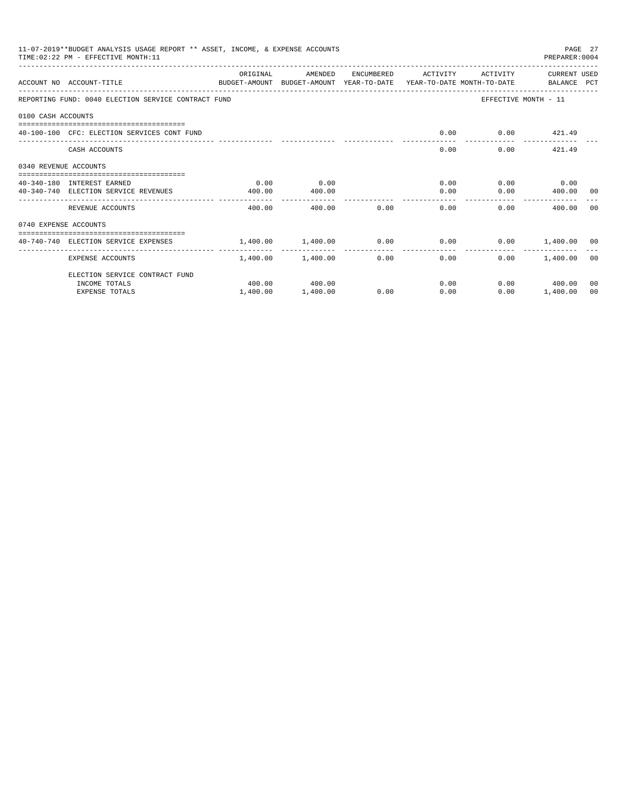|                       | 11-07-2019**BUDGET ANALYSIS USAGE REPORT ** ASSET, INCOME, & EXPENSE ACCOUNTS<br>TIME: 02:22 PM - EFFECTIVE MONTH: 11 |                                                            |                   |               |                                               |          | PREPARER: 0004       | PAGE 27 |
|-----------------------|-----------------------------------------------------------------------------------------------------------------------|------------------------------------------------------------|-------------------|---------------|-----------------------------------------------|----------|----------------------|---------|
|                       | ACCOUNT NO ACCOUNT-TITLE<br>BUDGET-AMOUNT BUDGET-AMOUNT YEAR-TO-DATE YEAR-TO-DATE MONTH-TO-DATE BALANCE PCT           | ORIGINAL                                                   | AMENDED           |               | ENCUMBERED ACTIVITY                           | ACTIVITY | CURRENT USED         |         |
|                       | REPORTING FUND: 0040 ELECTION SERVICE CONTRACT FUND                                                                   |                                                            |                   |               |                                               |          | EFFECTIVE MONTH - 11 |         |
| 0100 CASH ACCOUNTS    |                                                                                                                       |                                                            |                   |               |                                               |          |                      |         |
|                       | 40-100-100 CFC: ELECTION SERVICES CONT FUND                                                                           |                                                            |                   |               | 0.00                                          |          | $0.00$ $421.49$      |         |
|                       | CASH ACCOUNTS                                                                                                         |                                                            |                   |               | 0.00                                          |          | $0.00$ 421.49        |         |
| 0340 REVENUE ACCOUNTS |                                                                                                                       |                                                            |                   |               |                                               |          |                      |         |
|                       | 40-340-180 INTEREST EARNED                                                                                            | 0.00                                                       | 0.00              |               |                                               | 0.00     | $0.00$ 0.00          |         |
|                       | 40-340-740 ELECTION SERVICE REVENUES                                                                                  | 400.00                                                     | 400.00            |               |                                               | 0.00     | $0.00$ 400.00 00     |         |
|                       | REVENUE ACCOUNTS                                                                                                      | 400.00                                                     |                   | 400.00 0.00   | 0.00                                          |          | 0.00<br>400.00       | - 00    |
| 0740 EXPENSE ACCOUNTS |                                                                                                                       |                                                            |                   |               |                                               |          |                      |         |
|                       | 40-740-740 ELECTION SERVICE EXPENSES                                                                                  | $1,400.00$ $1,400.00$ $0.00$ $0.00$ $0.00$ $1,400.00$ $00$ |                   |               |                                               |          |                      |         |
|                       | EXPENSE ACCOUNTS                                                                                                      |                                                            | 1,400.00 1,400.00 | ------------- | ----------------<br>0.00<br>$0.00$ and $0.00$ |          | $0.00$ 1,400.00 00   |         |
|                       | ELECTION SERVICE CONTRACT FUND                                                                                        |                                                            |                   |               |                                               |          |                      |         |
|                       | INCOME TOTALS                                                                                                         |                                                            | 400.00 400.00     |               |                                               | 0.00     | $0.00$ 400.00        | 00      |
|                       | <b>EXPENSE TOTALS</b>                                                                                                 | 1,400.00                                                   | 1,400.00          | 0.00          | 0.00                                          | 0.00     | 1,400.00             | 00      |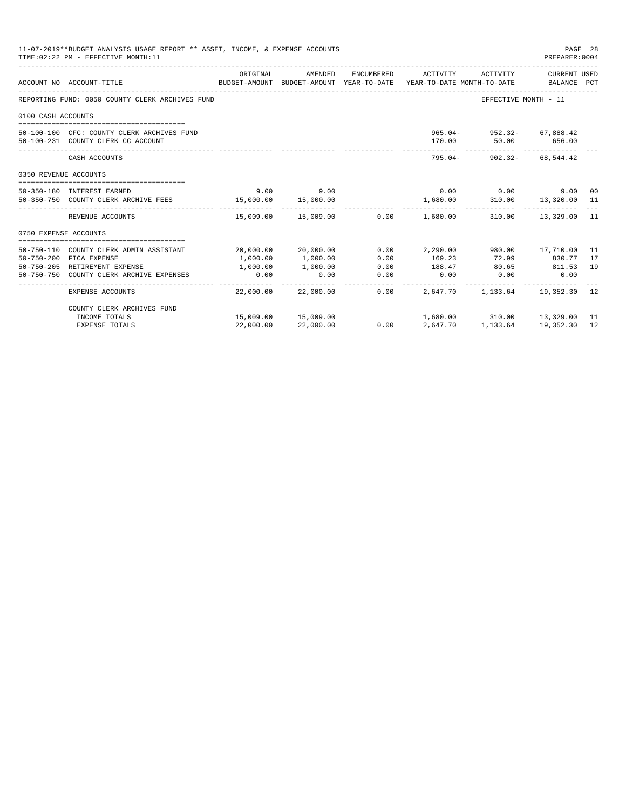|                       | 11-07-2019**BUDGET ANALYSIS USAGE REPORT ** ASSET, INCOME, & EXPENSE ACCOUNTS<br>TIME: 02:22 PM - EFFECTIVE MONTH: 11 |           |                     |            |                                           |                                                  | PAGE 28<br>PREPARER: 0004 |     |
|-----------------------|-----------------------------------------------------------------------------------------------------------------------|-----------|---------------------|------------|-------------------------------------------|--------------------------------------------------|---------------------------|-----|
|                       | ACCOUNT NO ACCOUNT-TITLE<br>BUDGET-AMOUNT BUDGET-AMOUNT YEAR-TO-DATE YEAR-TO-DATE MONTH-TO-DATE BALANCE PCT           | ORIGINAL  | AMENDED             | ENCUMBERED | ACTIVITY                                  | ACTIVITY                                         | CURRENT USED              |     |
|                       |                                                                                                                       |           |                     |            |                                           |                                                  |                           |     |
|                       | REPORTING FUND: 0050 COUNTY CLERK ARCHIVES FUND                                                                       |           |                     |            |                                           | EFFECTIVE MONTH - 11                             |                           |     |
| 0100 CASH ACCOUNTS    |                                                                                                                       |           |                     |            |                                           |                                                  |                           |     |
|                       |                                                                                                                       |           |                     |            |                                           |                                                  |                           |     |
|                       | 50-100-100 CFC: COUNTY CLERK ARCHIVES FUND<br>50-100-231 COUNTY CLERK CC ACCOUNT                                      |           |                     |            |                                           | 965.04- 952.32- 67.888.42<br>170.00 50.00 656.00 |                           |     |
|                       |                                                                                                                       |           |                     |            |                                           |                                                  |                           |     |
|                       | CASH ACCOUNTS                                                                                                         |           |                     |            |                                           | $795.04 - 902.32 - 68.544.42$                    |                           |     |
| 0350 REVENUE ACCOUNTS |                                                                                                                       |           |                     |            |                                           |                                                  |                           |     |
|                       |                                                                                                                       |           |                     |            |                                           |                                                  |                           |     |
|                       | 50-350-180 INTEREST EARNED                                                                                            |           | $9.00$ 9.00         |            |                                           | $0.00$ 0.00                                      | 9.00 00                   |     |
|                       | 50-350-750 COUNTY CLERK ARCHIVE FEES 15,000.00 15,000.00                                                              |           |                     |            | 1,680.00                                  | 310.00  13,320.00  11                            |                           |     |
|                       | REVENUE ACCOUNTS                                                                                                      |           |                     |            | $15,009.00$ $15,009.00$ $0.00$ $1,680.00$ |                                                  | 310.00  13,329.00  11     |     |
| 0750 EXPENSE ACCOUNTS |                                                                                                                       |           |                     |            |                                           |                                                  |                           |     |
|                       | 50-750-110 COUNTY CLERK ADMIN ASSISTANT                                                                               |           | 20,000.00 20,000.00 |            | $0.00$ 2,290.00                           |                                                  |                           | -11 |
|                       | 50-750-200 FICA EXPENSE                                                                                               | 1,000.00  | 1,000.00            | 0.00       | 169.23                                    | 980.00 17,710.00<br>72.99 830.77                 |                           | 17  |
|                       | 50-750-205 RETIREMENT EXPENSE                                                                                         | 1,000.00  | 1,000.00            | 0.00       | 188.47                                    | 80.65 811.53                                     |                           | 19  |
|                       | 50-750-750 COUNTY CLERK ARCHIVE EXPENSES                                                                              | 0.00      | 0.00                | 0.00       | 0.00                                      | $0.00$ 0.00                                      |                           |     |
|                       | EXPENSE ACCOUNTS                                                                                                      |           | 22,000.00 22,000.00 | 0.00       | 2,647.70                                  |                                                  | 1, 133.64 19, 352.30      | 12  |
|                       | COUNTY CLERK ARCHIVES FUND                                                                                            |           |                     |            |                                           |                                                  |                           |     |
|                       | INCOME TOTALS                                                                                                         |           | 15,009.00 15,009.00 |            |                                           | 1,680.00 310.00 13,329.00 11                     |                           |     |
|                       | <b>EXPENSE TOTALS</b>                                                                                                 | 22,000.00 | 22,000.00           | 0.00       | 2,647.70                                  | 1,133.64                                         | 19,352.30                 | 12  |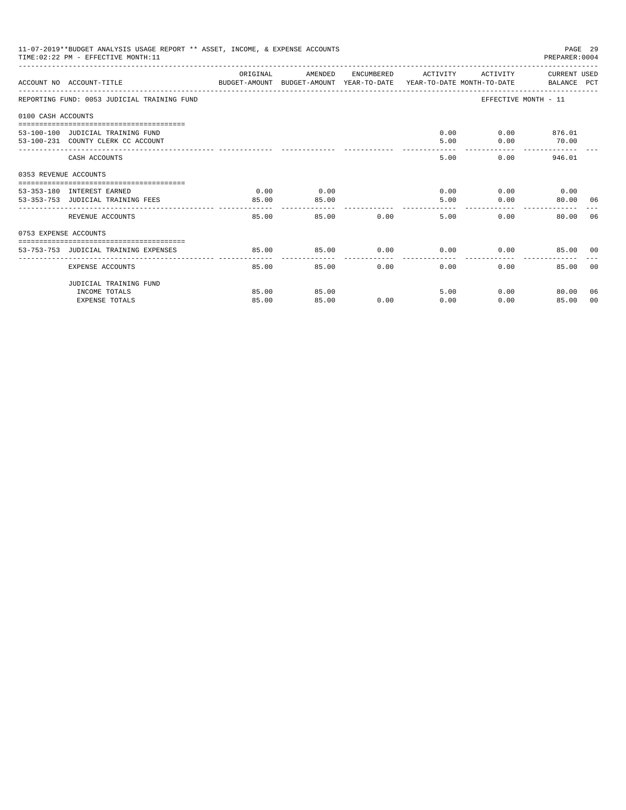|                       | 11-07-2019**BUDGET ANALYSIS USAGE REPORT ** ASSET, INCOME, & EXPENSE ACCOUNTS<br>TIME: 02:22 PM - EFFECTIVE MONTH: 11 |          |                    |               |                             |                        | PAGE 29<br>PREPARER: 0004 |                |
|-----------------------|-----------------------------------------------------------------------------------------------------------------------|----------|--------------------|---------------|-----------------------------|------------------------|---------------------------|----------------|
|                       | ACCOUNT NO ACCOUNT-TITLE CONTROL SUDGET-AMOUNT BUDGET-AMOUNT YEAR-TO-DATE YEAR-TO-DATE MONTH-TO-DATE BALANCE PCT      | ORIGINAL | AMENDED            |               | ENCUMBERED ACTIVITY         | ACTIVITY CURRENT USED  |                           |                |
|                       | REPORTING FUND: 0053 JUDICIAL TRAINING FUND                                                                           |          |                    |               |                             | EFFECTIVE MONTH - 11   |                           |                |
| 0100 CASH ACCOUNTS    |                                                                                                                       |          |                    |               |                             |                        |                           |                |
|                       | 53-100-100 JUDICIAL TRAINING FUND                                                                                     |          |                    |               |                             | $0.00$ $0.00$ $876.01$ |                           |                |
|                       | 53-100-231 COUNTY CLERK CC ACCOUNT                                                                                    |          |                    |               | 5.00                        |                        | $0.00$ 70.00              |                |
|                       | CASH ACCOUNTS                                                                                                         |          |                    |               | 5.00                        | 0.00                   | 946.01                    |                |
| 0353 REVENUE ACCOUNTS |                                                                                                                       |          |                    |               |                             |                        |                           |                |
|                       | 53-353-180 INTEREST EARNED                                                                                            | 0.00     | 0.00               |               |                             | $0.00$ $0.00$ $0.00$   |                           |                |
|                       | 53-353-753 JUDICIAL TRAINING FEES                                                                                     | 85.00    | 85.00              |               | 5.00                        | 0.00                   | 80.00 06                  |                |
|                       | REVENUE ACCOUNTS                                                                                                      | 85.00    | ________   _______ | 85.00         | 0.00<br>5.00                | 0.00                   | 80.00 06                  |                |
| 0753 EXPENSE ACCOUNTS |                                                                                                                       |          |                    |               |                             |                        |                           |                |
|                       | 53-753-753 JUDICIAL TRAINING EXPENSES                                                                                 | 85.00    | 85.00              |               | $0.00$ $0.00$ $0.00$ $0.00$ |                        | 85.00 00                  |                |
|                       |                                                                                                                       |          |                    |               |                             |                        |                           |                |
|                       | EXPENSE ACCOUNTS                                                                                                      | 85.00    |                    | 0.00<br>85.00 | $0.00 -$                    | 0.00                   | 85.00                     | 0 <sub>0</sub> |
|                       | JUDICIAL TRAINING FUND                                                                                                |          |                    |               |                             |                        |                           |                |
|                       | INCOME TOTALS                                                                                                         | 85.00    | 85.00              |               | 5.00                        | 0.00                   | 80.00                     | 06             |
|                       | <b>EXPENSE TOTALS</b>                                                                                                 | 85.00    | 85.00              | 0.00          | 0.00                        | 0.00                   | 85.00                     | 00             |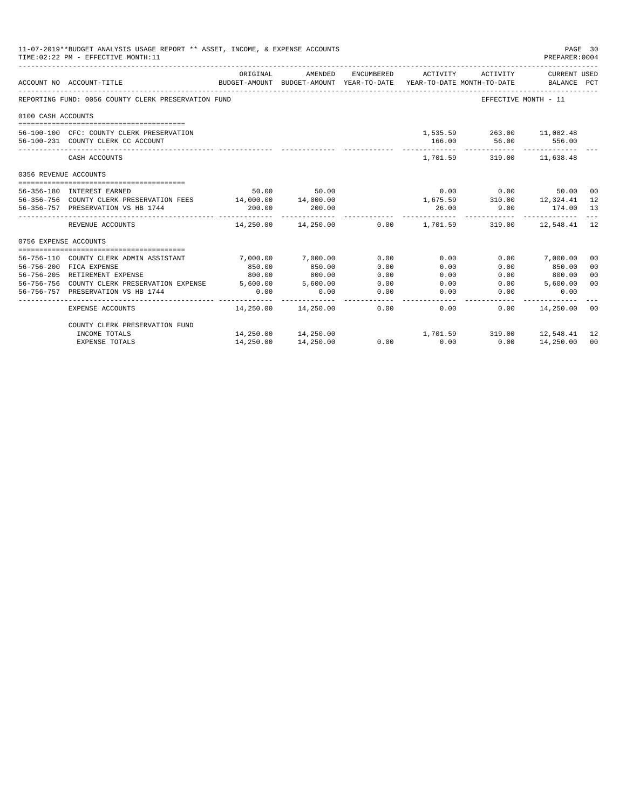|                       | 11-07-2019**BUDGET ANALYSIS USAGE REPORT ** ASSET, INCOME, & EXPENSE ACCOUNTS<br>PAGE 30<br>TIME: 02:22 PM - EFFECTIVE MONTH: 11<br>PREPARER: 0004 |             |                                                                                |            |                       |                                             |                             |                |  |
|-----------------------|----------------------------------------------------------------------------------------------------------------------------------------------------|-------------|--------------------------------------------------------------------------------|------------|-----------------------|---------------------------------------------|-----------------------------|----------------|--|
|                       | ACCOUNT NO ACCOUNT-TITLE                                                                                                                           | ORIGINAL    | AMENDED<br>BUDGET-AMOUNT BUDGET-AMOUNT YEAR-TO-DATE YEAR-TO-DATE MONTH-TO-DATE | ENCUMBERED | ACTIVITY              | ACTIVITY                                    | CURRENT USED<br>BALANCE PCT |                |  |
|                       | REPORTING FUND: 0056 COUNTY CLERK PRESERVATION FUND                                                                                                |             |                                                                                |            |                       |                                             | EFFECTIVE MONTH - 11        |                |  |
| 0100 CASH ACCOUNTS    |                                                                                                                                                    |             |                                                                                |            |                       |                                             |                             |                |  |
|                       |                                                                                                                                                    |             |                                                                                |            |                       |                                             |                             |                |  |
|                       | 56-100-100 CFC: COUNTY CLERK PRESERVATION                                                                                                          |             |                                                                                |            |                       | 1,535.59 263.00 11,082.48                   |                             |                |  |
|                       | 56-100-231 COUNTY CLERK CC ACCOUNT                                                                                                                 |             |                                                                                |            |                       | 166.00 56.00 556.00                         |                             |                |  |
|                       | CASH ACCOUNTS                                                                                                                                      |             |                                                                                |            |                       | -------------<br>1,701.59 319.00 11,638.48  |                             |                |  |
| 0356 REVENUE ACCOUNTS |                                                                                                                                                    |             |                                                                                |            |                       |                                             |                             |                |  |
|                       | 56-356-180 INTEREST EARNED                                                                                                                         |             | 50.00 50.00                                                                    |            |                       | $0.00$ 0.00                                 | 50.00 00                    |                |  |
|                       | 56-356-756 COUNTY CLERK PRESERVATION FEES 14,000.00 14,000.00                                                                                      |             |                                                                                |            |                       | $1,675.59$ $310.00$ $12,324.41$             |                             | 12             |  |
|                       | 56-356-757 PRESERVATION VS HB 1744                                                                                                                 | 200.00      | 200.00                                                                         |            |                       | 26.00 9.00                                  | 174.00 13                   |                |  |
|                       | REVENUE ACCOUNTS                                                                                                                                   | ----------- | 14,250.00  14,250.00                                                           |            |                       | $0.00$ $1.701.59$ $319.00$ $12.548.41$ $12$ |                             |                |  |
| 0756 EXPENSE ACCOUNTS |                                                                                                                                                    |             |                                                                                |            |                       |                                             |                             |                |  |
|                       |                                                                                                                                                    |             |                                                                                |            |                       |                                             |                             |                |  |
|                       | 56-756-110 COUNTY CLERK ADMIN ASSISTANT                                                                                                            | 7,000.00    | 7,000.00                                                                       | 0.00       | 0.00                  |                                             | $0.00$ 7,000.00             | 00             |  |
|                       | 56-756-200 FICA EXPENSE                                                                                                                            | 850.00      | 850.00                                                                         | 0.00       | 0.00                  | 0.00                                        | 850.00                      | 0 <sup>0</sup> |  |
|                       | 56-756-205 RETIREMENT EXPENSE                                                                                                                      | 800.00      | 800.00                                                                         | 0.00       | 0.00                  |                                             | $0.00$ 800.00               | 00             |  |
|                       | 56-756-756 COUNTY CLERK PRESERVATION EXPENSE 5,600.00                                                                                              |             | 5,600.00                                                                       | 0.00       | 0.00                  | 0.00                                        | 5,600.00                    | 0 <sup>0</sup> |  |
|                       | 56-756-757 PRESERVATION VS HB 1744                                                                                                                 | 0.00        | 0.00                                                                           | 0.00       | 0.00                  | 0.00                                        | 0.00                        |                |  |
|                       | EXPENSE ACCOUNTS                                                                                                                                   |             | 14.250.00  14.250.00  0.00                                                     | -------    | $- - - - - -$<br>0.00 |                                             | $0.00$ 14,250.00 00         |                |  |
|                       | COUNTY CLERK PRESERVATION FUND                                                                                                                     |             |                                                                                |            |                       |                                             |                             |                |  |
|                       | INCOME TOTALS                                                                                                                                      |             | 14,250.00 14,250.00                                                            |            |                       | 1,701.59 319.00 12,548.41                   |                             | 12             |  |
|                       | <b>EXPENSE TOTALS</b>                                                                                                                              | 14,250.00   | 14,250.00                                                                      | 0.00       | 0.00                  | 0.00                                        | 14,250.00                   | 00             |  |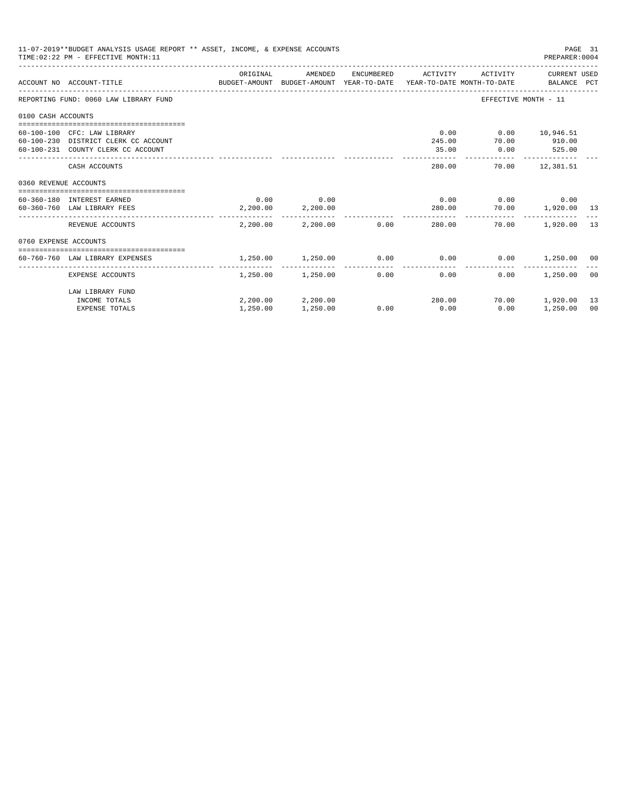|                       | 11-07-2019**BUDGET ANALYSIS USAGE REPORT ** ASSET, INCOME, & EXPENSE ACCOUNTS<br>TIME: 02:22 PM - EFFECTIVE MONTH: 11 |          |                            |            |                                      |                          | PAGE 31<br>PREPARER: 0004 |    |
|-----------------------|-----------------------------------------------------------------------------------------------------------------------|----------|----------------------------|------------|--------------------------------------|--------------------------|---------------------------|----|
|                       | ACCOUNT NO ACCOUNT-TITLE CONTROL PROGET-AMOUNT BUDGET-AMOUNT VEAR-TO-DATE YEAR-TO-DATE MONTH-TO-DATE BALANCE PCT      | ORIGINAL | AMENDED                    | ENCUMBERED | ACTIVITY                             |                          | ACTIVITY CURRENT USED     |    |
|                       | REPORTING FUND: 0060 LAW LIBRARY FUND                                                                                 |          |                            |            |                                      | EFFECTIVE MONTH - 11     |                           |    |
| 0100 CASH ACCOUNTS    |                                                                                                                       |          |                            |            |                                      |                          |                           |    |
|                       | 60-100-100 CFC: LAW LIBRARY                                                                                           |          |                            |            | 0.00                                 | $0.00$ 10,946.51         |                           |    |
|                       | 60-100-230 DISTRICT CLERK CC ACCOUNT                                                                                  |          |                            |            | 245.00                               | 70.00                    | 910.00                    |    |
|                       | 60-100-231 COUNTY CLERK CC ACCOUNT                                                                                    |          |                            |            | 35.00                                | $0.00$ 525.00            | -------------             |    |
|                       | CASH ACCOUNTS                                                                                                         |          |                            |            | 280.00                               |                          | 70.00 12,381.51           |    |
| 0360 REVENUE ACCOUNTS |                                                                                                                       |          |                            |            |                                      |                          |                           |    |
|                       | 60-360-180 INTEREST EARNED                                                                                            |          | $0.00$ 0.00                |            |                                      | $0.00$ $0.00$ $0.00$     |                           |    |
|                       | 60-360-760 LAW LIBRARY FEES                                                                                           | 2,200.00 | 2,200.00                   |            |                                      | 280.00 70.00 1,920.00 13 |                           |    |
|                       | REVENUE ACCOUNTS                                                                                                      |          | 2,200.00 2,200.00 0.00     |            | 280.00                               | 70.00                    | 1,920.00 13               |    |
| 0760 EXPENSE ACCOUNTS |                                                                                                                       |          |                            |            |                                      |                          |                           |    |
|                       |                                                                                                                       |          |                            |            |                                      |                          |                           |    |
|                       | 60-760-760 LAW LIBRARY EXPENSES                                                                                       | 1,250.00 | 1,250.00                   |            | $0.00$ $0.00$ $0.00$ $1,250.00$ $00$ |                          |                           |    |
|                       | EXPENSE ACCOUNTS                                                                                                      |          | $1.250.00$ $1.250.00$ 0.00 |            | 0.00                                 | 0.00                     | 1,250.00                  | 00 |
|                       | LAW LIBRARY FUND                                                                                                      |          |                            |            |                                      |                          |                           |    |
|                       | INCOME TOTALS                                                                                                         |          | 2,200.00 2,200.00          |            | 280.00                               |                          | 70.00 1,920.00            | 13 |
|                       | <b>EXPENSE TOTALS</b>                                                                                                 | 1,250.00 | 1,250.00                   | 0.00       | 0.00                                 | 0.00                     | 1,250.00                  | 00 |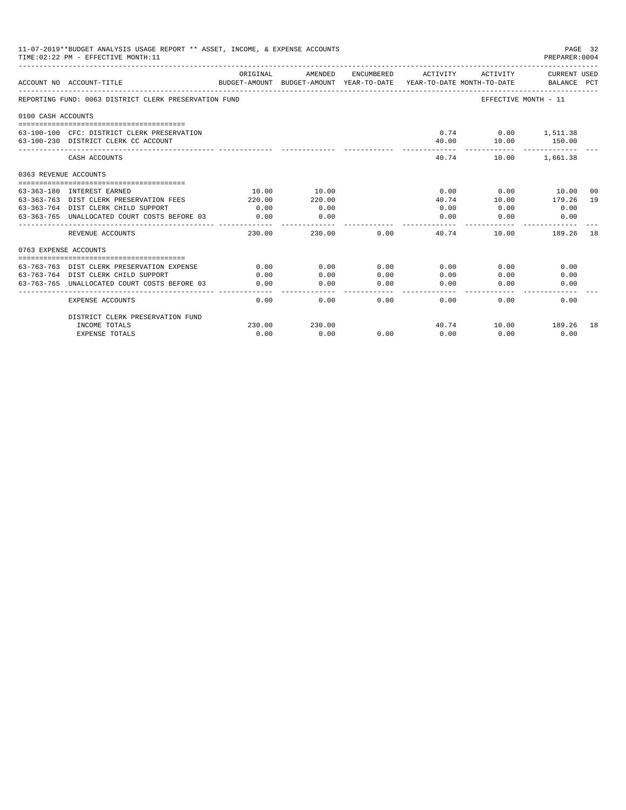|                       | 11-07-2019**BUDGET ANALYSIS USAGE REPORT ** ASSET, INCOME, & EXPENSE ACCOUNTS<br>TIME: 02:22 PM - EFFECTIVE MONTH: 11 |          |                                                                                |                |                       |                                   | PAGE 32<br>PREPARER: 0004       |    |
|-----------------------|-----------------------------------------------------------------------------------------------------------------------|----------|--------------------------------------------------------------------------------|----------------|-----------------------|-----------------------------------|---------------------------------|----|
|                       | ACCOUNT NO ACCOUNT-TITLE                                                                                              | ORIGINAL | AMENDED<br>BUDGET-AMOUNT BUDGET-AMOUNT YEAR-TO-DATE YEAR-TO-DATE MONTH-TO-DATE | ENCUMBERED     | ACTIVITY              | ACTIVITY                          | CURRENT USED<br>BALANCE PCT     |    |
|                       | REPORTING FUND: 0063 DISTRICT CLERK PRESERVATION FUND                                                                 |          |                                                                                |                |                       | EFFECTIVE MONTH - 11              |                                 |    |
| 0100 CASH ACCOUNTS    |                                                                                                                       |          |                                                                                |                |                       |                                   |                                 |    |
|                       | 63-100-100 CFC: DISTRICT CLERK PRESERVATION<br>63-100-230 DISTRICT CLERK CC ACCOUNT                                   |          |                                                                                |                | 40.00                 | $0.74$ $0.00$ $1,511.38$<br>10.00 | 150.00                          |    |
|                       | CASH ACCOUNTS                                                                                                         |          |                                                                                |                | 40.74                 |                                   | -------------<br>10.00 1,661.38 |    |
| 0363 REVENUE ACCOUNTS |                                                                                                                       |          |                                                                                |                |                       |                                   |                                 |    |
|                       |                                                                                                                       |          |                                                                                |                |                       |                                   |                                 |    |
|                       | 63-363-180 INTEREST EARNED                                                                                            | 10.00    | 10.00                                                                          |                | 0.00                  |                                   | $0.00$ 10.00                    | 00 |
|                       | 63-363-763 DIST CLERK PRESERVATION FEES                                                                               | 220.00   | 220.00                                                                         |                | 40.74                 | 10.00                             | 179.26                          | 19 |
|                       | 63-363-764 DIST CLERK CHILD SUPPORT                                                                                   | 0.00     | 0.00                                                                           |                | 0.00                  | 0.00                              | 0.00                            |    |
|                       | 63-363-765 UNALLOCATED COURT COSTS BEFORE 03                                                                          | 0.00     | 0.00<br>----------                                                             |                | 0.00<br>$- - - - - -$ | 0.00                              | 0.00                            |    |
|                       | REVENUE ACCOUNTS                                                                                                      | 230.00   | 230.00                                                                         | 0.00           | 40.74                 | 10.00                             | 189.26                          | 18 |
| 0763 EXPENSE ACCOUNTS |                                                                                                                       |          |                                                                                |                |                       |                                   |                                 |    |
|                       |                                                                                                                       |          |                                                                                |                |                       |                                   |                                 |    |
|                       | 63-763-763 DIST CLERK PRESERVATION EXPENSE                                                                            | 0.00     | 0.00                                                                           | 0.00           | 0.00                  | 0.00                              | 0.00                            |    |
|                       | 63-763-764 DIST CLERK CHILD SUPPORT                                                                                   | 0.00     | 0.00                                                                           | 0.00           | 0.00                  | 0.00                              | 0.00                            |    |
|                       | 63-763-765 UNALLOCATED COURT COSTS BEFORE 03                                                                          | 0.00     | 0.00                                                                           | 0.00<br>------ | 0.00<br>-------       | 0.00                              | 0.00                            |    |
|                       | EXPENSE ACCOUNTS                                                                                                      | 0.00     | 0.00                                                                           | 0.00           | 0.00                  | 0.00                              | 0.00                            |    |
|                       | DISTRICT CLERK PRESERVATION FUND                                                                                      |          |                                                                                |                |                       |                                   |                                 |    |
|                       | INCOME TOTALS                                                                                                         | 230.00   | 230.00                                                                         |                |                       | 40.74    10.00    189.26    18    |                                 |    |
|                       | <b>EXPENSE TOTALS</b>                                                                                                 | 0.00     | 0.00                                                                           | 0.00           | 0.00                  | 0.00                              | 0.00                            |    |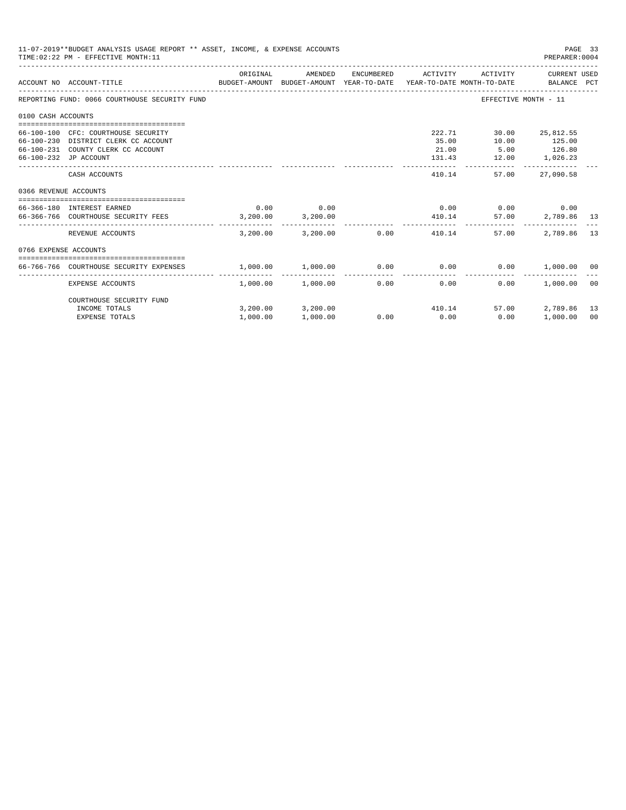|                       | 11-07-2019**BUDGET ANALYSIS USAGE REPORT ** ASSET, INCOME, & EXPENSE ACCOUNTS<br>TIME: 02:22 PM - EFFECTIVE MONTH: 11                      |                                            |                       |                        |                          |                                | PAGE 33<br>PREPARER: 0004                |       |
|-----------------------|--------------------------------------------------------------------------------------------------------------------------------------------|--------------------------------------------|-----------------------|------------------------|--------------------------|--------------------------------|------------------------------------------|-------|
|                       | BUDGET-AMOUNT BUDGET-AMOUNT YEAR-TO-DATE  YEAR-TO-DATE MONTH-TO-DATE     BALANCE PCT<br>ACCOUNT NO ACCOUNT-TITLE                           | ORIGINAL                                   | AMENDED               | ENCUMBERED             | ACTIVITY                 | ACTIVITY                       | CURRENT USED                             |       |
|                       | REPORTING FUND: 0066 COURTHOUSE SECURITY FUND                                                                                              |                                            |                       |                        |                          |                                | EFFECTIVE MONTH - 11                     |       |
| 0100 CASH ACCOUNTS    |                                                                                                                                            |                                            |                       |                        |                          |                                |                                          |       |
|                       | 66-100-100 CFC: COURTHOUSE SECURITY<br>66-100-230 DISTRICT CLERK CC ACCOUNT<br>66-100-231 COUNTY CLERK CC ACCOUNT<br>66-100-232 JP ACCOUNT |                                            |                       |                        | 222.71<br>35.00<br>21.00 | 10.00<br>131.43 12.00 1,026.23 | 30.00 25,812.55<br>125.00<br>5.00 126.80 |       |
|                       | CASH ACCOUNTS                                                                                                                              |                                            |                       |                        | 410.14                   | ------------<br>57.00          | 27,090.58                                |       |
| 0366 REVENUE ACCOUNTS |                                                                                                                                            |                                            |                       |                        |                          |                                |                                          |       |
|                       | 66-366-180 INTEREST EARNED                                                                                                                 | 0.00                                       | 0.00                  |                        |                          | $0.00$ 0.00 0.00               |                                          |       |
|                       | 66-366-766 COURTHOUSE SECURITY FEES 3,200.00 3,200.00                                                                                      |                                            |                       |                        | 410.14                   |                                | 57.00 2,789.86 13                        |       |
|                       | REVENUE ACCOUNTS                                                                                                                           | 3.200.00                                   |                       | $3.200.00$ 0.00 410.14 |                          | 57.00                          | 2,789.86                                 | 13    |
| 0766 EXPENSE ACCOUNTS |                                                                                                                                            |                                            |                       |                        |                          |                                |                                          |       |
|                       | 66-766-766 COURTHOUSE SECURITY EXPENSES                                                                                                    | $1,000.00$ $1,000.00$ $0.00$ $0.00$ $0.00$ |                       |                        |                          |                                | $0.00$ 1,000.00 00                       |       |
|                       | EXPENSE ACCOUNTS                                                                                                                           |                                            | $1,000.00$ $1,000.00$ | 0.00                   | -------------<br>0.00    | 0.00                           | 1.000.00                                 | . റ റ |
|                       | COURTHOUSE SECURITY FUND                                                                                                                   |                                            |                       |                        |                          |                                |                                          |       |
|                       | INCOME TOTALS                                                                                                                              |                                            | 3,200.00 3,200.00     |                        |                          | 410.14<br>57.00                | 2,789.86                                 | 13    |
|                       | <b>EXPENSE TOTALS</b>                                                                                                                      | 1,000.00                                   | 1,000.00              |                        | $0.00$ 0.00              | 0.00                           | 1,000.00                                 | 00    |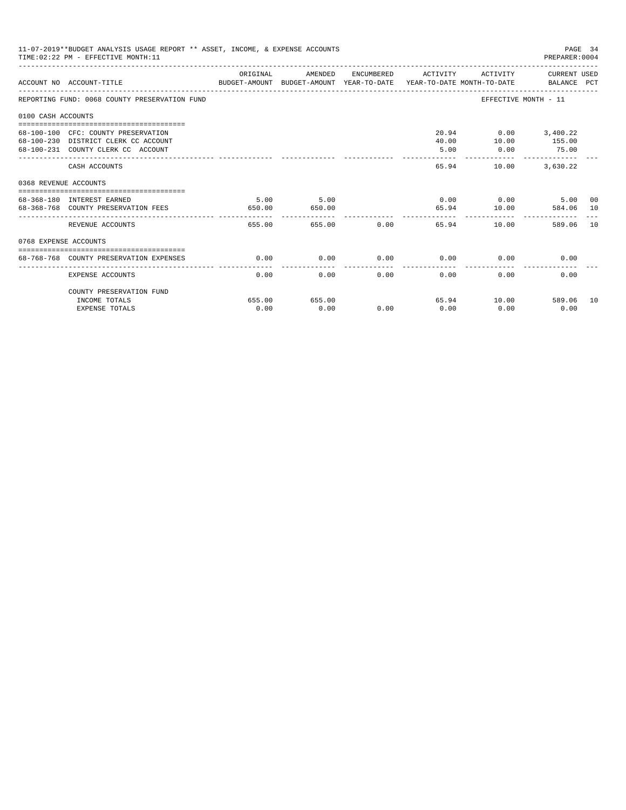| ORIGINAL<br>AMENDED<br>ENCUMBERED ACTIVITY<br>ACCOUNT NO ACCOUNT-TITLE<br>EFFECTIVE MONTH - 11<br>20.94 0.00 3,400.22<br>40.00   10.00   155.00<br>5.00<br>0.00<br>75.00<br>-------------<br>65.94<br>10.00 3,630.22<br>CASH ACCOUNTS<br>5.00<br>$0.00$ 0.00<br>5.00<br>5.00<br>65.94 10.00<br>650.00<br>650.00<br>--------------<br>655.00 0.00<br>65.94<br>REVENUE ACCOUNTS<br>655.00<br>10.00<br>589.06<br>0.00<br>$0.00$ 0.00<br>0.00<br>0.00<br>68-768-768 COUNTY PRESERVATION EXPENSES<br>0.00<br>0.00<br>0.00<br>0.00<br>0.00<br>0.00<br>0.00<br>EXPENSE ACCOUNTS<br>COUNTY PRESERVATION FUND<br>65.94 10.00 589.06<br>655.00<br>655.00<br>INCOME TOTALS | 11-07-2019**BUDGET ANALYSIS USAGE REPORT ** ASSET, INCOME, & EXPENSE ACCOUNTS<br>PAGE 34<br>TIME: 02:22 PM - EFFECTIVE MONTH: 11<br>PREPARER: 0004<br>ACTIVITY CURRENT USED<br>BUDGET-AMOUNT BUDGET-AMOUNT YEAR-TO-DATE  YEAR-TO-DATE MONTH-TO-DATE     BALANCE PCT<br>584.06 10 |  |  |      |  |  |      |  |      |
|-----------------------------------------------------------------------------------------------------------------------------------------------------------------------------------------------------------------------------------------------------------------------------------------------------------------------------------------------------------------------------------------------------------------------------------------------------------------------------------------------------------------------------------------------------------------------------------------------------------------------------------------------------------------|----------------------------------------------------------------------------------------------------------------------------------------------------------------------------------------------------------------------------------------------------------------------------------|--|--|------|--|--|------|--|------|
| REPORTING FUND: 0068 COUNTY PRESERVATION FUND<br>0100 CASH ACCOUNTS<br>68-100-100 CFC: COUNTY PRESERVATION<br>68-100-230 DISTRICT CLERK CC ACCOUNT<br>68-100-231 COUNTY CLERK CC ACCOUNT<br>0368 REVENUE ACCOUNTS<br>68-368-180 INTEREST EARNED<br>68-368-768 COUNTY PRESERVATION FEES<br>0768 EXPENSE ACCOUNTS                                                                                                                                                                                                                                                                                                                                                 |                                                                                                                                                                                                                                                                                  |  |  |      |  |  |      |  |      |
|                                                                                                                                                                                                                                                                                                                                                                                                                                                                                                                                                                                                                                                                 |                                                                                                                                                                                                                                                                                  |  |  |      |  |  |      |  |      |
|                                                                                                                                                                                                                                                                                                                                                                                                                                                                                                                                                                                                                                                                 |                                                                                                                                                                                                                                                                                  |  |  |      |  |  |      |  |      |
|                                                                                                                                                                                                                                                                                                                                                                                                                                                                                                                                                                                                                                                                 |                                                                                                                                                                                                                                                                                  |  |  |      |  |  |      |  |      |
|                                                                                                                                                                                                                                                                                                                                                                                                                                                                                                                                                                                                                                                                 |                                                                                                                                                                                                                                                                                  |  |  |      |  |  |      |  |      |
|                                                                                                                                                                                                                                                                                                                                                                                                                                                                                                                                                                                                                                                                 |                                                                                                                                                                                                                                                                                  |  |  |      |  |  |      |  |      |
|                                                                                                                                                                                                                                                                                                                                                                                                                                                                                                                                                                                                                                                                 |                                                                                                                                                                                                                                                                                  |  |  |      |  |  |      |  | 00   |
|                                                                                                                                                                                                                                                                                                                                                                                                                                                                                                                                                                                                                                                                 |                                                                                                                                                                                                                                                                                  |  |  |      |  |  |      |  | - 10 |
|                                                                                                                                                                                                                                                                                                                                                                                                                                                                                                                                                                                                                                                                 |                                                                                                                                                                                                                                                                                  |  |  |      |  |  |      |  |      |
|                                                                                                                                                                                                                                                                                                                                                                                                                                                                                                                                                                                                                                                                 |                                                                                                                                                                                                                                                                                  |  |  |      |  |  |      |  |      |
|                                                                                                                                                                                                                                                                                                                                                                                                                                                                                                                                                                                                                                                                 |                                                                                                                                                                                                                                                                                  |  |  |      |  |  |      |  |      |
|                                                                                                                                                                                                                                                                                                                                                                                                                                                                                                                                                                                                                                                                 |                                                                                                                                                                                                                                                                                  |  |  |      |  |  |      |  |      |
| 0.00<br>0.00<br>0.00<br>0.00<br><b>EXPENSE TOTALS</b>                                                                                                                                                                                                                                                                                                                                                                                                                                                                                                                                                                                                           |                                                                                                                                                                                                                                                                                  |  |  | 0.00 |  |  | 0.00 |  | 10   |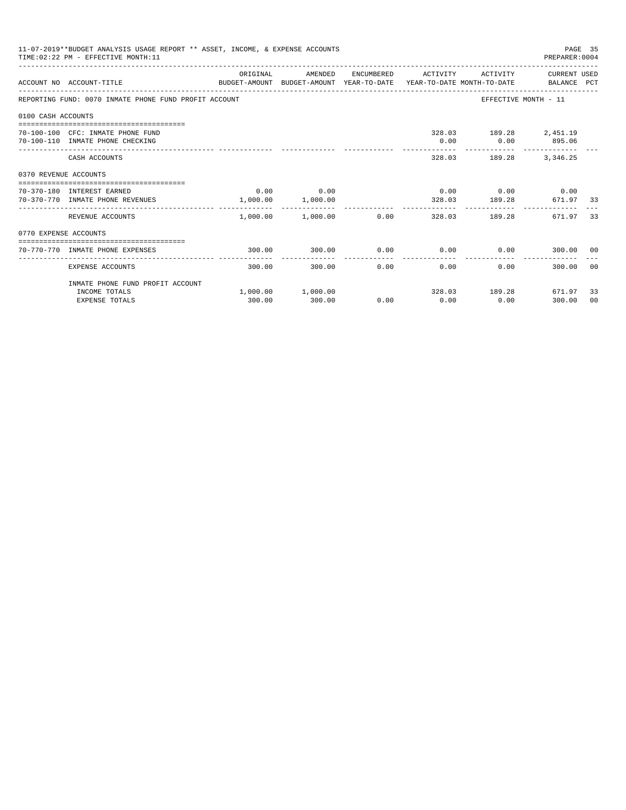|                       | 11-07-2019**BUDGET ANALYSIS USAGE REPORT ** ASSET, INCOME, & EXPENSE ACCOUNTS<br>TIME: 02:22 PM - EFFECTIVE MONTH: 11 |          |                                                         |      |                     |                                                  | PAGE 35<br>PREPARER: 0004 |       |
|-----------------------|-----------------------------------------------------------------------------------------------------------------------|----------|---------------------------------------------------------|------|---------------------|--------------------------------------------------|---------------------------|-------|
|                       | BUDGET-AMOUNT BUDGET-AMOUNT YEAR-TO-DATE YEAR-TO-DATE MONTH-TO-DATE BALANCE PCT<br>ACCOUNT NO ACCOUNT-TITLE           | ORIGINAL | AMENDED                                                 |      | ENCUMBERED ACTIVITY |                                                  | ACTIVITY CURRENT USED     |       |
|                       | REPORTING FUND: 0070 INMATE PHONE FUND PROFIT ACCOUNT                                                                 |          |                                                         |      |                     |                                                  | EFFECTIVE MONTH - 11      |       |
| 0100 CASH ACCOUNTS    |                                                                                                                       |          |                                                         |      |                     |                                                  |                           |       |
|                       | 70-100-100 CFC: INMATE PHONE FUND<br>70-100-110 INMATE PHONE CHECKING                                                 |          |                                                         |      |                     | 328.03 189.28 2,451.19<br>$0.00$ $0.00$ $895.06$ |                           |       |
|                       | CASH ACCOUNTS                                                                                                         |          |                                                         |      |                     | 328.03 189.28 3,346.25                           |                           |       |
| 0370 REVENUE ACCOUNTS |                                                                                                                       |          |                                                         |      |                     |                                                  |                           |       |
|                       | 70-370-180 INTEREST EARNED<br>70-370-770 INMATE PHONE REVENUES                                                        |          | $0.00$ 0.00<br>1,000.00 1,000.00                        |      |                     | $0.00$ 0.00 0.00 0.00                            | 328.03 189.28 671.97 33   |       |
|                       | REVENUE ACCOUNTS                                                                                                      |          | ---------- --------------<br>$1,000.00$ $1,000.00$ 0.00 |      | ------------        | 328.03 189.28                                    | 671.97                    | -33   |
| 0770 EXPENSE ACCOUNTS |                                                                                                                       |          |                                                         |      |                     |                                                  |                           |       |
|                       | 70-770-770 INMATE PHONE EXPENSES                                                                                      | 300.00   | 300.00                                                  |      |                     | $0.00$ $0.00$ $0.00$ $0.00$                      | 300.00 00                 |       |
|                       | EXPENSE ACCOUNTS                                                                                                      | 300.00   | 300.00                                                  | 0.00 | 0.00                |                                                  | 0.00<br>300.00            | - 0.0 |
|                       | INMATE PHONE FUND PROFIT ACCOUNT                                                                                      |          |                                                         |      |                     |                                                  |                           |       |
|                       | INCOME TOTALS                                                                                                         |          | $1,000.00$ $1,000.00$                                   |      |                     |                                                  | 328.03 189.28 671.97      | 33    |
|                       | <b>EXPENSE TOTALS</b>                                                                                                 | 300.00   | 300.00                                                  | 0.00 | 0.00                | 0.00                                             | 300.00                    | 00    |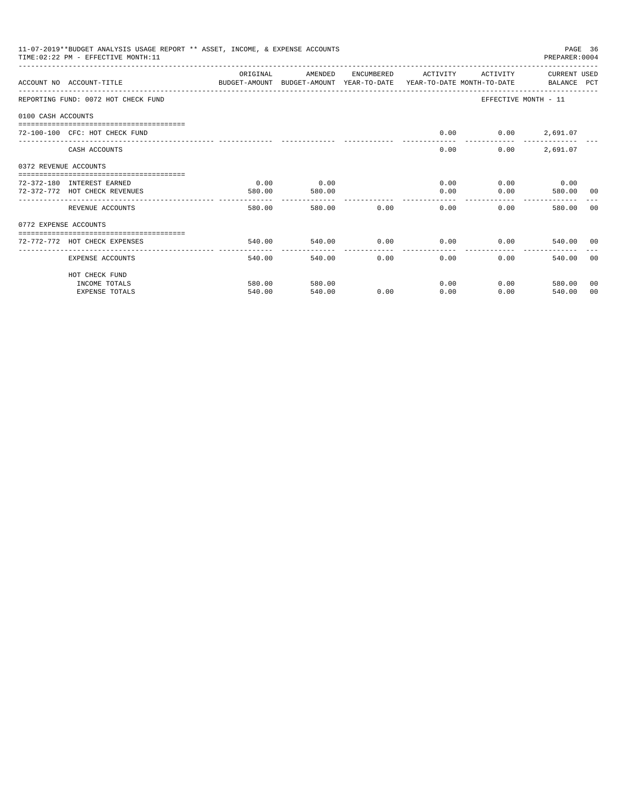| 11-07-2019**BUDGET ANALYSIS USAGE REPORT ** ASSET, INCOME, & EXPENSE ACCOUNTS<br>PAGE 36<br>TIME: 02:22 PM - EFFECTIVE MONTH: 11<br>PREPARER: 0004<br>ORIGINAL<br>AMENDED<br>ENCUMBERED<br>ACTIVITY<br>ACTIVITY<br>CURRENT USED<br>BUDGET-AMOUNT BUDGET-AMOUNT YEAR-TO-DATE YEAR-TO-DATE MONTH-TO-DATE BALANCE PCT<br>ACCOUNT NO ACCOUNT-TITLE<br>REPORTING FUND: 0072 HOT CHECK FUND<br>EFFECTIVE MONTH - 11<br>0100 CASH ACCOUNTS<br>0.00<br>$0.00$ 2,691.07<br>72-100-100 CFC: HOT CHECK FUND<br>2,691.07<br>0.00<br>0.00<br>CASH ACCOUNTS<br>0372 REVENUE ACCOUNTS<br>0.00<br>0.00<br>0.00<br>$0.00$ 0.00<br>72-372-180 INTEREST EARNED<br>72-372-772 HOT CHECK REVENUES<br>580.00<br>0.00<br>0.00<br>580.00<br>580.00<br>00<br>----------------<br>_________________________________<br>-------------<br>0.00<br>$0.00 -$<br>580.00<br>580.00<br>0.00<br>580.00<br>REVENUE ACCOUNTS<br>00<br>0772 EXPENSE ACCOUNTS<br>-------------------------------------<br>0.00<br>0.00<br>$0.00$ 540.00 00<br>72-772-772 HOT CHECK EXPENSES<br>540.00<br>540.00 |        |        |      |      |      |                |    |
|-----------------------------------------------------------------------------------------------------------------------------------------------------------------------------------------------------------------------------------------------------------------------------------------------------------------------------------------------------------------------------------------------------------------------------------------------------------------------------------------------------------------------------------------------------------------------------------------------------------------------------------------------------------------------------------------------------------------------------------------------------------------------------------------------------------------------------------------------------------------------------------------------------------------------------------------------------------------------------------------------------------------------------------------------------------|--------|--------|------|------|------|----------------|----|
|                                                                                                                                                                                                                                                                                                                                                                                                                                                                                                                                                                                                                                                                                                                                                                                                                                                                                                                                                                                                                                                           |        |        |      |      |      |                |    |
|                                                                                                                                                                                                                                                                                                                                                                                                                                                                                                                                                                                                                                                                                                                                                                                                                                                                                                                                                                                                                                                           |        |        |      |      |      |                |    |
|                                                                                                                                                                                                                                                                                                                                                                                                                                                                                                                                                                                                                                                                                                                                                                                                                                                                                                                                                                                                                                                           |        |        |      |      |      |                |    |
|                                                                                                                                                                                                                                                                                                                                                                                                                                                                                                                                                                                                                                                                                                                                                                                                                                                                                                                                                                                                                                                           |        |        |      |      |      |                |    |
|                                                                                                                                                                                                                                                                                                                                                                                                                                                                                                                                                                                                                                                                                                                                                                                                                                                                                                                                                                                                                                                           |        |        |      |      |      |                |    |
|                                                                                                                                                                                                                                                                                                                                                                                                                                                                                                                                                                                                                                                                                                                                                                                                                                                                                                                                                                                                                                                           |        |        |      |      |      |                |    |
|                                                                                                                                                                                                                                                                                                                                                                                                                                                                                                                                                                                                                                                                                                                                                                                                                                                                                                                                                                                                                                                           |        |        |      |      |      |                |    |
|                                                                                                                                                                                                                                                                                                                                                                                                                                                                                                                                                                                                                                                                                                                                                                                                                                                                                                                                                                                                                                                           |        |        |      |      |      |                |    |
|                                                                                                                                                                                                                                                                                                                                                                                                                                                                                                                                                                                                                                                                                                                                                                                                                                                                                                                                                                                                                                                           |        |        |      |      |      |                |    |
|                                                                                                                                                                                                                                                                                                                                                                                                                                                                                                                                                                                                                                                                                                                                                                                                                                                                                                                                                                                                                                                           |        |        |      |      |      |                |    |
|                                                                                                                                                                                                                                                                                                                                                                                                                                                                                                                                                                                                                                                                                                                                                                                                                                                                                                                                                                                                                                                           |        |        |      |      |      |                |    |
| EXPENSE ACCOUNTS                                                                                                                                                                                                                                                                                                                                                                                                                                                                                                                                                                                                                                                                                                                                                                                                                                                                                                                                                                                                                                          | 540.00 | 540.00 | 0.00 | 0.00 | 0.00 | 540.00 00      |    |
| HOT CHECK FUND                                                                                                                                                                                                                                                                                                                                                                                                                                                                                                                                                                                                                                                                                                                                                                                                                                                                                                                                                                                                                                            |        |        |      |      |      |                |    |
| INCOME TOTALS                                                                                                                                                                                                                                                                                                                                                                                                                                                                                                                                                                                                                                                                                                                                                                                                                                                                                                                                                                                                                                             | 580.00 | 580.00 |      | 0.00 |      | 0.00<br>580.00 | 00 |
| <b>EXPENSE TOTALS</b>                                                                                                                                                                                                                                                                                                                                                                                                                                                                                                                                                                                                                                                                                                                                                                                                                                                                                                                                                                                                                                     | 540.00 | 540.00 | 0.00 | 0.00 | 0.00 | 540.00         | 00 |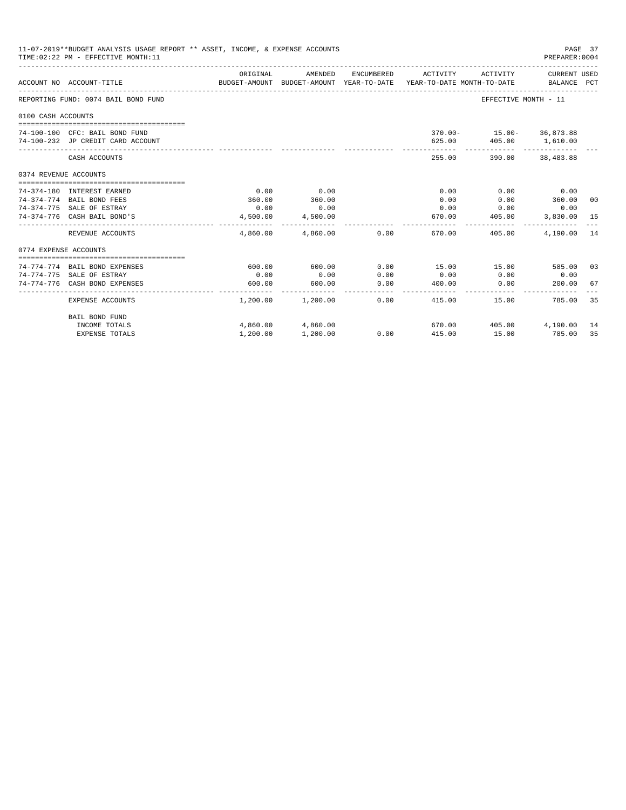| 11-07-2019**BUDGET ANALYSIS USAGE REPORT ** ASSET, INCOME, & EXPENSE ACCOUNTS<br>PAGE 37<br>PREPARER: 0004<br>TIME: 02:22 PM - EFFECTIVE MONTH: 11<br>ORIGINAL<br>AMENDED<br>ENCUMBERED<br>ACTIVITY<br>ACTIVITY<br>CURRENT USED<br>BUDGET-AMOUNT BUDGET-AMOUNT YEAR-TO-DATE YEAR-TO-DATE MONTH-TO-DATE<br>ACCOUNT NO ACCOUNT-TITLE<br>BALANCE PCT<br>REPORTING FUND: 0074 BAIL BOND FUND<br>EFFECTIVE MONTH - 11<br>0100 CASH ACCOUNTS<br>$370.00 - 15.00 - 36.873.88$<br>74-100-100 CFC: BAIL BOND FUND<br>625.00  405.00  1,610.00<br>74-100-232 JP CREDIT CARD ACCOUNT<br>-------------<br>255.00<br>390.00 38,483.88<br>CASH ACCOUNTS<br>0374 REVENUE ACCOUNTS<br>0.00<br>0.00<br>0.00<br>$0.00$ 0.00<br>74-374-180 INTEREST EARNED<br>360.00<br>360.00<br>360.00<br>74-374-774 BAIL BOND FEES<br>0.00<br>0.00<br>$0.00$ 0.00<br>74-374-775 SALE OF ESTRAY<br>0.00<br>0.00<br>0.00<br>670.00 405.00<br>74-374-776 CASH BAIL BOND'S<br>4,500.00<br>4,500.00<br>3,830.00 15<br>--------------<br>------------<br>4,860.00 4,860.00 0.00<br>670.00<br>405.00<br>4,190.00<br>REVENUE ACCOUNTS<br>0774 EXPENSE ACCOUNTS<br>$600.00$ 0.00<br>15.00 15.00<br>74-774-774 BAIL BOND EXPENSES<br>600.00<br>585.00 03<br>0.00<br>0.00<br>0.00<br>0.00<br>0.00<br>74-774-775 SALE OF ESTRAY<br>0.00<br>74-774-776 CASH BOND EXPENSES<br>600.00<br>600.00<br>0.00<br>400.00<br>0.00<br>200.00<br>. _ _ _ _ _ _ _ _ _ _ _<br>. <u>.</u> .<br>------------<br>-------------<br>$1,200.00$ $1,200.00$<br>0.00<br>415.00<br>EXPENSE ACCOUNTS<br>15.00 |                       |          |                   |                              |              |        |    |
|------------------------------------------------------------------------------------------------------------------------------------------------------------------------------------------------------------------------------------------------------------------------------------------------------------------------------------------------------------------------------------------------------------------------------------------------------------------------------------------------------------------------------------------------------------------------------------------------------------------------------------------------------------------------------------------------------------------------------------------------------------------------------------------------------------------------------------------------------------------------------------------------------------------------------------------------------------------------------------------------------------------------------------------------------------------------------------------------------------------------------------------------------------------------------------------------------------------------------------------------------------------------------------------------------------------------------------------------------------------------------------------------------------------------------------------------------------------------------------------------------------------------------------------|-----------------------|----------|-------------------|------------------------------|--------------|--------|----|
|                                                                                                                                                                                                                                                                                                                                                                                                                                                                                                                                                                                                                                                                                                                                                                                                                                                                                                                                                                                                                                                                                                                                                                                                                                                                                                                                                                                                                                                                                                                                          |                       |          |                   |                              |              |        |    |
|                                                                                                                                                                                                                                                                                                                                                                                                                                                                                                                                                                                                                                                                                                                                                                                                                                                                                                                                                                                                                                                                                                                                                                                                                                                                                                                                                                                                                                                                                                                                          |                       |          |                   |                              |              |        |    |
|                                                                                                                                                                                                                                                                                                                                                                                                                                                                                                                                                                                                                                                                                                                                                                                                                                                                                                                                                                                                                                                                                                                                                                                                                                                                                                                                                                                                                                                                                                                                          |                       |          |                   |                              |              |        |    |
|                                                                                                                                                                                                                                                                                                                                                                                                                                                                                                                                                                                                                                                                                                                                                                                                                                                                                                                                                                                                                                                                                                                                                                                                                                                                                                                                                                                                                                                                                                                                          |                       |          |                   |                              |              |        |    |
|                                                                                                                                                                                                                                                                                                                                                                                                                                                                                                                                                                                                                                                                                                                                                                                                                                                                                                                                                                                                                                                                                                                                                                                                                                                                                                                                                                                                                                                                                                                                          |                       |          |                   |                              |              |        |    |
|                                                                                                                                                                                                                                                                                                                                                                                                                                                                                                                                                                                                                                                                                                                                                                                                                                                                                                                                                                                                                                                                                                                                                                                                                                                                                                                                                                                                                                                                                                                                          |                       |          |                   |                              |              |        |    |
|                                                                                                                                                                                                                                                                                                                                                                                                                                                                                                                                                                                                                                                                                                                                                                                                                                                                                                                                                                                                                                                                                                                                                                                                                                                                                                                                                                                                                                                                                                                                          |                       |          |                   |                              |              |        |    |
|                                                                                                                                                                                                                                                                                                                                                                                                                                                                                                                                                                                                                                                                                                                                                                                                                                                                                                                                                                                                                                                                                                                                                                                                                                                                                                                                                                                                                                                                                                                                          |                       |          |                   |                              |              |        |    |
|                                                                                                                                                                                                                                                                                                                                                                                                                                                                                                                                                                                                                                                                                                                                                                                                                                                                                                                                                                                                                                                                                                                                                                                                                                                                                                                                                                                                                                                                                                                                          |                       |          |                   |                              |              |        |    |
|                                                                                                                                                                                                                                                                                                                                                                                                                                                                                                                                                                                                                                                                                                                                                                                                                                                                                                                                                                                                                                                                                                                                                                                                                                                                                                                                                                                                                                                                                                                                          |                       |          |                   |                              |              |        |    |
|                                                                                                                                                                                                                                                                                                                                                                                                                                                                                                                                                                                                                                                                                                                                                                                                                                                                                                                                                                                                                                                                                                                                                                                                                                                                                                                                                                                                                                                                                                                                          |                       |          |                   |                              |              |        | 00 |
|                                                                                                                                                                                                                                                                                                                                                                                                                                                                                                                                                                                                                                                                                                                                                                                                                                                                                                                                                                                                                                                                                                                                                                                                                                                                                                                                                                                                                                                                                                                                          |                       |          |                   |                              |              |        |    |
|                                                                                                                                                                                                                                                                                                                                                                                                                                                                                                                                                                                                                                                                                                                                                                                                                                                                                                                                                                                                                                                                                                                                                                                                                                                                                                                                                                                                                                                                                                                                          |                       |          |                   |                              |              |        |    |
|                                                                                                                                                                                                                                                                                                                                                                                                                                                                                                                                                                                                                                                                                                                                                                                                                                                                                                                                                                                                                                                                                                                                                                                                                                                                                                                                                                                                                                                                                                                                          |                       |          |                   |                              |              |        | 14 |
|                                                                                                                                                                                                                                                                                                                                                                                                                                                                                                                                                                                                                                                                                                                                                                                                                                                                                                                                                                                                                                                                                                                                                                                                                                                                                                                                                                                                                                                                                                                                          |                       |          |                   |                              |              |        |    |
|                                                                                                                                                                                                                                                                                                                                                                                                                                                                                                                                                                                                                                                                                                                                                                                                                                                                                                                                                                                                                                                                                                                                                                                                                                                                                                                                                                                                                                                                                                                                          |                       |          |                   |                              |              |        |    |
|                                                                                                                                                                                                                                                                                                                                                                                                                                                                                                                                                                                                                                                                                                                                                                                                                                                                                                                                                                                                                                                                                                                                                                                                                                                                                                                                                                                                                                                                                                                                          |                       |          |                   |                              |              |        |    |
|                                                                                                                                                                                                                                                                                                                                                                                                                                                                                                                                                                                                                                                                                                                                                                                                                                                                                                                                                                                                                                                                                                                                                                                                                                                                                                                                                                                                                                                                                                                                          |                       |          |                   |                              |              |        |    |
|                                                                                                                                                                                                                                                                                                                                                                                                                                                                                                                                                                                                                                                                                                                                                                                                                                                                                                                                                                                                                                                                                                                                                                                                                                                                                                                                                                                                                                                                                                                                          |                       |          |                   |                              |              |        | 67 |
|                                                                                                                                                                                                                                                                                                                                                                                                                                                                                                                                                                                                                                                                                                                                                                                                                                                                                                                                                                                                                                                                                                                                                                                                                                                                                                                                                                                                                                                                                                                                          |                       |          |                   |                              |              | 785.00 | 35 |
|                                                                                                                                                                                                                                                                                                                                                                                                                                                                                                                                                                                                                                                                                                                                                                                                                                                                                                                                                                                                                                                                                                                                                                                                                                                                                                                                                                                                                                                                                                                                          | BAIL BOND FUND        |          |                   |                              |              |        |    |
|                                                                                                                                                                                                                                                                                                                                                                                                                                                                                                                                                                                                                                                                                                                                                                                                                                                                                                                                                                                                                                                                                                                                                                                                                                                                                                                                                                                                                                                                                                                                          | INCOME TOTALS         |          | 4,860.00 4,860.00 | $670.00$ $405.00$ $4,190.00$ |              |        | 14 |
|                                                                                                                                                                                                                                                                                                                                                                                                                                                                                                                                                                                                                                                                                                                                                                                                                                                                                                                                                                                                                                                                                                                                                                                                                                                                                                                                                                                                                                                                                                                                          | <b>EXPENSE TOTALS</b> | 1,200.00 | 1,200.00          | $0.00$ $415.00$              | 15.00 785.00 |        | 35 |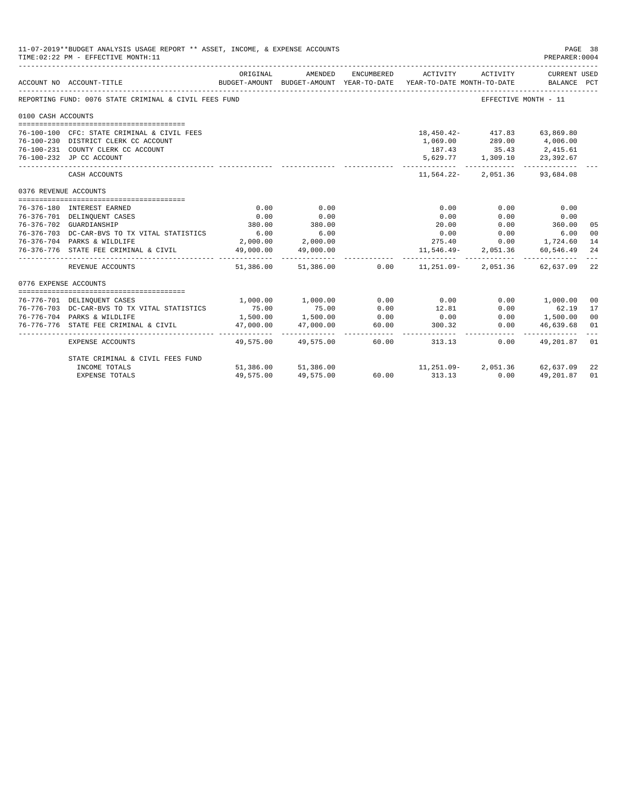| 11-07-2019**BUDGET ANALYSIS USAGE REPORT ** ASSET, INCOME, & EXPENSE ACCOUNTS<br>PAGE 38<br>TIME: 02:22 PM - EFFECTIVE MONTH: 11<br>PREPARER: 0004<br>ORIGINAL<br>AMENDED<br>ENCUMBERED<br>CURRENT USED<br>ACTIVITY<br>ACTIVITY<br>BUDGET-AMOUNT BUDGET-AMOUNT YEAR-TO-DATE<br>ACCOUNT NO ACCOUNT-TITLE<br>YEAR-TO-DATE MONTH-TO-DATE<br>BALANCE PCT<br>REPORTING FUND: 0076 STATE CRIMINAL & CIVIL FEES FUND<br>EFFECTIVE MONTH - 11<br>0100 CASH ACCOUNTS<br>76-100-100 CFC: STATE CRIMINAL & CIVIL FEES<br>18,450.42- 417.83 63,869.80<br>76-100-230 DISTRICT CLERK CC ACCOUNT<br>289.00 4,006.00<br>1,069.00<br>76-100-231 COUNTY CLERK CC ACCOUNT<br>$\begin{array}{cccc} 187.43 & \quad & 35.43 & \quad & 2,415.61 \\ 5,629.77 & \quad & 1,309.10 & \quad & 23,392.67 \end{array}$<br>76-100-232 JP CC ACCOUNT<br>11,564.22-2,051.36 93,684.08<br>CASH ACCOUNTS<br>0376 REVENUE ACCOUNTS<br>0.00<br>0.00<br>76-376-180 INTEREST EARNED<br>0.00<br>0.00<br>0.00<br>76-376-701 DELINQUENT CASES<br>0.00<br>0.00<br>0.00<br>0.00<br>0.00<br>380.00<br>360.00<br>380.00<br>76-376-702 GUARDIANSHIP<br>20.00<br>0.00<br>05<br>6.00<br>6.00<br>0.00<br>76-376-703 DC-CAR-BVS TO TX VITAL STATISTICS<br>0.00<br>6.00<br>00<br>76-376-704 PARKS & WILDLIFE<br>2,000.00 2,000.00<br>275.40<br>$0.00$ 1,724.60<br>14<br>49,000.00<br>49,000.00<br>11,546.49-<br>2,051.36 60,546.49<br>76-376-776 STATE FEE CRIMINAL & CIVIL<br>24<br>-----------<br>------------<br>$51,386.00$ $51,386.00$ $0.00$ $11,251.09$ -<br>2,051.36 62,637.09<br>22<br>REVENUE ACCOUNTS<br>0776 EXPENSE ACCOUNTS<br>1,000.00<br>0.00<br>1,000.00<br>0.00<br>$0.00$ 1,000.00<br>76-776-701 DELINQUENT CASES<br>0 <sup>0</sup><br>75.00<br>75.00<br>76-776-703 DC-CAR-BVS TO TX VITAL STATISTICS<br>0.00<br>12.81<br>0.00<br>62.19<br>17<br>1,500.00<br>1,500.00<br>76-776-704 PARKS & WILDLIFE<br>0.00<br>0 <sup>0</sup><br>1,500.00<br>0.00<br>0.00<br>47,000.00<br>47,000.00<br>60.00<br>76-776-776 STATE FEE CRIMINAL & CIVIL<br>300.32<br>0.00<br>46,639.68<br>01 |                                  |             |                     |       |                                  |      |              |    |
|-------------------------------------------------------------------------------------------------------------------------------------------------------------------------------------------------------------------------------------------------------------------------------------------------------------------------------------------------------------------------------------------------------------------------------------------------------------------------------------------------------------------------------------------------------------------------------------------------------------------------------------------------------------------------------------------------------------------------------------------------------------------------------------------------------------------------------------------------------------------------------------------------------------------------------------------------------------------------------------------------------------------------------------------------------------------------------------------------------------------------------------------------------------------------------------------------------------------------------------------------------------------------------------------------------------------------------------------------------------------------------------------------------------------------------------------------------------------------------------------------------------------------------------------------------------------------------------------------------------------------------------------------------------------------------------------------------------------------------------------------------------------------------------------------------------------------------------------------------------------------------------------------------------------------------------------------------------------------------------------------------------------------------------------|----------------------------------|-------------|---------------------|-------|----------------------------------|------|--------------|----|
|                                                                                                                                                                                                                                                                                                                                                                                                                                                                                                                                                                                                                                                                                                                                                                                                                                                                                                                                                                                                                                                                                                                                                                                                                                                                                                                                                                                                                                                                                                                                                                                                                                                                                                                                                                                                                                                                                                                                                                                                                                           |                                  |             |                     |       |                                  |      |              |    |
|                                                                                                                                                                                                                                                                                                                                                                                                                                                                                                                                                                                                                                                                                                                                                                                                                                                                                                                                                                                                                                                                                                                                                                                                                                                                                                                                                                                                                                                                                                                                                                                                                                                                                                                                                                                                                                                                                                                                                                                                                                           |                                  |             |                     |       |                                  |      |              |    |
|                                                                                                                                                                                                                                                                                                                                                                                                                                                                                                                                                                                                                                                                                                                                                                                                                                                                                                                                                                                                                                                                                                                                                                                                                                                                                                                                                                                                                                                                                                                                                                                                                                                                                                                                                                                                                                                                                                                                                                                                                                           |                                  |             |                     |       |                                  |      |              |    |
|                                                                                                                                                                                                                                                                                                                                                                                                                                                                                                                                                                                                                                                                                                                                                                                                                                                                                                                                                                                                                                                                                                                                                                                                                                                                                                                                                                                                                                                                                                                                                                                                                                                                                                                                                                                                                                                                                                                                                                                                                                           |                                  |             |                     |       |                                  |      |              |    |
|                                                                                                                                                                                                                                                                                                                                                                                                                                                                                                                                                                                                                                                                                                                                                                                                                                                                                                                                                                                                                                                                                                                                                                                                                                                                                                                                                                                                                                                                                                                                                                                                                                                                                                                                                                                                                                                                                                                                                                                                                                           |                                  |             |                     |       |                                  |      |              |    |
|                                                                                                                                                                                                                                                                                                                                                                                                                                                                                                                                                                                                                                                                                                                                                                                                                                                                                                                                                                                                                                                                                                                                                                                                                                                                                                                                                                                                                                                                                                                                                                                                                                                                                                                                                                                                                                                                                                                                                                                                                                           |                                  |             |                     |       |                                  |      |              |    |
|                                                                                                                                                                                                                                                                                                                                                                                                                                                                                                                                                                                                                                                                                                                                                                                                                                                                                                                                                                                                                                                                                                                                                                                                                                                                                                                                                                                                                                                                                                                                                                                                                                                                                                                                                                                                                                                                                                                                                                                                                                           |                                  |             |                     |       |                                  |      |              |    |
|                                                                                                                                                                                                                                                                                                                                                                                                                                                                                                                                                                                                                                                                                                                                                                                                                                                                                                                                                                                                                                                                                                                                                                                                                                                                                                                                                                                                                                                                                                                                                                                                                                                                                                                                                                                                                                                                                                                                                                                                                                           |                                  |             |                     |       |                                  |      |              |    |
|                                                                                                                                                                                                                                                                                                                                                                                                                                                                                                                                                                                                                                                                                                                                                                                                                                                                                                                                                                                                                                                                                                                                                                                                                                                                                                                                                                                                                                                                                                                                                                                                                                                                                                                                                                                                                                                                                                                                                                                                                                           |                                  |             |                     |       |                                  |      |              |    |
|                                                                                                                                                                                                                                                                                                                                                                                                                                                                                                                                                                                                                                                                                                                                                                                                                                                                                                                                                                                                                                                                                                                                                                                                                                                                                                                                                                                                                                                                                                                                                                                                                                                                                                                                                                                                                                                                                                                                                                                                                                           |                                  |             |                     |       |                                  |      |              |    |
|                                                                                                                                                                                                                                                                                                                                                                                                                                                                                                                                                                                                                                                                                                                                                                                                                                                                                                                                                                                                                                                                                                                                                                                                                                                                                                                                                                                                                                                                                                                                                                                                                                                                                                                                                                                                                                                                                                                                                                                                                                           |                                  |             |                     |       |                                  |      |              |    |
|                                                                                                                                                                                                                                                                                                                                                                                                                                                                                                                                                                                                                                                                                                                                                                                                                                                                                                                                                                                                                                                                                                                                                                                                                                                                                                                                                                                                                                                                                                                                                                                                                                                                                                                                                                                                                                                                                                                                                                                                                                           |                                  |             |                     |       |                                  |      |              |    |
|                                                                                                                                                                                                                                                                                                                                                                                                                                                                                                                                                                                                                                                                                                                                                                                                                                                                                                                                                                                                                                                                                                                                                                                                                                                                                                                                                                                                                                                                                                                                                                                                                                                                                                                                                                                                                                                                                                                                                                                                                                           |                                  |             |                     |       |                                  |      |              |    |
|                                                                                                                                                                                                                                                                                                                                                                                                                                                                                                                                                                                                                                                                                                                                                                                                                                                                                                                                                                                                                                                                                                                                                                                                                                                                                                                                                                                                                                                                                                                                                                                                                                                                                                                                                                                                                                                                                                                                                                                                                                           |                                  |             |                     |       |                                  |      |              |    |
|                                                                                                                                                                                                                                                                                                                                                                                                                                                                                                                                                                                                                                                                                                                                                                                                                                                                                                                                                                                                                                                                                                                                                                                                                                                                                                                                                                                                                                                                                                                                                                                                                                                                                                                                                                                                                                                                                                                                                                                                                                           |                                  |             |                     |       |                                  |      |              |    |
|                                                                                                                                                                                                                                                                                                                                                                                                                                                                                                                                                                                                                                                                                                                                                                                                                                                                                                                                                                                                                                                                                                                                                                                                                                                                                                                                                                                                                                                                                                                                                                                                                                                                                                                                                                                                                                                                                                                                                                                                                                           |                                  |             |                     |       |                                  |      |              |    |
|                                                                                                                                                                                                                                                                                                                                                                                                                                                                                                                                                                                                                                                                                                                                                                                                                                                                                                                                                                                                                                                                                                                                                                                                                                                                                                                                                                                                                                                                                                                                                                                                                                                                                                                                                                                                                                                                                                                                                                                                                                           |                                  |             |                     |       |                                  |      |              |    |
|                                                                                                                                                                                                                                                                                                                                                                                                                                                                                                                                                                                                                                                                                                                                                                                                                                                                                                                                                                                                                                                                                                                                                                                                                                                                                                                                                                                                                                                                                                                                                                                                                                                                                                                                                                                                                                                                                                                                                                                                                                           |                                  |             |                     |       |                                  |      |              |    |
|                                                                                                                                                                                                                                                                                                                                                                                                                                                                                                                                                                                                                                                                                                                                                                                                                                                                                                                                                                                                                                                                                                                                                                                                                                                                                                                                                                                                                                                                                                                                                                                                                                                                                                                                                                                                                                                                                                                                                                                                                                           |                                  |             |                     |       |                                  |      |              |    |
|                                                                                                                                                                                                                                                                                                                                                                                                                                                                                                                                                                                                                                                                                                                                                                                                                                                                                                                                                                                                                                                                                                                                                                                                                                                                                                                                                                                                                                                                                                                                                                                                                                                                                                                                                                                                                                                                                                                                                                                                                                           |                                  |             |                     |       |                                  |      |              |    |
|                                                                                                                                                                                                                                                                                                                                                                                                                                                                                                                                                                                                                                                                                                                                                                                                                                                                                                                                                                                                                                                                                                                                                                                                                                                                                                                                                                                                                                                                                                                                                                                                                                                                                                                                                                                                                                                                                                                                                                                                                                           |                                  |             |                     |       |                                  |      |              |    |
|                                                                                                                                                                                                                                                                                                                                                                                                                                                                                                                                                                                                                                                                                                                                                                                                                                                                                                                                                                                                                                                                                                                                                                                                                                                                                                                                                                                                                                                                                                                                                                                                                                                                                                                                                                                                                                                                                                                                                                                                                                           |                                  |             |                     |       |                                  |      |              |    |
|                                                                                                                                                                                                                                                                                                                                                                                                                                                                                                                                                                                                                                                                                                                                                                                                                                                                                                                                                                                                                                                                                                                                                                                                                                                                                                                                                                                                                                                                                                                                                                                                                                                                                                                                                                                                                                                                                                                                                                                                                                           |                                  |             |                     |       |                                  |      |              |    |
|                                                                                                                                                                                                                                                                                                                                                                                                                                                                                                                                                                                                                                                                                                                                                                                                                                                                                                                                                                                                                                                                                                                                                                                                                                                                                                                                                                                                                                                                                                                                                                                                                                                                                                                                                                                                                                                                                                                                                                                                                                           |                                  | ----------- |                     |       |                                  |      |              |    |
|                                                                                                                                                                                                                                                                                                                                                                                                                                                                                                                                                                                                                                                                                                                                                                                                                                                                                                                                                                                                                                                                                                                                                                                                                                                                                                                                                                                                                                                                                                                                                                                                                                                                                                                                                                                                                                                                                                                                                                                                                                           | EXPENSE ACCOUNTS                 |             | 49,575,00 49,575,00 |       | 60.00 60.00<br>313.13            | 0.00 | 49,201.87 01 |    |
|                                                                                                                                                                                                                                                                                                                                                                                                                                                                                                                                                                                                                                                                                                                                                                                                                                                                                                                                                                                                                                                                                                                                                                                                                                                                                                                                                                                                                                                                                                                                                                                                                                                                                                                                                                                                                                                                                                                                                                                                                                           | STATE CRIMINAL & CIVIL FEES FUND |             |                     |       |                                  |      |              |    |
|                                                                                                                                                                                                                                                                                                                                                                                                                                                                                                                                                                                                                                                                                                                                                                                                                                                                                                                                                                                                                                                                                                                                                                                                                                                                                                                                                                                                                                                                                                                                                                                                                                                                                                                                                                                                                                                                                                                                                                                                                                           | INCOME TOTALS                    |             | 51,386.00 51,386.00 |       | $11,251.09 - 2,051.36$ 62,637.09 |      |              | 22 |
|                                                                                                                                                                                                                                                                                                                                                                                                                                                                                                                                                                                                                                                                                                                                                                                                                                                                                                                                                                                                                                                                                                                                                                                                                                                                                                                                                                                                                                                                                                                                                                                                                                                                                                                                                                                                                                                                                                                                                                                                                                           | <b>EXPENSE TOTALS</b>            | 49,575.00   | 49,575.00           | 60.00 | 313.13                           | 0.00 | 49,201.87    | 01 |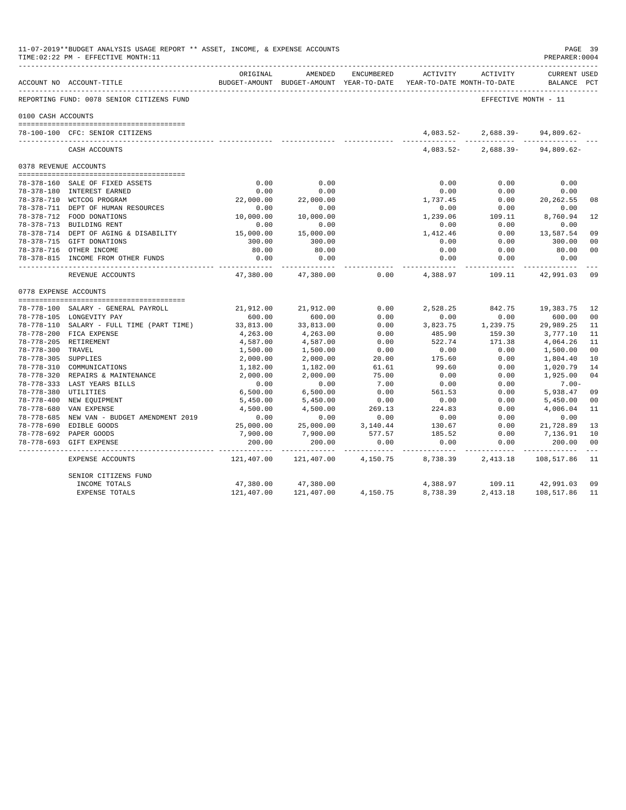|                      | 11-07-2019**BUDGET ANALYSIS USAGE REPORT ** ASSET, INCOME, & EXPENSE ACCOUNTS<br>TIME: 02:22 PM - EFFECTIVE MONTH: 11 |                     |                             |            |                                                                     |                                         | PAGE 39<br>PREPARER: 0004          |                |
|----------------------|-----------------------------------------------------------------------------------------------------------------------|---------------------|-----------------------------|------------|---------------------------------------------------------------------|-----------------------------------------|------------------------------------|----------------|
|                      | ACCOUNT NO ACCOUNT-TITLE                                                                                              | ORIGINAL            | AMENDED                     | ENCUMBERED | BUDGET-AMOUNT BUDGET-AMOUNT YEAR-TO-DATE YEAR-TO-DATE MONTH-TO-DATE | ACTIVITY ACTIVITY                       | <b>CURRENT USED</b><br>BALANCE PCT |                |
|                      | REPORTING FUND: 0078 SENIOR CITIZENS FUND                                                                             |                     |                             |            |                                                                     | EFFECTIVE MONTH - 11                    |                                    |                |
| 0100 CASH ACCOUNTS   |                                                                                                                       |                     |                             |            |                                                                     |                                         |                                    |                |
|                      | 78-100-100 CFC: SENIOR CITIZENS                                                                                       |                     |                             |            | 4,083.52-                                                           |                                         | $2,688.39 - 94,809.62 -$           |                |
|                      | CASH ACCOUNTS                                                                                                         |                     |                             |            |                                                                     | <br>$4,083.52 - 2,688.39 - 94,809.62 -$ |                                    |                |
|                      | 0378 REVENUE ACCOUNTS                                                                                                 |                     |                             |            |                                                                     |                                         |                                    |                |
|                      |                                                                                                                       |                     |                             |            |                                                                     |                                         |                                    |                |
|                      | 78-378-160 SALE OF FIXED ASSETS                                                                                       | 0.00                | 0.00                        |            | 0.00                                                                | 0.00                                    | 0.00                               |                |
|                      | 78-378-180 INTEREST EARNED                                                                                            | 0.00                | 0.00                        |            | 0.00                                                                | 0.00                                    | 0.00                               |                |
|                      | 78-378-710 WCTCOG PROGRAM                                                                                             | 22,000.00           | 22,000.00                   |            | 1,737.45                                                            | 0.00                                    | 20, 262.55                         | 08             |
|                      | 78-378-711 DEPT OF HUMAN RESOURCES                                                                                    | 0.00                | 0.00                        |            | 0.00                                                                | 0.00                                    | 0.00                               |                |
|                      | 78-378-712 FOOD DONATIONS                                                                                             | 10,000.00           | 10,000.00                   |            | 1,239.06                                                            | 109.11                                  | 8,760.94                           | 12             |
|                      | 78-378-713 BUILDING RENT                                                                                              | 0.00                | 0.00                        |            | 0.00                                                                | 0.00                                    | 0.00                               |                |
|                      | 78-378-714 DEPT OF AGING & DISABILITY                                                                                 | 15,000.00           | 15,000.00                   |            | 1,412.46                                                            | 0.00                                    | 13,587.54                          | 09             |
|                      | 78-378-715 GIFT DONATIONS                                                                                             | 300.00              | 300.00                      |            | 0.00                                                                | 0.00                                    | 300.00                             | 0 <sub>0</sub> |
|                      | 78-378-716 OTHER INCOME                                                                                               | 80.00               | 80.00                       |            | 0.00                                                                | 0.00                                    | 80.00                              | 0 <sub>0</sub> |
|                      | 78-378-815 INCOME FROM OTHER FUNDS                                                                                    | 0.00<br>----------- | 0.00                        |            | 0.00                                                                | 0.00<br>--------                        | 0.00                               |                |
|                      | REVENUE ACCOUNTS                                                                                                      | 47,380.00           | 47,380.00                   | 0.00       | 4,388.97                                                            | 109.11                                  | 42,991.03                          | 09             |
|                      | 0778 EXPENSE ACCOUNTS                                                                                                 |                     |                             |            |                                                                     |                                         |                                    |                |
|                      | 78-778-100 SALARY - GENERAL PAYROLL                                                                                   | 21,912.00           | 21,912.00                   | 0.00       | 2,528.25                                                            | 842.75                                  | 19,383.75                          | 12             |
|                      | 78-778-105 LONGEVITY PAY                                                                                              | 600.00              | 600.00                      | 0.00       | 0.00                                                                | 0.00                                    | 600.00                             | 00             |
|                      | 78-778-110 SALARY - FULL TIME (PART TIME)                                                                             | 33,813.00           | 33,813.00                   | 0.00       | 3,823.75                                                            | 1,239.75                                | 29,989.25                          | 11             |
|                      | 78-778-200 FICA EXPENSE                                                                                               | 4,263.00            | 4,263.00                    | 0.00       | 485.90                                                              | 159.30                                  | 3,777.10                           | 11             |
|                      | 78-778-205 RETIREMENT                                                                                                 | 4,587.00            | 4,587.00                    | 0.00       | 522.74                                                              | 171.38                                  | 4,064.26                           | 11             |
| 78-778-300 TRAVEL    |                                                                                                                       | 1,500.00            | 1,500.00                    | 0.00       | 0.00                                                                | 0.00                                    | 1,500.00                           | 00             |
| 78-778-305 SUPPLIES  |                                                                                                                       | 2,000.00            | 2,000.00                    | 20.00      | 175.60                                                              | 0.00                                    | 1,804.40                           | 10             |
|                      | 78-778-310 COMMUNICATIONS                                                                                             | 1,182.00            | 1,182.00                    | 61.61      | 99.60                                                               | 0.00                                    | 1,020.79                           | 14             |
|                      | 78-778-320 REPAIRS & MAINTENANCE                                                                                      | 2,000.00            | 2,000.00                    | 75.00      | 0.00                                                                | 0.00                                    | 1,925.00                           | 04             |
|                      | 78-778-333 LAST YEARS BILLS                                                                                           | 0.00                | 0.00                        | 7.00       | 0.00                                                                | 0.00                                    | $7.00 -$                           |                |
| 78-778-380 UTILITIES |                                                                                                                       | 6,500.00            | 6,500.00                    | 0.00       | 561.53                                                              | 0.00                                    | 5,938.47                           | 09             |
|                      | 78-778-400 NEW EQUIPMENT                                                                                              | 5,450.00            | 5,450.00                    | 0.00       | 0.00                                                                | 0.00                                    | 5,450.00                           | 00             |
|                      | 78-778-680 VAN EXPENSE                                                                                                | 4,500.00            | 4,500.00                    | 269.13     | 224.83                                                              | 0.00                                    | 4,006.04                           | 11             |
|                      | 78-778-685 NEW VAN - BUDGET AMENDMENT 2019                                                                            | 0.00                | 0.00                        | 0.00       | 0.00                                                                | 0.00                                    | 0.00                               |                |
|                      | 78-778-690 EDIBLE GOODS                                                                                               | 25,000.00           | 25,000.00                   | 3,140.44   | 130.67                                                              | 0.00                                    | 21,728.89                          | 13             |
|                      | 78-778-692 PAPER GOODS                                                                                                | 7,900.00            | 7,900.00                    | 577.57     | 185.52                                                              | 0.00                                    | 7,136.91                           | 10             |
|                      | 78-778-693 GIFT EXPENSE                                                                                               | 200.00              | 200.00                      | 0.00       | 0.00                                                                | 0.00                                    | 200.00                             | 00             |
|                      | EXPENSE ACCOUNTS                                                                                                      | .<br>121,407.00     | ----------- -<br>121,407.00 | 4,150.75   | 8,738.39                                                            | ___________<br>2,413.18                 | 108,517.86 11                      |                |
|                      | SENIOR CITIZENS FUND                                                                                                  |                     |                             |            |                                                                     |                                         |                                    |                |
|                      | INCOME TOTALS                                                                                                         | 47,380.00           | 47,380.00                   |            | 4,388.97                                                            | 109.11                                  | 42,991.03                          | 09             |
|                      | <b>EXPENSE TOTALS</b>                                                                                                 | 121,407.00          | 121,407.00                  | 4,150.75   | 8,738.39                                                            | 2,413.18                                | 108,517.86                         | 11             |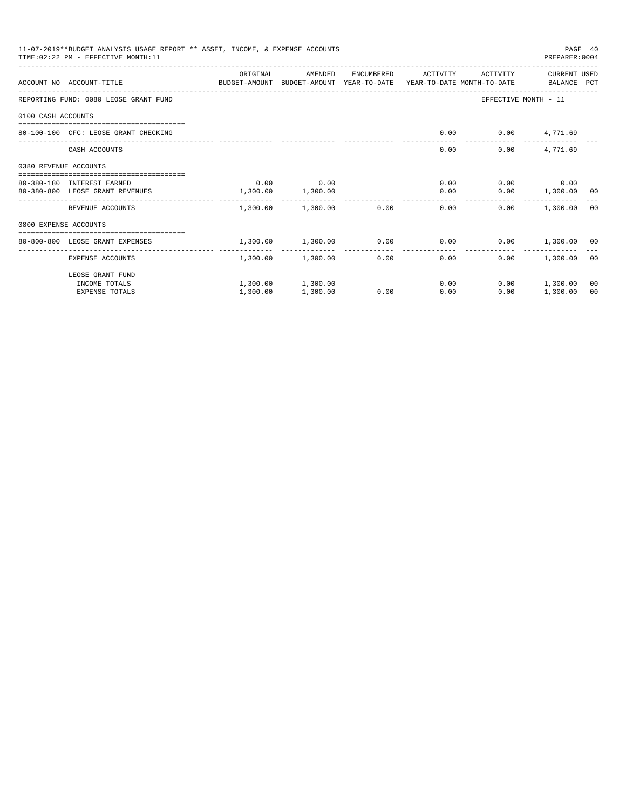| 11-07-2019**BUDGET ANALYSIS USAGE REPORT ** ASSET, INCOME, & EXPENSE ACCOUNTS<br>PAGE 40<br>TIME: 02:22 PM - EFFECTIVE MONTH: 11<br>PREPARER: 0004<br>ORIGINAL<br>AMENDED<br>ENCUMBERED<br>ACTIVITY<br>ACTIVITY<br>CURRENT USED<br>ACCOUNT NO ACCOUNT-TITLE COMPUTE BUDGET-AMOUNT BUDGET-AMOUNT YEAR-TO-DATE YEAR-TO-DATE MONTH-TO-DATE BALANCE PCT<br>EFFECTIVE MONTH - 11<br>REPORTING FUND: 0080 LEOSE GRANT FUND<br>0100 CASH ACCOUNTS<br>$0.00$ $0.00$ $4,771.69$<br>80-100-100 CFC: LEOSE GRANT CHECKING<br>4,771.69<br>CASH ACCOUNTS<br>0.00<br>0.00<br>0380 REVENUE ACCOUNTS<br>0.00<br>0.00<br>$0.00$ 0.00<br>0.00<br>80-380-180 INTEREST EARNED<br>1,300.00<br>$0.00$ 1,300.00 00<br>80-380-800 LEOSE GRANT REVENUES<br>1,300.00<br>0.00<br>1,300.00 1,300.00 0.00<br>0.00<br>0.00<br>1,300.00 00<br>REVENUE ACCOUNTS<br>0800 EXPENSE ACCOUNTS<br>------------------------------------- |          |                   |      |                                                           |      |                 |    |
|---------------------------------------------------------------------------------------------------------------------------------------------------------------------------------------------------------------------------------------------------------------------------------------------------------------------------------------------------------------------------------------------------------------------------------------------------------------------------------------------------------------------------------------------------------------------------------------------------------------------------------------------------------------------------------------------------------------------------------------------------------------------------------------------------------------------------------------------------------------------------------------------------|----------|-------------------|------|-----------------------------------------------------------|------|-----------------|----|
|                                                                                                                                                                                                                                                                                                                                                                                                                                                                                                                                                                                                                                                                                                                                                                                                                                                                                                   |          |                   |      |                                                           |      |                 |    |
|                                                                                                                                                                                                                                                                                                                                                                                                                                                                                                                                                                                                                                                                                                                                                                                                                                                                                                   |          |                   |      |                                                           |      |                 |    |
|                                                                                                                                                                                                                                                                                                                                                                                                                                                                                                                                                                                                                                                                                                                                                                                                                                                                                                   |          |                   |      |                                                           |      |                 |    |
|                                                                                                                                                                                                                                                                                                                                                                                                                                                                                                                                                                                                                                                                                                                                                                                                                                                                                                   |          |                   |      |                                                           |      |                 |    |
|                                                                                                                                                                                                                                                                                                                                                                                                                                                                                                                                                                                                                                                                                                                                                                                                                                                                                                   |          |                   |      |                                                           |      |                 |    |
|                                                                                                                                                                                                                                                                                                                                                                                                                                                                                                                                                                                                                                                                                                                                                                                                                                                                                                   |          |                   |      |                                                           |      |                 |    |
|                                                                                                                                                                                                                                                                                                                                                                                                                                                                                                                                                                                                                                                                                                                                                                                                                                                                                                   |          |                   |      |                                                           |      |                 |    |
|                                                                                                                                                                                                                                                                                                                                                                                                                                                                                                                                                                                                                                                                                                                                                                                                                                                                                                   |          |                   |      |                                                           |      |                 |    |
|                                                                                                                                                                                                                                                                                                                                                                                                                                                                                                                                                                                                                                                                                                                                                                                                                                                                                                   |          |                   |      |                                                           |      |                 |    |
|                                                                                                                                                                                                                                                                                                                                                                                                                                                                                                                                                                                                                                                                                                                                                                                                                                                                                                   |          |                   |      |                                                           |      |                 |    |
|                                                                                                                                                                                                                                                                                                                                                                                                                                                                                                                                                                                                                                                                                                                                                                                                                                                                                                   |          |                   |      |                                                           |      |                 |    |
| 80-800-800 LEOSE GRANT EXPENSES                                                                                                                                                                                                                                                                                                                                                                                                                                                                                                                                                                                                                                                                                                                                                                                                                                                                   |          |                   |      | $1,300.00$ $1,300.00$ $0.00$ $0.00$ $0.00$ $1,300.00$ $0$ |      |                 |    |
| -------------------- ----                                                                                                                                                                                                                                                                                                                                                                                                                                                                                                                                                                                                                                                                                                                                                                                                                                                                         |          |                   |      | -------------                                             |      |                 |    |
| EXPENSE ACCOUNTS                                                                                                                                                                                                                                                                                                                                                                                                                                                                                                                                                                                                                                                                                                                                                                                                                                                                                  |          | 1,300.00 1,300.00 |      | 0.00<br>0.00                                              | 0.00 | 1,300.00 00     |    |
| LEOSE GRANT FUND                                                                                                                                                                                                                                                                                                                                                                                                                                                                                                                                                                                                                                                                                                                                                                                                                                                                                  |          |                   |      |                                                           |      |                 |    |
| INCOME TOTALS                                                                                                                                                                                                                                                                                                                                                                                                                                                                                                                                                                                                                                                                                                                                                                                                                                                                                     |          | 1,300.00 1,300.00 |      | 0.00                                                      |      | $0.00$ 1,300.00 | 00 |
| <b>EXPENSE TOTALS</b>                                                                                                                                                                                                                                                                                                                                                                                                                                                                                                                                                                                                                                                                                                                                                                                                                                                                             | 1,300.00 | 1,300.00          | 0.00 | 0.00                                                      | 0.00 | 1,300.00        | 00 |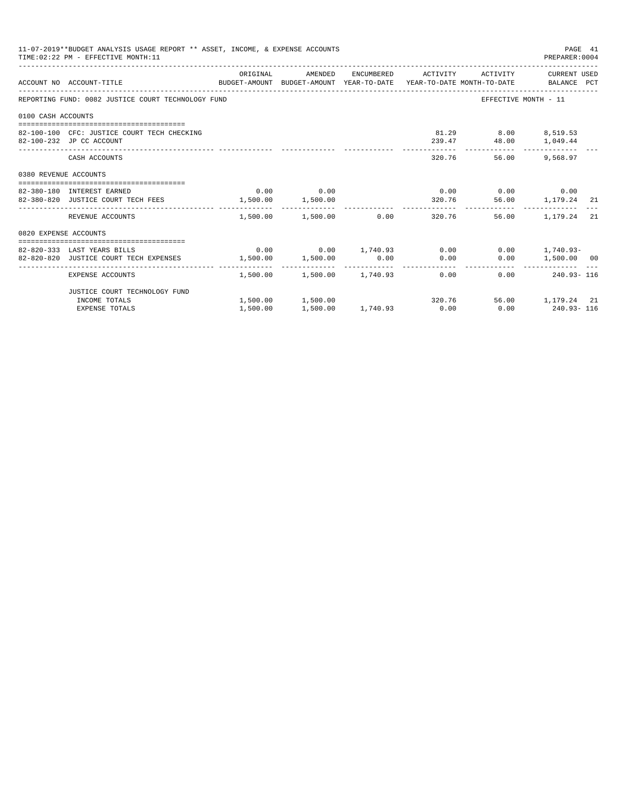|                       | 11-07-2019**BUDGET ANALYSIS USAGE REPORT ** ASSET, INCOME, & EXPENSE ACCOUNTS<br>TIME: 02:22 PM - EFFECTIVE MONTH: 11 |                                     |                                                      |                        |                                              | PAGE 41<br>PREPARER: 0004 |    |
|-----------------------|-----------------------------------------------------------------------------------------------------------------------|-------------------------------------|------------------------------------------------------|------------------------|----------------------------------------------|---------------------------|----|
|                       | ACCOUNT NO ACCOUNT-TITLE CONTROL SUDGET-AMOUNT BUDGET-AMOUNT YEAR-TO-DATE YEAR-TO-DATE MONTH-TO-DATE BALANCE PCT      |                                     |                                                      |                        |                                              |                           |    |
|                       | REPORTING FUND: 0082 JUSTICE COURT TECHNOLOGY FUND                                                                    |                                     |                                                      |                        |                                              | EFFECTIVE MONTH - 11      |    |
| 0100 CASH ACCOUNTS    |                                                                                                                       |                                     |                                                      |                        |                                              |                           |    |
|                       | 82-100-100 CFC: JUSTICE COURT TECH CHECKING<br>82-100-232 JP CC ACCOUNT                                               |                                     |                                                      |                        | 81.29 8.00 8,519.53<br>239.47 48.00 1,049.44 |                           |    |
|                       | CASH ACCOUNTS                                                                                                         |                                     |                                                      |                        | 320.76                                       | 56.00 9.568.97            |    |
| 0380 REVENUE ACCOUNTS |                                                                                                                       |                                     |                                                      |                        |                                              |                           |    |
|                       | 82-380-180 INTEREST EARNED                                                                                            |                                     | $0.00$ 0.00                                          |                        | $0.00$ $0.00$ $0.00$ $0.00$                  |                           |    |
|                       | 82-380-820 JUSTICE COURT TECH FEES                                                                                    | $1,500.00$ 1,500.00                 |                                                      |                        | 320.76 56.00 1,179.24 21                     |                           |    |
|                       | REVENUE ACCOUNTS                                                                                                      |                                     | $1.500.00$ $1.500.00$ 0.00                           |                        | 320.76                                       | 56.00 1.179.24            | 21 |
| 0820 EXPENSE ACCOUNTS |                                                                                                                       |                                     |                                                      |                        |                                              |                           |    |
|                       |                                                                                                                       |                                     |                                                      |                        |                                              |                           |    |
|                       | 82-820-333 LAST YEARS BILLS                                                                                           |                                     | $0.00$ $0.00$ $1,740.93$ $0.00$                      |                        |                                              | $0.00$ 1,740.93-          |    |
|                       | 82-820-820 JUSTICE COURT TECH EXPENSES                                                                                | $1,500.00$ $1,500.00$ $0.00$ $0.00$ |                                                      |                        |                                              | $0.00$ 1,500.00 00        |    |
|                       | EXPENSE ACCOUNTS                                                                                                      |                                     | $1.500.00$ $1.500.00$ $1.740.93$ 0.00                |                        |                                              | $0.00$ 240.93-116         |    |
|                       | JUSTICE COURT TECHNOLOGY FUND                                                                                         |                                     |                                                      |                        |                                              |                           |    |
|                       | INCOME TOTALS                                                                                                         |                                     | $1,500.00$ $1,500.00$ $320.76$ $56.00$ $1,179.24$ 21 |                        |                                              |                           |    |
|                       | <b>EXPENSE TOTALS</b>                                                                                                 | 1,500.00                            |                                                      | 1,500.00 1,740.93 0.00 |                                              | $0.00$ $240.93 - 116$     |    |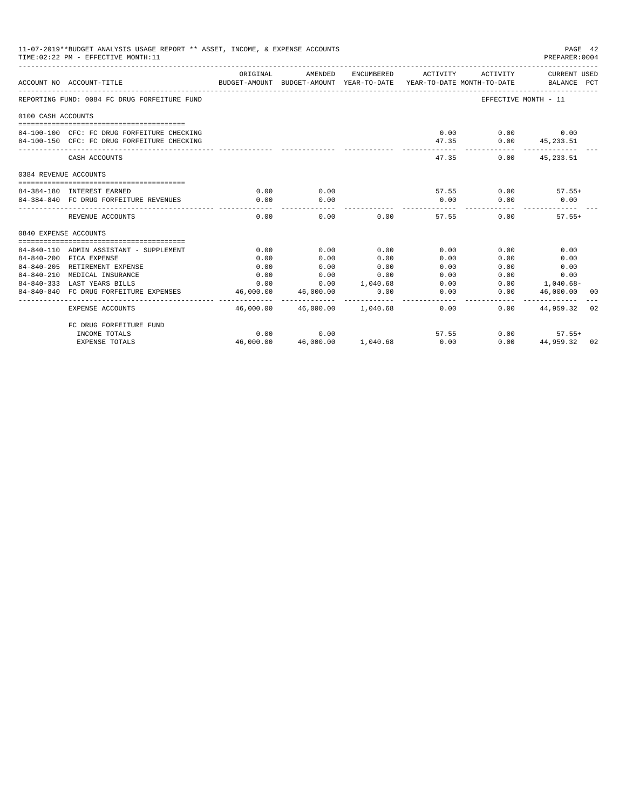| 11-07-2019**BUDGET ANALYSIS USAGE REPORT ** ASSET, INCOME, & EXPENSE ACCOUNTS<br>PAGE 42<br>TIME: 02:22 PM - EFFECTIVE MONTH: 11<br>PREPARER: 0004<br>ORIGINAL<br>AMENDED<br>ENCUMBERED ACTIVITY ACTIVITY CURRENT USED<br>BUDGET-AMOUNT BUDGET-AMOUNT YEAR-TO-DATE YEAR-TO-DATE_MONTH-TO-DATE BALANCE PCT<br>ACCOUNT NO ACCOUNT-TITLE<br>REPORTING FUND: 0084 FC DRUG FORFEITURE FUND<br>EFFECTIVE MONTH - 11<br>0100 CASH ACCOUNTS<br>0.00<br>$0.00$ 0.00<br>84-100-100 CFC: FC DRUG FORFEITURE CHECKING<br>84-100-150 CFC: FC DRUG FORFEITURE CHECKING<br>47.35<br>$0.00$ $45,233.51$<br>47.35<br>$0.00$ $45,233.51$<br>CASH ACCOUNTS<br>0384 REVENUE ACCOUNTS<br>0.00<br>84-384-180 INTEREST EARNED<br>0.00<br>$57.55$ 0.00 $57.55+$<br>0.00<br>0.00<br>84-384-840 FC DRUG FORFEITURE REVENUES<br>0.00<br>0.00<br>0.00<br>0.00<br>$0.00$ and $0.00$<br>0.00<br>57.55<br>0.00<br>$57.55+$<br>REVENUE ACCOUNTS<br>0840 EXPENSE ACCOUNTS |                          |                                   |      |      |                      |                                        |    |
|------------------------------------------------------------------------------------------------------------------------------------------------------------------------------------------------------------------------------------------------------------------------------------------------------------------------------------------------------------------------------------------------------------------------------------------------------------------------------------------------------------------------------------------------------------------------------------------------------------------------------------------------------------------------------------------------------------------------------------------------------------------------------------------------------------------------------------------------------------------------------------------------------------------------------------------|--------------------------|-----------------------------------|------|------|----------------------|----------------------------------------|----|
|                                                                                                                                                                                                                                                                                                                                                                                                                                                                                                                                                                                                                                                                                                                                                                                                                                                                                                                                          |                          |                                   |      |      |                      |                                        |    |
|                                                                                                                                                                                                                                                                                                                                                                                                                                                                                                                                                                                                                                                                                                                                                                                                                                                                                                                                          |                          |                                   |      |      |                      |                                        |    |
|                                                                                                                                                                                                                                                                                                                                                                                                                                                                                                                                                                                                                                                                                                                                                                                                                                                                                                                                          |                          |                                   |      |      |                      |                                        |    |
|                                                                                                                                                                                                                                                                                                                                                                                                                                                                                                                                                                                                                                                                                                                                                                                                                                                                                                                                          |                          |                                   |      |      |                      |                                        |    |
|                                                                                                                                                                                                                                                                                                                                                                                                                                                                                                                                                                                                                                                                                                                                                                                                                                                                                                                                          |                          |                                   |      |      |                      |                                        |    |
|                                                                                                                                                                                                                                                                                                                                                                                                                                                                                                                                                                                                                                                                                                                                                                                                                                                                                                                                          |                          |                                   |      |      |                      |                                        |    |
|                                                                                                                                                                                                                                                                                                                                                                                                                                                                                                                                                                                                                                                                                                                                                                                                                                                                                                                                          |                          |                                   |      |      |                      |                                        |    |
|                                                                                                                                                                                                                                                                                                                                                                                                                                                                                                                                                                                                                                                                                                                                                                                                                                                                                                                                          |                          |                                   |      |      |                      |                                        |    |
|                                                                                                                                                                                                                                                                                                                                                                                                                                                                                                                                                                                                                                                                                                                                                                                                                                                                                                                                          |                          |                                   |      |      |                      |                                        |    |
|                                                                                                                                                                                                                                                                                                                                                                                                                                                                                                                                                                                                                                                                                                                                                                                                                                                                                                                                          |                          |                                   |      |      |                      |                                        |    |
|                                                                                                                                                                                                                                                                                                                                                                                                                                                                                                                                                                                                                                                                                                                                                                                                                                                                                                                                          |                          |                                   |      |      |                      |                                        |    |
|                                                                                                                                                                                                                                                                                                                                                                                                                                                                                                                                                                                                                                                                                                                                                                                                                                                                                                                                          |                          |                                   |      |      |                      |                                        |    |
|                                                                                                                                                                                                                                                                                                                                                                                                                                                                                                                                                                                                                                                                                                                                                                                                                                                                                                                                          |                          |                                   |      |      |                      |                                        |    |
|                                                                                                                                                                                                                                                                                                                                                                                                                                                                                                                                                                                                                                                                                                                                                                                                                                                                                                                                          |                          |                                   |      |      |                      |                                        |    |
| 84-840-110 ADMIN ASSISTANT - SUPPLEMENT                                                                                                                                                                                                                                                                                                                                                                                                                                                                                                                                                                                                                                                                                                                                                                                                                                                                                                  | 0.00                     | 0.00                              | 0.00 | 0.00 | 0.00                 | 0.00                                   |    |
| 84-840-200 FICA EXPENSE                                                                                                                                                                                                                                                                                                                                                                                                                                                                                                                                                                                                                                                                                                                                                                                                                                                                                                                  | 0.00                     | 0.00                              | 0.00 | 0.00 | 0.00                 | 0.00                                   |    |
| 84-840-205 RETIREMENT EXPENSE                                                                                                                                                                                                                                                                                                                                                                                                                                                                                                                                                                                                                                                                                                                                                                                                                                                                                                            | 0.00                     | 0.00                              | 0.00 | 0.00 | 0.00                 | 0.00                                   |    |
| 84-840-210 MEDICAL INSURANCE                                                                                                                                                                                                                                                                                                                                                                                                                                                                                                                                                                                                                                                                                                                                                                                                                                                                                                             | 0.00                     | 0.00                              | 0.00 | 0.00 |                      | 0.00<br>0.00                           |    |
| 84-840-333 LAST YEARS BILLS                                                                                                                                                                                                                                                                                                                                                                                                                                                                                                                                                                                                                                                                                                                                                                                                                                                                                                              | 0.00                     | $0.00$ 1,040.68                   |      | 0.00 |                      | $0.00$ 1.040.68-                       |    |
| 84-840-840 FC DRUG FORFEITURE EXPENSES                                                                                                                                                                                                                                                                                                                                                                                                                                                                                                                                                                                                                                                                                                                                                                                                                                                                                                   | 46,000.00<br>----------- | 46,000.00<br>____________         | 0.00 | 0.00 | 0.00<br>------------ | 46,000.00<br>. _ _ _ _ _ _ _ _ _ _ _ _ | 00 |
| <b>EXPENSE ACCOUNTS</b>                                                                                                                                                                                                                                                                                                                                                                                                                                                                                                                                                                                                                                                                                                                                                                                                                                                                                                                  |                          | 46.000.00 46.000.00 1.040.68 0.00 |      |      |                      | $0.00$ $44.959.32$                     | 02 |
| FC DRUG FORFEITURE FUND                                                                                                                                                                                                                                                                                                                                                                                                                                                                                                                                                                                                                                                                                                                                                                                                                                                                                                                  |                          |                                   |      |      |                      |                                        |    |
| INCOME TOTALS                                                                                                                                                                                                                                                                                                                                                                                                                                                                                                                                                                                                                                                                                                                                                                                                                                                                                                                            | 0.00                     | 0.00                              |      |      | 57.55                | $0.00$<br>0.00 $44,9$<br>$57.55+$      |    |
| <b>EXPENSE TOTALS</b>                                                                                                                                                                                                                                                                                                                                                                                                                                                                                                                                                                                                                                                                                                                                                                                                                                                                                                                    | 46,000.00                | 46,000.00 1,040.68                |      | 0.00 |                      | 44.959.32 02                           |    |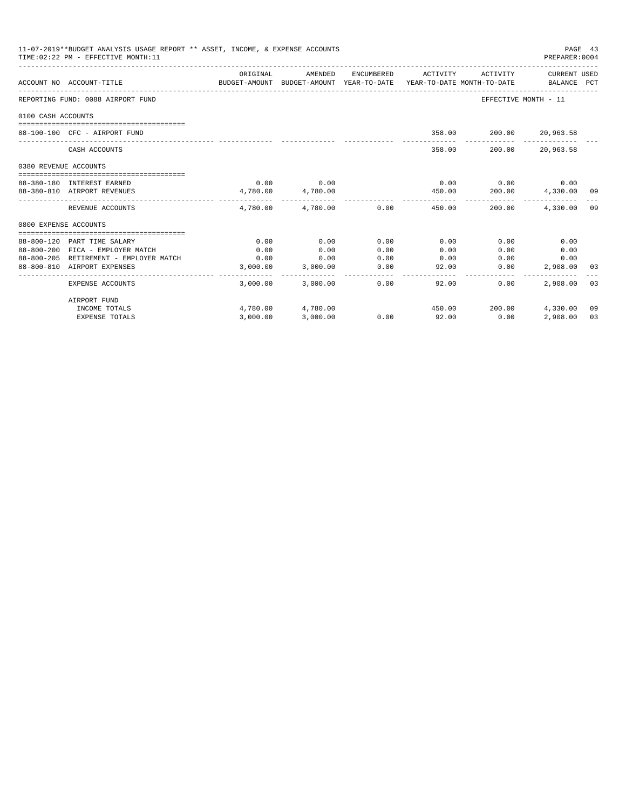|                       | 11-07-2019**BUDGET ANALYSIS USAGE REPORT ** ASSET, INCOME, & EXPENSE ACCOUNTS<br>TIME: 02:22 PM - EFFECTIVE MONTH: 11 |                                                                                             |                                         |              |                                           |                             | PAGE 43<br>PREPARER: 0004 |    |
|-----------------------|-----------------------------------------------------------------------------------------------------------------------|---------------------------------------------------------------------------------------------|-----------------------------------------|--------------|-------------------------------------------|-----------------------------|---------------------------|----|
|                       | ACCOUNT NO ACCOUNT-TITLE                                                                                              | ORIGINAL<br>BUDGET-AMOUNT BUDGET-AMOUNT YEAR-TO-DATE YEAR-TO-DATE MONTH-TO-DATE BALANCE PCT | AMENDED                                 |              | ENCUMBERED ACTIVITY ACTIVITY CURRENT USED |                             |                           |    |
|                       | REPORTING FUND: 0088 AIRPORT FUND                                                                                     |                                                                                             |                                         |              |                                           |                             | EFFECTIVE MONTH - 11      |    |
| 0100 CASH ACCOUNTS    |                                                                                                                       |                                                                                             |                                         |              |                                           |                             |                           |    |
|                       | 88-100-100 CFC - AIRPORT FUND                                                                                         |                                                                                             |                                         |              |                                           | 358.00 200.00 20,963.58     |                           |    |
|                       | CASH ACCOUNTS                                                                                                         |                                                                                             |                                         |              |                                           | 358.00 200.00 20,963.58     |                           |    |
| 0380 REVENUE ACCOUNTS |                                                                                                                       |                                                                                             |                                         |              |                                           |                             |                           |    |
|                       | 88-380-180 INTEREST EARNED                                                                                            | 0.00                                                                                        | 0.00                                    |              |                                           | $0.00$ $0.00$ $0.00$ $0.00$ |                           |    |
|                       | 88-380-810 AIRPORT REVENUES                                                                                           | 4,780.00                                                                                    | 4,780.00                                |              |                                           | 450.00 200.00 4,330.00 09   |                           |    |
|                       | REVENUE ACCOUNTS                                                                                                      |                                                                                             | _____________<br>4,780.00 4,780.00 0.00 |              | 450.00                                    | 200.00                      | 4,330,00 09               |    |
| 0800 EXPENSE ACCOUNTS |                                                                                                                       |                                                                                             |                                         |              |                                           |                             |                           |    |
|                       |                                                                                                                       |                                                                                             |                                         |              |                                           |                             |                           |    |
|                       | 88-800-120 PART TIME SALARY                                                                                           | 0.00                                                                                        | 0.00                                    | 0.00         | 0.00                                      | 0.00                        | 0.00                      |    |
|                       | 88-800-200 FICA - EMPLOYER MATCH<br>88-800-205 RETIREMENT - EMPLOYER MATCH                                            | 0.00<br>0.00                                                                                | 0.00<br>0.00                            | 0.00<br>0.00 | 0.00<br>0.00                              | 0.00                        | 0.00<br>0.00<br>0.00      |    |
|                       | 88-800-810 AIRPORT EXPENSES                                                                                           | 3,000.00                                                                                    | 3,000.00                                | 0.00         | 92.00                                     | 0.00                        | 2,908.00 03               |    |
|                       |                                                                                                                       |                                                                                             |                                         |              | -------------                             |                             |                           |    |
|                       | EXPENSE ACCOUNTS                                                                                                      |                                                                                             | 3,000.00 3,000.00                       | 0.00         | 92.00                                     | $0.00 -$                    | 2,908,00 03               |    |
|                       | AIRPORT FUND                                                                                                          |                                                                                             |                                         |              |                                           |                             |                           |    |
|                       | INCOME TOTALS                                                                                                         |                                                                                             | 4,780.00 4,780.00                       |              |                                           | 450.00 200.00               | 4,330.00 09               |    |
|                       | <b>EXPENSE TOTALS</b>                                                                                                 | 3,000.00                                                                                    | 3,000.00                                |              | $0.00$ 92.00                              | 0.00                        | 2,908.00                  | 03 |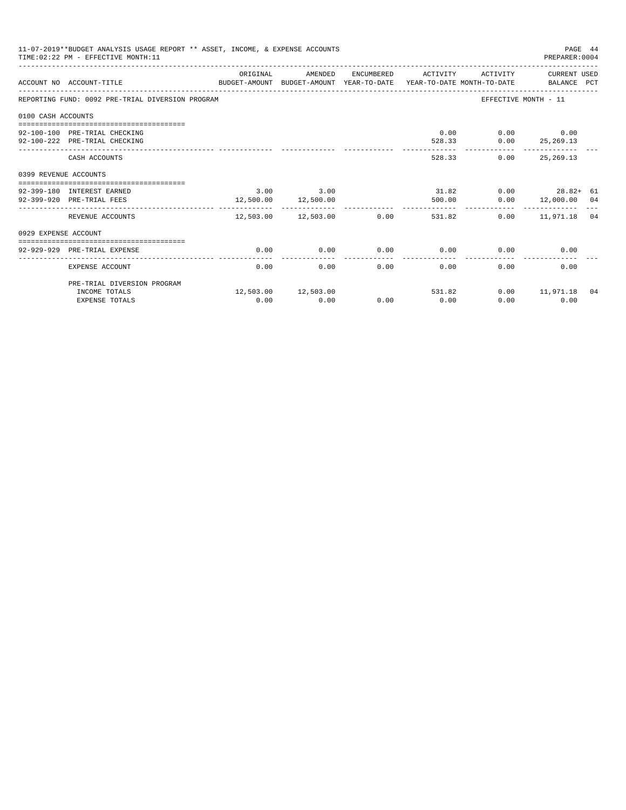| 11-07-2019**BUDGET ANALYSIS USAGE REPORT ** ASSET, INCOME, & EXPENSE ACCOUNTS<br>PAGE 44<br>TIME: 02:22 PM - EFFECTIVE MONTH: 11<br>PREPARER: 0004<br>ORIGINAL<br>AMENDED<br>ENCUMBERED ACTIVITY<br>ACTIVITY CURRENT USED<br>ACCOUNT NO ACCOUNT-TITLE CONTROL BUDGET-AMOUNT BUDGET-AMOUNT YEAR-TO-DATE YEAR-TO-DATE MONTH-TO-DATE BALANCE PCT<br>REPORTING FUND: 0092 PRE-TRIAL DIVERSION PROGRAM<br>EFFECTIVE MONTH - 11<br>0100 CASH ACCOUNTS<br>$0.00$ $0.00$ $0.00$<br>92-100-100 PRE-TRIAL CHECKING<br>$528.33$ 0.00 25, 269.13<br>92-100-222 PRE-TRIAL CHECKING<br>528.33<br>$0.00$ 25.269.13<br>CASH ACCOUNTS<br>0399 REVENUE ACCOUNTS<br>$3.00$ $3.00$<br>31.82<br>$0.00$ 28.82+ 61<br>92-399-180 INTEREST EARNED<br>12,500.00 12,500.00<br>$0.00$ 12,000.00 04<br>92-399-920 PRE-TRIAL FEES<br>500.00<br>____________________________<br>12,503.00  12,503.00  0.00<br>REVENUE ACCOUNTS<br>531.82<br>$0.00$ 11,971.18 04<br>0929 EXPENSE ACCOUNT<br>0.00<br>$0.00$ 0.00<br>0.00<br>0.00<br>0.00<br>92-929-929 PRE-TRIAL EXPENSE<br>0.00<br>$0.00 -$<br>0.00<br>0.00<br>0.00<br>0.00 |      |                        |      |      |        |                     |  |
|----------------------------------------------------------------------------------------------------------------------------------------------------------------------------------------------------------------------------------------------------------------------------------------------------------------------------------------------------------------------------------------------------------------------------------------------------------------------------------------------------------------------------------------------------------------------------------------------------------------------------------------------------------------------------------------------------------------------------------------------------------------------------------------------------------------------------------------------------------------------------------------------------------------------------------------------------------------------------------------------------------------------------------------------------------------------------------------------|------|------------------------|------|------|--------|---------------------|--|
|                                                                                                                                                                                                                                                                                                                                                                                                                                                                                                                                                                                                                                                                                                                                                                                                                                                                                                                                                                                                                                                                                              |      |                        |      |      |        |                     |  |
|                                                                                                                                                                                                                                                                                                                                                                                                                                                                                                                                                                                                                                                                                                                                                                                                                                                                                                                                                                                                                                                                                              |      |                        |      |      |        |                     |  |
|                                                                                                                                                                                                                                                                                                                                                                                                                                                                                                                                                                                                                                                                                                                                                                                                                                                                                                                                                                                                                                                                                              |      |                        |      |      |        |                     |  |
|                                                                                                                                                                                                                                                                                                                                                                                                                                                                                                                                                                                                                                                                                                                                                                                                                                                                                                                                                                                                                                                                                              |      |                        |      |      |        |                     |  |
|                                                                                                                                                                                                                                                                                                                                                                                                                                                                                                                                                                                                                                                                                                                                                                                                                                                                                                                                                                                                                                                                                              |      |                        |      |      |        |                     |  |
|                                                                                                                                                                                                                                                                                                                                                                                                                                                                                                                                                                                                                                                                                                                                                                                                                                                                                                                                                                                                                                                                                              |      |                        |      |      |        |                     |  |
|                                                                                                                                                                                                                                                                                                                                                                                                                                                                                                                                                                                                                                                                                                                                                                                                                                                                                                                                                                                                                                                                                              |      |                        |      |      |        |                     |  |
|                                                                                                                                                                                                                                                                                                                                                                                                                                                                                                                                                                                                                                                                                                                                                                                                                                                                                                                                                                                                                                                                                              |      |                        |      |      |        |                     |  |
|                                                                                                                                                                                                                                                                                                                                                                                                                                                                                                                                                                                                                                                                                                                                                                                                                                                                                                                                                                                                                                                                                              |      |                        |      |      |        |                     |  |
|                                                                                                                                                                                                                                                                                                                                                                                                                                                                                                                                                                                                                                                                                                                                                                                                                                                                                                                                                                                                                                                                                              |      |                        |      |      |        |                     |  |
|                                                                                                                                                                                                                                                                                                                                                                                                                                                                                                                                                                                                                                                                                                                                                                                                                                                                                                                                                                                                                                                                                              |      |                        |      |      |        |                     |  |
|                                                                                                                                                                                                                                                                                                                                                                                                                                                                                                                                                                                                                                                                                                                                                                                                                                                                                                                                                                                                                                                                                              |      |                        |      |      |        |                     |  |
|                                                                                                                                                                                                                                                                                                                                                                                                                                                                                                                                                                                                                                                                                                                                                                                                                                                                                                                                                                                                                                                                                              |      |                        |      |      |        |                     |  |
|                                                                                                                                                                                                                                                                                                                                                                                                                                                                                                                                                                                                                                                                                                                                                                                                                                                                                                                                                                                                                                                                                              |      |                        |      |      |        |                     |  |
|                                                                                                                                                                                                                                                                                                                                                                                                                                                                                                                                                                                                                                                                                                                                                                                                                                                                                                                                                                                                                                                                                              |      |                        |      |      |        |                     |  |
| EXPENSE ACCOUNT                                                                                                                                                                                                                                                                                                                                                                                                                                                                                                                                                                                                                                                                                                                                                                                                                                                                                                                                                                                                                                                                              |      |                        |      |      |        |                     |  |
| PRE-TRIAL DIVERSION PROGRAM                                                                                                                                                                                                                                                                                                                                                                                                                                                                                                                                                                                                                                                                                                                                                                                                                                                                                                                                                                                                                                                                  |      |                        |      |      |        |                     |  |
| INCOME TOTALS                                                                                                                                                                                                                                                                                                                                                                                                                                                                                                                                                                                                                                                                                                                                                                                                                                                                                                                                                                                                                                                                                |      | 12,503.00    12,503.00 |      |      | 531.82 | $0.00$ 11,971.18 04 |  |
| <b>EXPENSE TOTALS</b>                                                                                                                                                                                                                                                                                                                                                                                                                                                                                                                                                                                                                                                                                                                                                                                                                                                                                                                                                                                                                                                                        | 0.00 | 0.00                   | 0.00 | 0.00 | 0.00   | 0.00                |  |